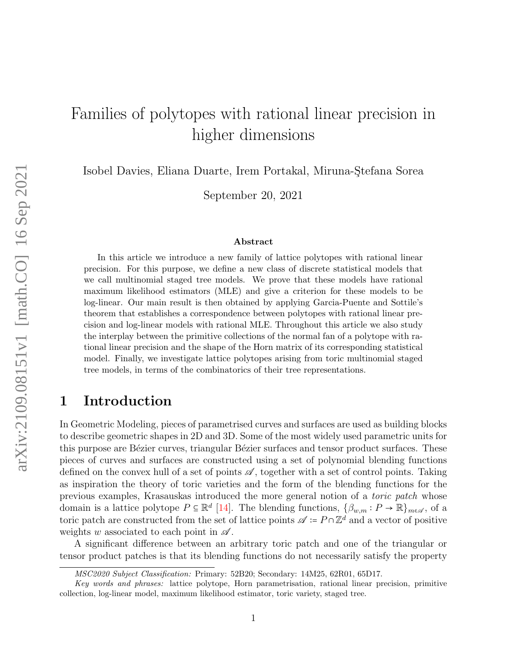# Families of polytopes with rational linear precision in higher dimensions

Isobel Davies, Eliana Duarte, Irem Portakal, Miruna-Stefana Sorea

September 20, 2021

#### Abstract

In this article we introduce a new family of lattice polytopes with rational linear precision. For this purpose, we define a new class of discrete statistical models that we call multinomial staged tree models. We prove that these models have rational maximum likelihood estimators (MLE) and give a criterion for these models to be log-linear. Our main result is then obtained by applying Garcia-Puente and Sottile's theorem that establishes a correspondence between polytopes with rational linear precision and log-linear models with rational MLE. Throughout this article we also study the interplay between the primitive collections of the normal fan of a polytope with rational linear precision and the shape of the Horn matrix of its corresponding statistical model. Finally, we investigate lattice polytopes arising from toric multinomial staged tree models, in terms of the combinatorics of their tree representations.

## 1 Introduction

In Geometric Modeling, pieces of parametrised curves and surfaces are used as building blocks to describe geometric shapes in 2D and 3D. Some of the most widely used parametric units for this purpose are Bézier curves, triangular Bézier surfaces and tensor product surfaces. These pieces of curves and surfaces are constructed using a set of polynomial blending functions defined on the convex hull of a set of points  $\mathscr A$ , together with a set of control points. Taking as inspiration the theory of toric varieties and the form of the blending functions for the previous examples, Krasauskas introduced the more general notion of a toric patch whose domain is a lattice polytope  $P \subseteq \mathbb{R}^d$  [\[14\]](#page-41-0). The blending functions,  $\{\beta_{w,m}: P \to \mathbb{R}\}_{m \in \mathcal{A}}$ , of a term a parameter of positive and the set of lattice points  $\mathcal{A}$ .  $P \subseteq \mathbb{Z}^d$  and a vector of positive toric patch are constructed from the set of lattice points  $\mathscr{A} \coloneq P \cap \mathbb{Z}^d$  and a vector of positive weights w associated to each point in  $\mathscr A$ .

A significant difference between an arbitrary toric patch and one of the triangular or tensor product patches is that its blending functions do not necessarily satisfy the property

MSC2020 Subject Classification: Primary: 52B20; Secondary: 14M25, 62R01, 65D17.

Key words and phrases: lattice polytope, Horn parametrisation, rational linear precision, primitive collection, log-linear model, maximum likelihood estimator, toric variety, staged tree.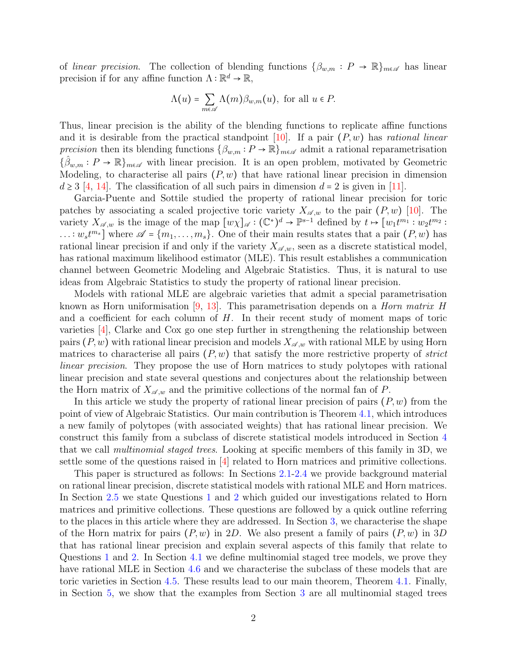of linear precision. The collection of blending functions  $\{\beta_{w,m}: P \to \mathbb{R}\}_{m \in \mathcal{A}}$  has linear precision if for any affine function  $\Lambda : \mathbb{R}^d \to \mathbb{R}$ ,

$$
\Lambda(u) = \sum_{m \in \mathscr{A}} \Lambda(m) \beta_{w,m}(u), \text{ for all } u \in P.
$$

Thus, linear precision is the ability of the blending functions to replicate affine functions and it is desirable from the practical standpoint [\[10\]](#page-41-1). If a pair  $(P, w)$  has *rational linear* precision then its blending functions  $\{\beta_{w,m}: P \to \mathbb{R}\}_{m \in \mathcal{A}}$  admit a rational reparametrisation  $\{\hat{\beta}_{w,m}: P \to \mathbb{R}\}_{m \in \mathcal{A}}$  with linear precision. It is an open problem, motivated by Geometric Modeling, to characterise all pairs  $(P, w)$  that have rational linear precision in dimension  $d \geq 3$  [\[4,](#page-40-0) [14\]](#page-41-0). The classification of all such pairs in dimension  $d = 2$  is given in [\[11\]](#page-41-2).

Garcia-Puente and Sottile studied the property of rational linear precision for toric patches by associating a scaled projective toric variety  $X_{\mathscr{A},w}$  to the pair  $(P, w)$  [\[10\]](#page-41-1). The variety  $X_{\mathscr{A},w}$  is the image of the map  $[w\chi]_{\mathscr{A}} : (\mathbb{C}^*)^d \to \mathbb{P}^{s-1}$  defined by  $t \mapsto [w_1 t^{m_1} : w_2 t^{m_2} :$  $\dots : w_s t^{m_s}$  where  $\mathscr{A} = \{m_1, \dots, m_s\}$ . One of their main results states that a pair  $(P, w)$  has rational linear precision if and only if the variety  $X_{\mathscr{A},w}$ , seen as a discrete statistical model, has rational maximum likelihood estimator (MLE). This result establishes a communication channel between Geometric Modeling and Algebraic Statistics. Thus, it is natural to use ideas from Algebraic Statistics to study the property of rational linear precision.

Models with rational MLE are algebraic varieties that admit a special parametrisation known as Horn uniformisation  $[9, 13]$  $[9, 13]$  $[9, 13]$ . This parametrisation depends on a *Horn matrix H* and a coefficient for each column of  $H$ . In their recent study of moment maps of toric varieties  $[4]$ , Clarke and Cox go one step further in strengthening the relationship between pairs  $(P, w)$  with rational linear precision and models  $X_{\mathscr{A},w}$  with rational MLE by using Horn matrices to characterise all pairs  $(P, w)$  that satisfy the more restrictive property of *strict* linear precision. They propose the use of Horn matrices to study polytopes with rational linear precision and state several questions and conjectures about the relationship between the Horn matrix of  $X_{\mathscr{A},w}$  and the primitive collections of the normal fan of P.

In this article we study the property of rational linear precision of pairs  $(P, w)$  from the point of view of Algebraic Statistics. Our main contribution is Theorem [4.1,](#page-18-0) which introduces a new family of polytopes (with associated weights) that has rational linear precision. We construct this family from a subclass of discrete statistical models introduced in Section [4](#page-18-1) that we call multinomial staged trees. Looking at specific members of this family in 3D, we settle some of the questions raised in [\[4\]](#page-40-0) related to Horn matrices and primitive collections.

This paper is structured as follows: In Sections [2.1-](#page-2-0)[2.4](#page-5-0) we provide background material on rational linear precision, discrete statistical models with rational MLE and Horn matrices. In Section [2.5](#page-6-0) we state Questions [1](#page-7-0) and [2](#page-7-1) which guided our investigations related to Horn matrices and primitive collections. These questions are followed by a quick outline referring to the places in this article where they are addressed. In Section [3,](#page-7-2) we characterise the shape of the Horn matrix for pairs  $(P, w)$  in 2D. We also present a family of pairs  $(P, w)$  in 3D that has rational linear precision and explain several aspects of this family that relate to Questions [1](#page-7-0) and [2.](#page-7-1) In Section [4.1](#page-18-2) we define multinomial staged tree models, we prove they have rational MLE in Section [4.6](#page-31-0) and we characterise the subclass of these models that are toric varieties in Section [4.5.](#page-28-0) These results lead to our main theorem, Theorem [4.1.](#page-18-0) Finally, in Section [5,](#page-32-0) we show that the examples from Section [3](#page-7-2) are all multinomial staged trees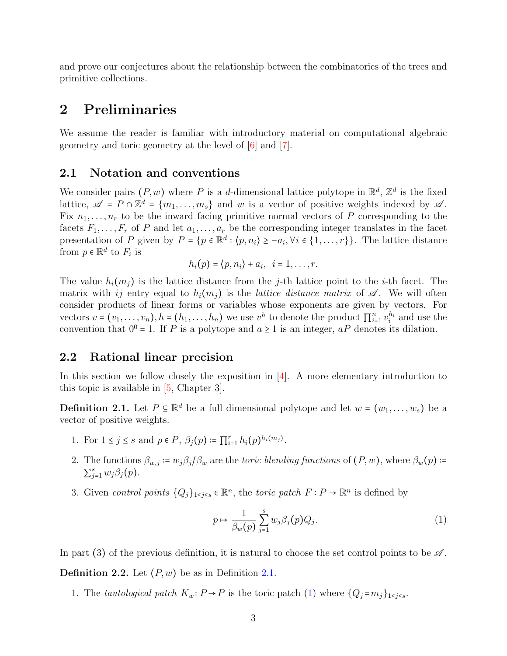and prove our conjectures about the relationship between the combinatorics of the trees and primitive collections.

### 2 Preliminaries

We assume the reader is familiar with introductory material on computational algebraic geometry and toric geometry at the level of [\[6\]](#page-40-1) and [\[7\]](#page-40-2).

### <span id="page-2-0"></span>2.1 Notation and conventions

We consider pairs  $(P, w)$  where P is a d-dimensional lattice polytope in  $\mathbb{R}^d$ ,  $\mathbb{Z}^d$  is the fixed lattice  $\mathbb{Z}$ . lattice,  $\mathscr{A} = P \cap \mathbb{Z}^d = \{m_1, \ldots, m_s\}$  and w is a vector of positive weights indexed by  $\mathscr{A}$ . Fix  $n_1, \ldots, n_r$  to be the inward facing primitive normal vectors of P corresponding to the facets  $F_1, \ldots, F_r$  of P and let  $a_1, \ldots, a_r$  be the corresponding integer translates in the facet presentation of P given by  $P = \{p \in \mathbb{R}^d : \langle p, n_i \rangle \ge -a_i, \forall i \in \{1, ..., r\}\}\.$  The lattice distance from  $p \in \mathbb{R}^d$  to  $F_i$  is

$$
h_i(p) = \langle p, n_i \rangle + a_i, \quad i = 1, \ldots, r.
$$

The value  $h_i(m_i)$  is the lattice distance from the j-th lattice point to the *i*-th facet. The matrix with ij entry equal to  $h_i(m_i)$  is the *lattice distance matrix* of  $\mathscr A$ . We will often consider products of linear forms or variables whose exponents are given by vectors. For vectors  $v = (v_1, \ldots, v_n)$ ,  $h = (h_1, \ldots, h_n)$  we use  $v^h$  to denote the product  $\prod_{i=1}^n v_i^{h_i}$  and use the convention that  $0^0 = 1$ . If P is a polytope and  $a \ge 1$  is an integer,  $aP$  denotes its dilation.

### 2.2 Rational linear precision

In this section we follow closely the exposition in  $[4]$ . A more elementary introduction to this topic is available in [\[5,](#page-40-3) Chapter 3].

<span id="page-2-1"></span>**Definition 2.1.** Let  $P \subseteq \mathbb{R}^d$  be a full dimensional polytope and let  $w = (w_1, \ldots, w_s)$  be a vector of positive weights.

- 1. For  $1 \le j \le s$  and  $p \in P$ ,  $\beta_j(p) := \prod_{i=1}^r h_i(p)^{h_i(m_j)}$ .
- 2. The functions  $\beta_{w,j} := w_j \beta_j / \beta_w$  are the *toric blending functions* of  $(P, w)$ , where  $\beta_w(p)$  :=  $\sum_{j=1}^s w_j \beta_j(p)$ .
- 3. Given control points  ${Q_j}_{1 \leq j \leq s} \in \mathbb{R}^n$ , the toric patch  $F : P \to \mathbb{R}^n$  is defined by

<span id="page-2-2"></span>
$$
p \mapsto \frac{1}{\beta_w(p)} \sum_{j=1}^s w_j \beta_j(p) Q_j. \tag{1}
$$

In part (3) of the previous definition, it is natural to choose the set control points to be  $\mathscr A$ .

**Definition 2.2.** Let  $(P, w)$  be as in Definition [2.1.](#page-2-1)

1. The tautological patch  $K_w: P \to P$  is the toric patch [\(1\)](#page-2-2) where  $\{Q_j = m_j\}_{1 \leq j \leq s}$ .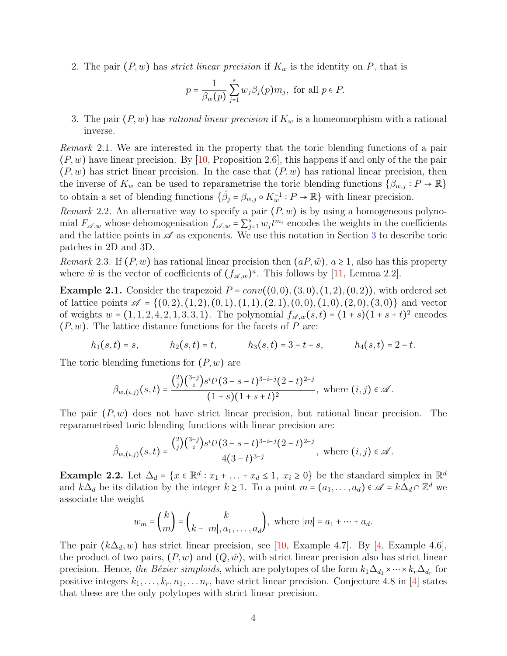2. The pair  $(P, w)$  has *strict linear precision* if  $K_w$  is the identity on P, that is

$$
p = \frac{1}{\beta_w(p)} \sum_{j=1}^s w_j \beta_j(p) m_j
$$
, for all  $p \in P$ .

3. The pair  $(P, w)$  has rational linear precision if  $K_w$  is a homeomorphism with a rational inverse.

Remark 2.1. We are interested in the property that the toric blending functions of a pair  $(P, w)$  have linear precision. By [\[10,](#page-41-1) Proposition 2.6], this happens if and only of the the pair  $(P, w)$  has strict linear precision. In the case that  $(P, w)$  has rational linear precision, then the inverse of  $K_w$  can be used to reparametrise the toric blending functions  $\{\beta_{w,j}: P \to \mathbb{R}\}\$ to obtain a set of blending functions  $\{\hat{\beta}_j = \beta_{w,j} \circ K_w^{-1} : P \to \mathbb{R}\}$  with linear precision.

Remark 2.2. An alternative way to specify a pair  $(P, w)$  is by using a homogeneous polynomial  $F_{\mathscr{A},w}$  whose dehomogenisation  $f_{\mathscr{A},w} = \sum_{j=1}^{s} w_j t^{m_i}$  encodes the weights in the coefficients and the lattice points in  $\mathscr A$  as exponents. We use this notation in Section [3](#page-7-2) to describe toric patches in 2D and 3D.

<span id="page-3-1"></span>Remark 2.3. If  $(P, w)$  has rational linear precision then  $(aP, \tilde{w})$ ,  $a \ge 1$ , also has this property where  $\tilde{w}$  is the vector of coefficients of  $(f_{\mathscr{A},w})^a$ . This follows by [\[11,](#page-41-2) Lemma 2.2].

<span id="page-3-0"></span>**Example 2.1.** Consider the trapezoid  $P = conv((0,0), (3,0), (1,2), (0,2))$ , with ordered set of lattice points  $\mathscr{A} = \{(0, 2), (1, 2), (0, 1), (1, 1), (2, 1), (0, 0), (1, 0), (2, 0), (3, 0)\}\$ and vector of weights  $w = (1, 1, 2, 4, 2, 1, 3, 3, 1)$ . The polynomial  $f_{\mathscr{A},w}(s,t) = (1+s)(1+s+t)^2$  encodes  $(P, w)$ . The lattice distance functions for the facets of P are:

$$
h_1(s,t) = s,
$$
  $h_2(s,t) = t,$   $h_3(s,t) = 3-t-s,$   $h_4(s,t) = 2-t.$ 

The toric blending functions for  $(P, w)$  are

$$
\beta_{w,(i,j)}(s,t) = \frac{{\binom{2}{j}} {\binom{3-j}{i}} s^i t^j (3-s-t)^{3-i-j} (2-t)^{2-j}}{(1+s)(1+s+t)^2}, \text{ where } (i,j) \in \mathcal{A}.
$$

The pair  $(P, w)$  does not have strict linear precision, but rational linear precision. The reparametrised toric blending functions with linear precision are:

$$
\hat{\beta}_{w,(i,j)}(s,t) = \frac{{\binom{2}{j}} {\binom{3-j}{i}} s^i t^j (3-s-t)^{3-i-j} (2-t)^{2-j}}{4(3-t)^{3-j}}, \text{ where } (i,j) \in \mathcal{A}.
$$

Example 2.2. Let  $\Delta_d = \{x \in \mathbb{R}^d : x_1 + ... + x_d \le 1, x_i \ge 0\}$  be the standard simplex in  $\mathbb{R}^d$ and  $k\Delta_d$  be its dilation by the integer  $k \geq 1$ . To a point  $m = (a_1, \ldots, a_d) \in \mathscr{A} = k\Delta_d \cap \mathbb{Z}^d$  we associate the weight

$$
w_m = {k \choose m} = {k \choose k - |m|, a_1, \dots, a_d}, \text{ where } |m| = a_1 + \dots + a_d.
$$

The pair  $(k\Delta_d, w)$  has strict linear precision, see [\[10,](#page-41-1) Example 4.7]. By [\[4,](#page-40-0) Example 4.6], the product of two pairs,  $(P, w)$  and  $(Q, \tilde{w})$ , with strict linear precision also has strict linear precision. Hence, the Bézier simploids, which are polytopes of the form  $k_1\Delta_{d_1}\times\cdots\times k_r\Delta_{d_r}$  for positive integers  $k_1, \ldots, k_r, n_1, \ldots, n_r$ , have strict linear precision. Conjecture 4.8 in [\[4\]](#page-40-0) states that these are the only polytopes with strict linear precision.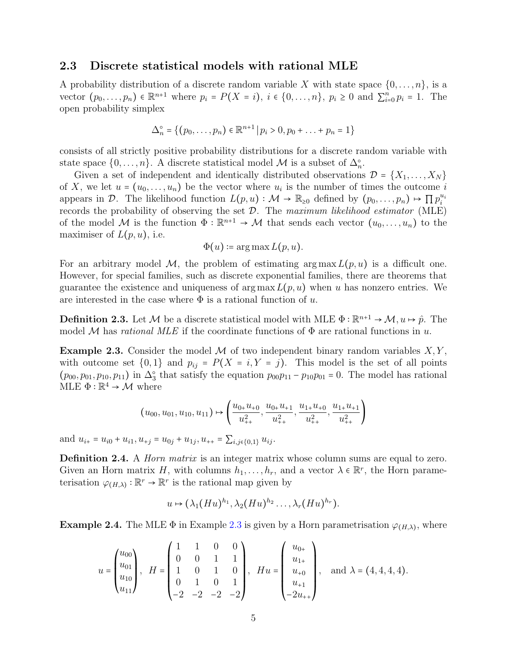### 2.3 Discrete statistical models with rational MLE

A probability distribution of a discrete random variable X with state space  $\{0, \ldots, n\}$ , is a vector  $(p_0, \ldots, p_n) \in \mathbb{R}^{n+1}$  where  $p_i = P(X = i)$ ,  $i \in \{0, \ldots, n\}$ ,  $p_i \ge 0$  and  $\sum_{i=0}^n p_i = 1$ . The open probability simplex

$$
\Delta_n^{\circ} = \{ (p_0, \ldots, p_n) \in \mathbb{R}^{n+1} \mid p_i > 0, p_0 + \ldots + p_n = 1 \}
$$

consists of all strictly positive probability distributions for a discrete random variable with state space  $\{0, \ldots, n\}$ . A discrete statistical model M is a subset of  $\Delta_n^{\circ}$ .

Given a set of independent and identically distributed observations  $\mathcal{D} = \{X_1, \ldots, X_N\}$ of X, we let  $u = (u_0, \ldots, u_n)$  be the vector where  $u_i$  is the number of times the outcome is  $\mathcal{D}$ . The likelihood function  $I(x, y) \in M$ ,  $\mathbb{R}$ , defined by  $(x, y) \in \mathbb{R}^{u_i}$ appears in D. The likelihood function  $L(p, u) : \mathcal{M} \to \mathbb{R}_{\geq 0}$  defined by  $(p_0, \ldots, p_n) \mapsto \prod p_i^{u_i}$ records the probability of observing the set  $\mathcal{D}$ . The maximum likelihood estimator (MLE) of the model M is the function  $\Phi : \mathbb{R}^{n+1} \to M$  that sends each vector  $(u_0, \ldots, u_n)$  to the maximiser of  $L(p, u)$ , i.e.

$$
\Phi(u) \coloneqq \arg \max L(p, u).
$$

For an arbitrary model M, the problem of estimating  $\arg \max L(p, u)$  is a difficult one. However, for special families, such as discrete exponential families, there are theorems that guarantee the existence and uniqueness of  $\arg \max L(p, u)$  when u has nonzero entries. We are interested in the case where  $\Phi$  is a rational function of u.

**Definition 2.3.** Let M be a discrete statistical model with MLE  $\Phi : \mathbb{R}^{n+1} \to \mathcal{M}, u \mapsto \hat{p}$ . The model M has rational MLE if the coordinate functions of  $\Phi$  are rational functions in u.

<span id="page-4-0"></span>**Example 2.3.** Consider the model M of two independent binary random variables  $X, Y$ , with outcome set  $\{0,1\}$  and  $p_{ij} = P(X = i, Y = j)$ . This model is the set of all points  $(p_{00}, p_{01}, p_{10}, p_{11})$  in  $\Delta_3^{\circ}$  that satisfy the equation  $p_{00}p_{11} - p_{10}p_{01} = 0$ . The model has rational MLE  $\Phi : \mathbb{R}^4 \to \mathcal{M}$  where

$$
(u_{00}, u_{01}, u_{10}, u_{11}) \mapsto \left(\frac{u_{0+}u_{+0}}{u_{++}^2}, \frac{u_{0+}u_{+1}}{u_{++}^2}, \frac{u_{1+}u_{+0}}{u_{++}^2}, \frac{u_{1+}u_{+1}}{u_{++}^2}\right)
$$

and  $u_{i+} = u_{i0} + u_{i1}, u_{+j} = u_{0j} + u_{1j}, u_{++} = \sum_{i,j \in \{0,1\}} u_{ij}$ .

**Definition 2.4.** A *Horn matrix* is an integer matrix whose column sums are equal to zero. Given an Horn matrix H, with columns  $h_1, \ldots, h_r$ , and a vector  $\lambda \in \mathbb{R}^r$ , the Horn parameterisation  $\varphi_{(H,\lambda)} : \mathbb{R}^r \to \mathbb{R}^r$  is the rational map given by

$$
u\mapsto (\lambda_1(Hu)^{h_1},\lambda_2(Hu)^{h_2}\ldots,\lambda_r(Hu)^{h_r}).
$$

**Example 2.4.** The MLE  $\Phi$  in Example [2.3](#page-4-0) is given by a Horn parametrisation  $\varphi_{(H,\lambda)}$ , where

$$
u = \begin{pmatrix} u_{00} \\ u_{01} \\ u_{10} \\ u_{11} \end{pmatrix}, \quad H = \begin{pmatrix} 1 & 1 & 0 & 0 \\ 0 & 0 & 1 & 1 \\ 1 & 0 & 1 & 0 \\ 0 & 1 & 0 & 1 \\ -2 & -2 & -2 & -2 \end{pmatrix}, \quad Hu = \begin{pmatrix} u_{0+} \\ u_{1+} \\ u_{+0} \\ u_{+1} \\ -2u_{++} \end{pmatrix}, \quad \text{and } \lambda = (4, 4, 4, 4).
$$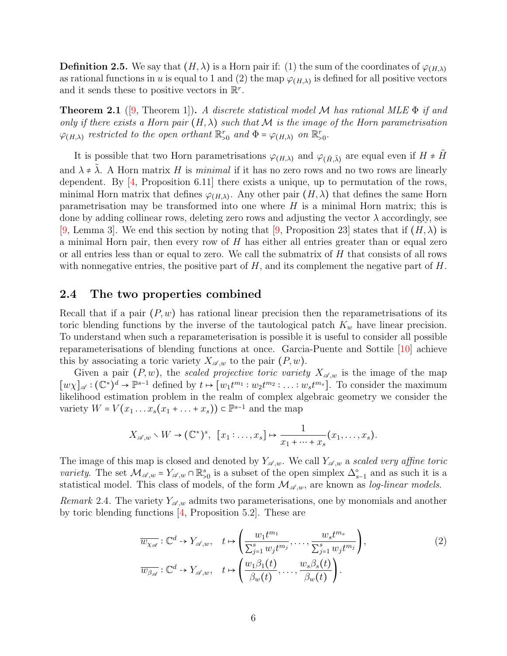**Definition 2.5.** We say that  $(H, \lambda)$  is a Horn pair if: (1) the sum of the coordinates of  $\varphi_{(H,\lambda)}$ as rational functions in u is equal to 1 and (2) the map  $\varphi_{(H,\lambda)}$  is defined for all positive vectors and it sends these to positive vectors in  $\mathbb{R}^r$ .

<span id="page-5-1"></span>**Theorem 2.1** ([\[9,](#page-41-3) Theorem 1]). A discrete statistical model M has rational MLE  $\Phi$  if and only if there exists a Horn pair  $(H, \lambda)$  such that M is the image of the Horn parametrisation  $\varphi_{(H,\lambda)}$  restricted to the open orthant  $\mathbb{R}^r_{>0}$  and  $\Phi = \varphi_{(H,\lambda)}$  on  $\mathbb{R}^r_{>0}$ .

It is possible that two Horn parametrisations  $\varphi_{(H,\lambda)}$  and  $\varphi_{(\tilde{H},\tilde{\lambda})}$  are equal even if  $H \neq \tilde{H}$ and  $\lambda \neq \lambda$ . A Horn matrix H is minimal if it has no zero rows and no two rows are linearly dependent. By [\[4,](#page-40-0) Proposition 6.11] there exists a unique, up to permutation of the rows, minimal Horn matrix that defines  $\varphi_{(H,\lambda)}$ . Any other pair  $(H,\lambda)$  that defines the same Horn parametrisation may be transformed into one where  $H$  is a minimal Horn matrix; this is done by adding collinear rows, deleting zero rows and adjusting the vector  $\lambda$  accordingly, see [\[9,](#page-41-3) Lemma 3]. We end this section by noting that [9, Proposition 23] states that if  $(H, \lambda)$  is a minimal Horn pair, then every row of  $H$  has either all entries greater than or equal zero or all entries less than or equal to zero. We call the submatrix of  $H$  that consists of all rows with nonnegative entries, the positive part of  $H$ , and its complement the negative part of  $H$ .

### <span id="page-5-0"></span>2.4 The two properties combined

Recall that if a pair  $(P, w)$  has rational linear precision then the reparametrisations of its toric blending functions by the inverse of the tautological patch  $K_w$  have linear precision. To understand when such a reparameterisation is possible it is useful to consider all possible reparameterisations of blending functions at once. Garcia-Puente and Sottile [\[10\]](#page-41-1) achieve this by associating a toric variety  $X_{\mathscr{A},w}$  to the pair  $(P, w)$ .

Given a pair  $(P, w)$ , the scaled projective toric variety  $X_{\mathscr{A}, w}$  is the image of the map  $[w\chi]_{\mathscr{A}} : (\mathbb{C}^*)^d \to \mathbb{P}^{s-1}$  defined by  $t \mapsto [w_1 t^{m_1} : w_2 t^{m_2} : \dots : w_s t^{m_s}]$ . To consider the maximum likelihood estimation problem in the realm of complex algebraic geometry we consider the variety  $W = V(x_1 \dots x_s(x_1 + \dots + x_s)) \subset \mathbb{P}^{s-1}$  and the map

$$
X_{\mathscr{A},w}\setminus W\to (\mathbb{C}^*)^s, \ \ [x_1:\ldots,x_s]\mapsto \frac{1}{x_1+\cdots+x_s}(x_1,\ldots,x_s).
$$

The image of this map is closed and denoted by  $Y_{\mathscr{A},w}$ . We call  $Y_{\mathscr{A},w}$  a scaled very affine toric variety. The set  $\mathcal{M}_{\mathscr{A},w} = Y_{\mathscr{A},w} \cap \mathbb{R}_{>0}^s$  is a subset of the open simplex  $\Delta_{s-1}^{\circ}$  and as such it is a strictive linear and as such it is a statistical model. This class of models, of the form  $\mathcal{M}_{\mathscr{A},w}$ , are known as log-linear models.

Remark 2.4. The variety  $Y_{\mathscr{A},w}$  admits two parameterisations, one by monomials and another by toric blending functions [\[4,](#page-40-0) Proposition 5.2]. These are

<span id="page-5-2"></span>
$$
\overline{w_{\chi_{\mathscr{A}}}} : \mathbb{C}^d \to Y_{\mathscr{A},w}, \quad t \mapsto \left(\frac{w_1 t^{m_1}}{\sum_{j=1}^s w_j t^{m_j}}, \dots, \frac{w_s t^{m_s}}{\sum_{j=1}^s w_j t^{m_j}}\right),
$$
\n
$$
\overline{w_{\beta_{\mathscr{A}}}} : \mathbb{C}^d \to Y_{\mathscr{A},w}, \quad t \mapsto \left(\frac{w_1 \beta_1(t)}{\beta_w(t)}, \dots, \frac{w_s \beta_s(t)}{\beta_w(t)}\right).
$$
\n
$$
(2)
$$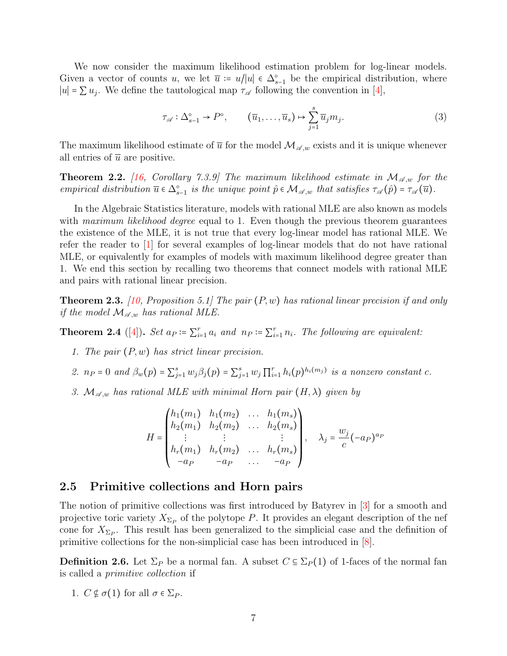We now consider the maximum likelihood estimation problem for log-linear models. Given a vector of counts u, we let  $\overline{u} = u/|u| \in \Delta_{s-1}^{\circ}$  be the empirical distribution, where  $|u| = \sum u_j$ . We define the tautological map  $\tau_{\mathscr{A}}$  following the convention in [\[4\]](#page-40-0),

<span id="page-6-3"></span>
$$
\tau_{\mathscr{A}} : \Delta_{s-1}^{\circ} \to P^{\circ}, \qquad (\overline{u}_1, \dots, \overline{u}_s) \mapsto \sum_{j=1}^s \overline{u}_j m_j.
$$
 (3)

The maximum likelihood estimate of  $\overline{u}$  for the model  $\mathcal{M}_{\mathscr{A},w}$  exists and it is unique whenever all entries of  $\bar{u}$  are positive.

**Theorem 2.2.** [\[16,](#page-41-5) Corollary 7.3.9] The maximum likelihood estimate in  $\mathcal{M}_{\mathscr{A},w}$  for the empirical distribution  $\overline{u} \in \Delta_{s-1}^{\circ}$  is the unique point  $\hat{p} \in \mathcal{M}_{\mathscr{A},w}$  that satisfies  $\tau_{\mathscr{A}}(\hat{p}) = \tau_{\mathscr{A}}(\overline{u})$ .

In the Algebraic Statistics literature, models with rational MLE are also known as models with maximum likelihood degree equal to 1. Even though the previous theorem guarantees the existence of the MLE, it is not true that every log-linear model has rational MLE. We refer the reader to [\[1\]](#page-40-4) for several examples of log-linear models that do not have rational MLE, or equivalently for examples of models with maximum likelihood degree greater than 1. We end this section by recalling two theorems that connect models with rational MLE and pairs with rational linear precision.

<span id="page-6-2"></span>**Theorem 2.3.** [\[10,](#page-41-1) Proposition 5.1] The pair  $(P, w)$  has rational linear precision if and only if the model  $\mathcal{M}_{\mathscr{A},w}$  has rational MLE.

<span id="page-6-1"></span>**Theorem 2.4** ([\[4\]](#page-40-0)). Set  $a_P \coloneqq \sum_{i=1}^r a_i$  and  $n_P \coloneqq \sum_{i=1}^r n_i$ . The following are equivalent:

- 1. The pair  $(P, w)$  has strict linear precision.
- 2.  $n_P = 0$  and  $\beta_w(p) = \sum_{j=1}^s w_j \beta_j(p) = \sum_{j=1}^s w_j \prod_{i=1}^r h_i(p)^{h_i(m_j)}$  is a nonzero constant c.
- 3.  $\mathcal{M}_{\mathscr{A},w}$  has rational MLE with minimal Horn pair  $(H, \lambda)$  given by

$$
H = \begin{pmatrix} h_1(m_1) & h_1(m_2) & \dots & h_1(m_s) \\ h_2(m_1) & h_2(m_2) & \dots & h_2(m_s) \\ \vdots & \vdots & & \vdots \\ h_r(m_1) & h_r(m_2) & \dots & h_r(m_s) \\ -a_P & -a_P & \dots & -a_P \end{pmatrix}, \quad \lambda_j = \frac{w_j}{c} (-a_P)^{a_P}
$$

### <span id="page-6-0"></span>2.5 Primitive collections and Horn pairs

The notion of primitive collections was first introduced by Batyrev in [\[3\]](#page-40-5) for a smooth and projective toric variety  $X_{\Sigma_P}$  of the polytope P. It provides an elegant description of the nef cone for  $X_{\Sigma_P}$ . This result has been generalized to the simplicial case and the definition of primitive collections for the non-simplicial case has been introduced in [\[8\]](#page-41-6).

<span id="page-6-4"></span>**Definition 2.6.** Let  $\Sigma_P$  be a normal fan. A subset  $C \subseteq \Sigma_P(1)$  of 1-faces of the normal fan is called a primitive collection if

1.  $C \not\in \sigma(1)$  for all  $\sigma \in \Sigma_P$ .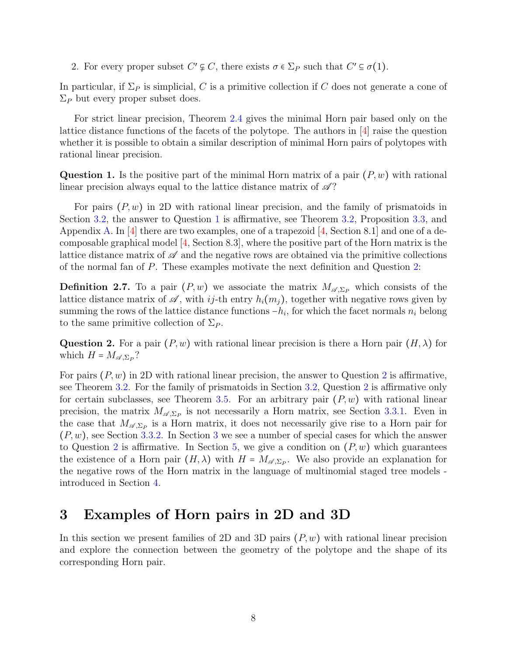2. For every proper subset  $C' \varphi C$ , there exists  $\sigma \in \Sigma_P$  such that  $C' \varphi C$ .

In particular, if  $\Sigma_P$  is simplicial, C is a primitive collection if C does not generate a cone of  $\Sigma_P$  but every proper subset does.

For strict linear precision, Theorem [2.4](#page-6-1) gives the minimal Horn pair based only on the lattice distance functions of the facets of the polytope. The authors in [\[4\]](#page-40-0) raise the question whether it is possible to obtain a similar description of minimal Horn pairs of polytopes with rational linear precision.

<span id="page-7-0"></span>**Question 1.** Is the positive part of the minimal Horn matrix of a pair  $(P, w)$  with rational linear precision always equal to the lattice distance matrix of  $\mathscr{A}$ ?

For pairs  $(P, w)$  in 2D with rational linear precision, and the family of prismatoids in Section [3.2,](#page-10-0) the answer to Question [1](#page-7-0) is affirmative, see Theorem [3.2,](#page-9-0) Proposition [3.3,](#page-10-1) and Appendix [A.](#page-42-0) In  $[4]$  there are two examples, one of a trapezoid  $[4, Section 8.1]$  $[4, Section 8.1]$  and one of a decomposable graphical model  $[4, Section 8.3]$  $[4, Section 8.3]$ , where the positive part of the Horn matrix is the lattice distance matrix of  $\mathscr A$  and the negative rows are obtained via the primitive collections of the normal fan of P. These examples motivate the next definition and Question [2:](#page-7-1)

**Definition 2.7.** To a pair  $(P, w)$  we associate the matrix  $M_{\mathscr{A}, \Sigma_P}$  which consists of the lattice distance matrix of  $\mathscr A$ , with ij-th entry  $h_i(m_j)$ , together with negative rows given by summing the rows of the lattice distance functions  $-h_i$ , for which the facet normals  $n_i$  belong to the same primitive collection of  $\Sigma_P$ .

<span id="page-7-1"></span>**Question 2.** For a pair  $(P, w)$  with rational linear precision is there a Horn pair  $(H, \lambda)$  for which  $H = M_{\mathscr{A}, \Sigma_P}$ ?

For pairs  $(P, w)$  in [2](#page-7-1)D with rational linear precision, the answer to Question 2 is affirmative, see Theorem [3.2.](#page-9-0) For the family of prismatoids in Section [3.2,](#page-10-0) Question [2](#page-7-1) is affirmative only for certain subclasses, see Theorem [3.5.](#page-17-0) For an arbitrary pair  $(P, w)$  with rational linear precision, the matrix  $M_{\mathscr{A},\Sigma_P}$  is not necessarily a Horn matrix, see Section [3.3.1.](#page-14-0) Even in the case that  $M_{\mathscr{A},\Sigma_P}$  is a Horn matrix, it does not necessarily give rise to a Horn pair for  $(P, w)$ , see Section [3.3.2.](#page-15-0) In Section [3](#page-7-2) we see a number of special cases for which the answer to Question [2](#page-7-1) is affirmative. In Section [5,](#page-32-0) we give a condition on  $(P, w)$  which guarantees the existence of a Horn pair  $(H, \lambda)$  with  $H = M_{\mathscr{A}, \Sigma_P}$ . We also provide an explanation for the negative rows of the Horn matrix in the language of multinomial staged tree models introduced in Section [4.](#page-18-1)

## <span id="page-7-2"></span>3 Examples of Horn pairs in 2D and 3D

In this section we present families of 2D and 3D pairs  $(P, w)$  with rational linear precision and explore the connection between the geometry of the polytope and the shape of its corresponding Horn pair.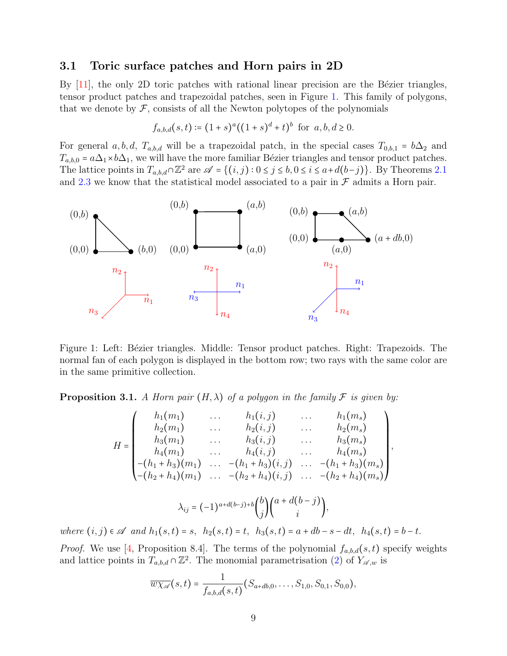### <span id="page-8-2"></span>3.1 Toric surface patches and Horn pairs in 2D

By  $[11]$ , the only 2D toric patches with rational linear precision are the Bézier triangles, tensor product patches and trapezoidal patches, seen in Figure [1.](#page-8-0) This family of polygons, that we denote by  $\mathcal F$ , consists of all the Newton polytopes of the polynomials

$$
f_{a,b,d}(s,t) \coloneqq (1+s)^a ((1+s)^d + t)^b \text{ for } a,b,d \ge 0.
$$

For general a, b, d,  $T_{a,b,d}$  will be a trapezoidal patch, in the special cases  $T_{0,b,1} = b\Delta_2$  and  $T_{a,b,0} = a\Delta_1 \times b\Delta_1$ , we will have the more familiar Bézier triangles and tensor product patches. The lattice points in  $T_{a,b,d} \cap \mathbb{Z}^2$  are  $\mathscr{A} = \{(i,j): 0 \leq j \leq b, 0 \leq i \leq a+d(b-j)\}$ . By Theorems [2.1](#page-5-1) and [2.3](#page-6-2) we know that the statistical model associated to a pair in  $\mathcal F$  admits a Horn pair.

<span id="page-8-0"></span>

Figure 1: Left: Bézier triangles. Middle: Tensor product patches. Right: Trapezoids. The normal fan of each polygon is displayed in the bottom row; two rays with the same color are in the same primitive collection.

<span id="page-8-1"></span>**Proposition 3.1.** A Horn pair  $(H, \lambda)$  of a polygon in the family F is given by:

$$
H = \begin{pmatrix} h_1(m_1) & \dots & h_1(i,j) & \dots & h_1(m_s) \\ h_2(m_1) & \dots & h_2(i,j) & \dots & h_2(m_s) \\ h_3(m_1) & \dots & h_3(i,j) & \dots & h_3(m_s) \\ h_4(m_1) & \dots & h_4(i,j) & \dots & h_4(m_s) \\ -(h_1 + h_3)(m_1) & \dots & -(h_1 + h_3)(i,j) & \dots & -(h_1 + h_3)(m_s) \\ -(h_2 + h_4)(m_1) & \dots & -(h_2 + h_4)(i,j) & \dots & -(h_2 + h_4)(m_s) \end{pmatrix}
$$

,

$$
\lambda_{ij} = (-1)^{a+d(b-j)+b} {b \choose j} {a+d(b-j) \choose i},
$$

where  $(i, j) \in \mathscr{A}$  and  $h_1(s, t) = s$ ,  $h_2(s, t) = t$ ,  $h_3(s, t) = a + db - s - dt$ ,  $h_4(s, t) = b - t$ .

*Proof.* We use [\[4,](#page-40-0) Proposition 8.4]. The terms of the polynomial  $f_{a,b,d}(s,t)$  specify weights and lattice points in  $T_{a,b,d} \cap \mathbb{Z}^2$ . The monomial parametrisation [\(2\)](#page-5-2) of  $Y_{\mathscr{A},w}$  is

$$
\overline{w\chi_{\mathscr{A}}}(s,t)=\frac{1}{f_{a,b,d}(s,t)}(S_{a+db,0},\ldots,S_{1,0},S_{0,1},S_{0,0}),
$$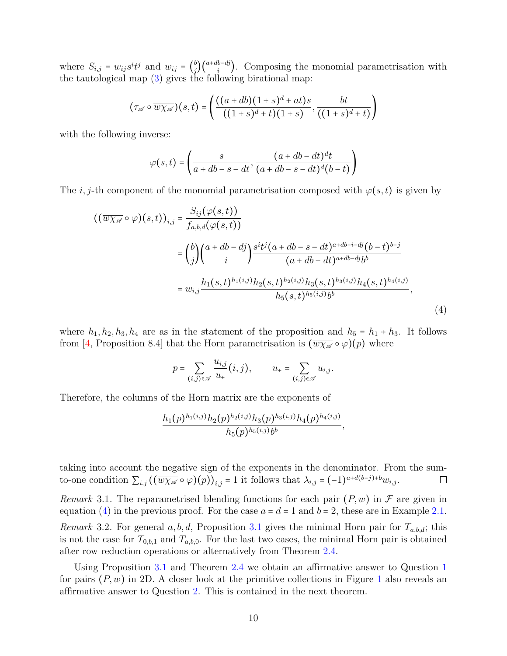where  $S_{i,j} = w_{ij} s^i t^j$  and  $w_{ij} = \begin{pmatrix} b \\ j \end{pmatrix}$ <br>the tentral map (2) gives the  $\binom{b}{j}\binom{a+db-dj}{i}$ . Composing the monomial parametrisation with the tautological map [\(3\)](#page-6-3) gives the following birational map:

$$
(\tau_{\mathscr{A}} \circ \overline{w \chi_{\mathscr{A}}})(s,t) = \left( \frac{((a+db)(1+s)^d + at)s}{((1+s)^d + t)(1+s)}, \frac{bt}{((1+s)^d + t)} \right)
$$

with the following inverse:

$$
\varphi(s,t) = \left(\frac{s}{a+db-s-dt}, \frac{(a+db-dt)^{d}t}{(a+db-s-dt)^{d}(b-t)}\right)
$$

The i, j-th component of the monomial parametrisation composed with  $\varphi(s,t)$  is given by

$$
\begin{split} \left( (\overline{w\chi}_{\mathscr{A}} \circ \varphi)(s,t) \right)_{i,j} &= \frac{S_{ij}(\varphi(s,t))}{f_{a,b,d}(\varphi(s,t))} \\ &= \binom{b}{j} \binom{a+db-dj}{i} \frac{s^i t^j (a+db-s-dt)^{a+db-i-dj} (b-t)^{b-j}}{(a+db-dt)^{a+db-dj} b^b} \\ &= w_{i,j} \frac{h_1(s,t)^{h_1(i,j)} h_2(s,t)^{h_2(i,j)} h_3(s,t)^{h_3(i,j)} h_4(s,t)^{h_4(i,j)}}{h_5(s,t)^{h_5(i,j)} b^b}, \end{split} \tag{4}
$$

where  $h_1, h_2, h_3, h_4$  are as in the statement of the proposition and  $h_5 = h_1 + h_3$ . It follows from [\[4,](#page-40-0) Proposition 8.4] that the Horn parametrisation is  $(\overline{w\chi_{\mathscr{A}}}\circ\varphi)(p)$  where

<span id="page-9-1"></span>
$$
p = \sum_{(i,j)\in\mathscr{A}} \frac{u_{i,j}}{u_{+}}(i,j), \qquad u_{+} = \sum_{(i,j)\in\mathscr{A}} u_{i,j}.
$$

Therefore, the columns of the Horn matrix are the exponents of

$$
\frac{h_1(p)^{h_1(i,j)}h_2(p)^{h_2(i,j)}h_3(p)^{h_3(i,j)}h_4(p)^{h_4(i,j)}}{h_5(p)^{h_5(i,j)}b^b},
$$

taking into account the negative sign of the exponents in the denominator. From the sumto-one condition  $\sum_{i,j} ((\overline{w\chi_{\mathscr{A}}}\circ\varphi)(p))_{i,j} = 1$  it follows that  $\lambda_{i,j} = (-1)^{a+d(b-j)+b}w_{i,j}$ .  $\Box$ 

Remark 3.1. The reparametrised blending functions for each pair  $(P, w)$  in F are given in equation [\(4\)](#page-9-1) in the previous proof. For the case  $a = d = 1$  and  $b = 2$ , these are in Example [2.1.](#page-3-0)

Remark 3.2. For general  $a, b, d$ , Proposition [3.1](#page-8-1) gives the minimal Horn pair for  $T_{a,b,d}$ ; this is not the case for  $T_{0,b,1}$  and  $T_{a,b,0}$ . For the last two cases, the minimal Horn pair is obtained after row reduction operations or alternatively from Theorem [2.4.](#page-6-1)

<span id="page-9-0"></span>Using Proposition [3.1](#page-8-1) and Theorem [2.4](#page-6-1) we obtain an affirmative answer to Question [1](#page-7-0) for pairs  $(P, w)$  in 2D. A closer look at the primitive collections in Figure [1](#page-8-0) also reveals an affirmative answer to Question [2.](#page-7-1) This is contained in the next theorem.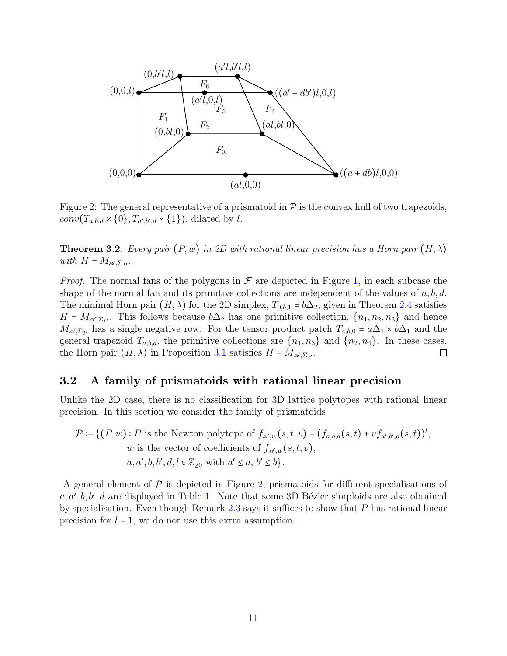<span id="page-10-2"></span>

Figure 2: The general representative of a prismatoid in  $\mathcal P$  is the convex hull of two trapezoids,  $conv(T_{a,b,d} \times \{0\}, T_{a',b',d} \times \{1\})$ , dilated by l.

**Theorem 3.2.** Every pair  $(P, w)$  in 2D with rational linear precision has a Horn pair  $(H, \lambda)$ with  $H = M_{\mathscr{A}, \Sigma_P}$ .

*Proof.* The normal fans of the polygons in  $\mathcal F$  are depicted in Figure [1,](#page-8-0) in each subcase the shape of the normal fan and its primitive collections are independent of the values of  $a, b, d$ . The minimal Horn pair  $(H, \lambda)$  for the 2D simplex,  $T_{0,b,1} = b\Delta_2$ , given in Theorem [2.4](#page-6-1) satisfies  $H = M_{\mathscr{A},\Sigma_P}$ . This follows because  $b\Delta_2$  has one primitive collection,  $\{n_1, n_2, n_3\}$  and hence  $M_{\mathscr{A},\Sigma_P}$  has a single negative row. For the tensor product patch  $T_{a,b,0} = a\Delta_1 \times b\Delta_1$  and the general trapezoid  $T_{a,b,d}$ , the primitive collections are  $\{n_1, n_3\}$  and  $\{n_2, n_4\}$ . In these cases, the Horn pair  $(H, \lambda)$  in Proposition 3.1 satisfies  $H = M_{\alpha} s_{B}$ . the Horn pair  $(H, \lambda)$  in Proposition [3.1](#page-8-1) satisfies  $H = M_{\mathscr{A}, \Sigma_P}$ .

### <span id="page-10-0"></span>3.2 A family of prismatoids with rational linear precision

Unlike the 2D case, there is no classification for 3D lattice polytopes with rational linear precision. In this section we consider the family of prismatoids

$$
\mathcal{P} \coloneqq \{(P, w) : P \text{ is the Newton polytope of } f_{\mathscr{A},w}(s,t,v) = (f_{a,b,d}(s,t) + v f_{a',b',d}(s,t))^l, \newline w \text{ is the vector of coefficients of } f_{\mathscr{A},w}(s,t,v), \newline a, a', b, b', d, l \in \mathbb{Z}_{\geq 0} \text{ with } a' \leq a, b' \leq b\}.
$$

<span id="page-10-1"></span>A general element of  $\mathcal P$  is depicted in Figure [2,](#page-10-2) prismatoids for different specialisations of  $a, a', b, b', d$  are displayed in Table [1.](#page-11-0) Note that some 3D Bézier simploids are also obtained by specialisation. Even though Remark [2.3](#page-3-1) says it suffices to show that  $P$  has rational linear precision for  $l = 1$ , we do not use this extra assumption.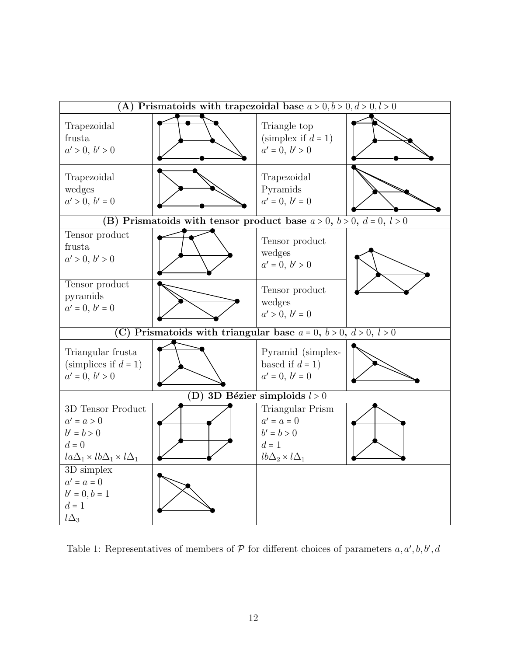<span id="page-11-0"></span>

Table 1: Representatives of members of  $P$  for different choices of parameters  $a, a', b, b', d$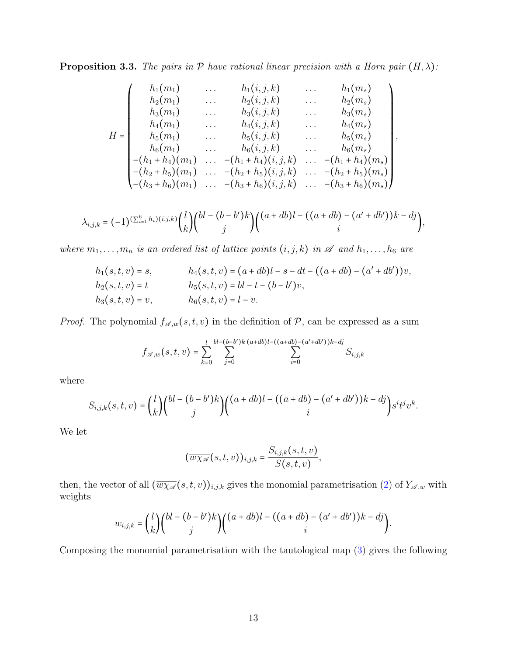**Proposition 3.3.** The pairs in  $P$  have rational linear precision with a Horn pair  $(H, \lambda)$ :

$$
H = \begin{pmatrix} h_1(m_1) & \dots & h_1(i,j,k) & \dots & h_1(m_s) \\ h_2(m_1) & \dots & h_2(i,j,k) & \dots & h_2(m_s) \\ h_3(m_1) & \dots & h_3(i,j,k) & \dots & h_3(m_s) \\ h_4(m_1) & \dots & h_4(i,j,k) & \dots & h_4(m_s) \\ h_5(m_1) & \dots & h_5(i,j,k) & \dots & h_5(m_s) \\ h_6(m_1) & \dots & h_6(i,j,k) & \dots & h_6(m_s) \\ -(h_1 + h_4)(m_1) & \dots & -(h_1 + h_4)(i,j,k) & \dots & -(h_1 + h_4)(m_s) \\ -(h_2 + h_5)(m_1) & \dots & -(h_2 + h_5)(i,j,k) & \dots & -(h_2 + h_5)(m_s) \\ -(h_3 + h_6)(m_1) & \dots & -(h_3 + h_6)(i,j,k) & \dots & -(h_3 + h_6)(m_s) \end{pmatrix},
$$

$$
\lambda_{i,j,k}=(-1)^{(\sum_{i=1}^{6}h_i)(i,j,k)}\binom{l}{k}\binom{bl-(b-b')k}{j}\binom{(a+db)l-\big((a+db\big)-(a'+db')\big)k-dj}{i},
$$

where  $m_1, \ldots, m_n$  is an ordered list of lattice points  $(i, j, k)$  in  $\mathscr A$  and  $h_1, \ldots, h_6$  are

$$
h_1(s,t,v) = s, \t\t h_4(s,t,v) = (a+db)l - s - dt - ((a+db) - (a'+db'))v,\n h_2(s,t,v) = t\t h_5(s,t,v) = bl - t - (b-b')v,\n h_3(s,t,v) = v, \t\t h_6(s,t,v) = l - v.
$$

*Proof.* The polynomial  $f_{\mathscr{A},w}(s,t,v)$  in the definition of  $P$ , can be expressed as a sum

$$
f_{\mathscr{A},w}(s,t,v) = \sum_{k=0}^{l} \sum_{j=0}^{bl-(b-b')k} \sum_{(a+db)l - ((a+db) - (a'+db'))k - dj} S_{i,j,k}
$$

where

$$
S_{i,j,k}(s,t,v) = {l \choose k} {bl - (b-b')k \choose j} {(a+db)l - ((a+db) - (a'+db'))k - dj \choose i} s^i t^j v^k.
$$

We let

$$
(\overline{w\chi_{\mathscr{A}}}(s,t,v))_{i,j,k}=\frac{S_{i,j,k}(s,t,v)}{S(s,t,v)},
$$

then, the vector of all  $(\overline{w_{\chi_{\mathscr{A}}}(s,t,v)})_{i,j,k}$  gives the monomial parametrisation [\(2\)](#page-5-2) of  $Y_{\mathscr{A},w}$  with weights

$$
w_{i,j,k} = {l \choose k} {bl - (b - b')k \choose j} { (a + db)l - (a + db) - (a' + db')k - dj \choose i}.
$$

Composing the monomial parametrisation with the tautological map [\(3\)](#page-6-3) gives the following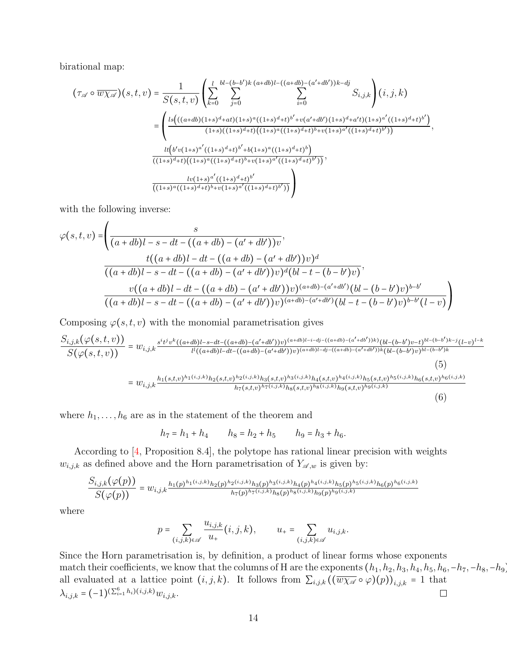birational map:

$$
\begin{split}\n\left(\tau_{\mathscr{A}}\circ\overline{w\chi_{\mathscr{A}}}\right)(s,t,v) &= \frac{1}{S(s,t,v)} \left( \sum_{k=0}^{l} \sum_{j=0}^{bl-(b-b')k} \sum_{i=0}^{(a+db)l-((a+db)-(a'+db'))k-dj} S_{i,j,k} \right)(i,j,k) \\
&= \left( \frac{ls\left(((a+db)(1+s)^d+at)(1+s)^a((1+s)^d+t)^{b'+v(a'+db')(1+s)^d+a't)(1+s)^{a'}((1+s)^d+t)^{b'}\right)}{(1+s)((1+s)((1+s)^d+t)((1+s)^d+t)^{(1+s)(a'+b'+v)(1+s)^{a'}((1+s)^d+t)^{b'}))}, \\
&\frac{lt(b'v(1+s)^a'((1+s)^d+t)^{b'+b(1+s)^a((1+s)^d+t)^b)}{(1+s)^d+t((1+s)^a((1+s)^d+t)^{b'+v(1+s)^a'((1+s)^d+t)^{b'}))}, \\
&\frac{lv(1+s)^a'((1+s)^d+t)^b}{((1+s)^a((1+s)^d+t)^{b'+v(1+s)^a'((1+s)^d+t)^{b'}}) \right)}\n\end{split}
$$

with the following inverse:

$$
\varphi(s,t,v) = \left(\frac{s}{(a+db)l-s-dt-((a+db)-(a'+db'))v},\frac{t((a+db)l-dt-((a+db)-(a'+db'))v)^d}{((a+db)l-s-dt-((a+db)-(a'+db'))v)^d(bl-t-(b-b')v)},\frac{v((a+db)l-dt-((a+db)-(a'+db'))v)^{(a+db)-(a'+db')}(bl-(b-b')v)^{b-b'}}{((a+db)l-s-dt-((a+db)-(a'+db'))v)^{(a+db)-(a'+db')}(bl-t-(b-b')v)^{b-b'}(l-v)}\right)
$$

Composing  $\varphi(s,t,v)$  with the monomial parametrisation gives

$$
\frac{S_{i,j,k}(\varphi(s,t,v))}{S(\varphi(s,t,v))} = w_{i,j,k} \frac{s^{i}t^{j}v^{k}((a+db)l-s-dt-((a+db)-(a'+db'))v)^{(a+db)l-i-dj-((a+db)-(a'+db'))k)}(bl-(b-b')v-t)^{bl-(b-b')k-j}(l-v)^{l-k}}{l^{l}((a+db)l-dt-((a+db)-(a'+db'))v)^{(a+db)l-dj-((a+db)-(a'+db'))k}(bl-(b-b')v)^{bl-(b-b')k}} \tag{5}
$$
\n
$$
= w_{i,j,k} \frac{h_1(s,t,v)^{h_1(i,j,k)}h_2(s,t,v)^{h_2(i,j,k)}h_3(s,t,v)^{h_3(i,j,k)}h_4(s,t,v)^{h_4(i,j,k)}h_5(s,t,v)^{h_5(i,j,k)}h_6(s,t,v)^{h_6(i,j,k)}}{h_7(s,t,v)^{h_7(i,j,k)}h_8(s,t,v)^{h_8(i,j,k)}h_9(s,t,v)^{h_9(i,j,k)}} \tag{6}
$$

where  $h_1, \ldots, h_6$  are as in the statement of the theorem and

$$
h_7 = h_1 + h_4
$$
  $h_8 = h_2 + h_5$   $h_9 = h_3 + h_6$ .

According to [\[4,](#page-40-0) Proposition 8.4], the polytope has rational linear precision with weights  $w_{i,j,k}$  as defined above and the Horn parametrisation of  $Y_{\mathscr{A},w}$  is given by:

$$
\frac{S_{i,j,k}(\varphi(p))}{S(\varphi(p))} = w_{i,j,k} \frac{h_1(p)^{h_1(i,j,k)} h_2(p)^{h_2(i,j,k)} h_3(p)^{h_3(i,j,k)} h_4(p)^{h_4(i,j,k)} h_5(p)^{h_5(i,j,k)} h_6(p)^{h_6(i,j,k)}}{h_7(p)^{h_7(i,j,k)} h_8(p)^{h_8(i,j,k)} h_9(p)^{h_9(i,j,k)}}
$$

where

$$
p = \sum_{(i,j,k)\in\mathscr{A}} \frac{u_{i,j,k}}{u_+} (i,j,k), \qquad u_+ = \sum_{(i,j,k)\in\mathscr{A}} u_{i,j,k}.
$$

Since the Horn parametrisation is, by definition, a product of linear forms whose exponents match their coefficients, we know that the columns of H are the exponents  $(h_1, h_2, h_3, h_4, h_5, h_6, -h_7, -h_8, -h_9)$ all evaluated at a lattice point  $(i, j, k)$ . It follows from  $\sum_{i,j,k} ((\overline{w\chi_{\mathscr{A}}}\circ\varphi)(p))_{i,j,k} = 1$  that  $\lambda_{i,j,k} = (-1)^{(\sum_{i=1}^{6} h_i)(i,j,k)} w_{i,j,k}$ .  $\lambda_{i,j,k} = (-1)^{(\sum_{i=1}^{6} h_i)(i,j,k)} w_{i,j,k}.$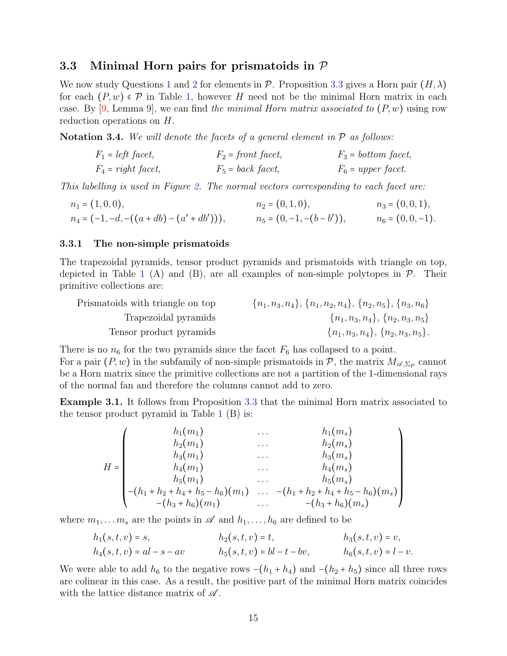### 3.3 Minimal Horn pairs for prismatoids in  $P$

We now study Questions [1](#page-7-0) and [2](#page-7-1) for elements in P. Proposition [3.3](#page-10-1) gives a Horn pair  $(H, \lambda)$ for each  $(P, w) \in \mathcal{P}$  in Table [1,](#page-11-0) however H need not be the minimal Horn matrix in each case. By  $[9, \text{Lemma 9}]$  $[9, \text{Lemma 9}]$ , we can find the minimal Horn matrix associated to  $(P, w)$  using row reduction operations on H.

**Notation 3.4.** We will denote the facets of a general element in  $\mathcal{P}$  as follows:

$$
F_1 = left \text{ facet},
$$
  $F_2 = front \text{ facet},$   $F_3 = bottom \text{ facet},$   
\n $F_4 = right \text{ facet},$   $F_5 = back \text{ facet},$   $F_6 = upper \text{ facet}.$ 

This labelling is used in Figure [2.](#page-10-2) The normal vectors corresponding to each facet are:

$$
n_1 = (1, 0, 0),
$$
  
\n
$$
n_2 = (0, 1, 0),
$$
  
\n
$$
n_3 = (0, 0, 1),
$$
  
\n
$$
n_4 = (-1, -d, -((a + db) - (a' + db'))),
$$
  
\n
$$
n_5 = (0, -1, -(b - b')),
$$
  
\n
$$
n_6 = (0, 0, -1).
$$

#### <span id="page-14-0"></span>3.3.1 The non-simple prismatoids

The trapezoidal pyramids, tensor product pyramids and prismatoids with triangle on top, depicted in Table [1](#page-11-0) (A) and (B), are all examples of non-simple polytopes in  $\mathcal{P}$ . Their primitive collections are:

| Prismatoids with triangle on top | $\{n_1, n_3, n_4\}, \{n_1, n_2, n_4\}, \{n_2, n_5\}, \{n_3, n_6\}$ |
|----------------------------------|--------------------------------------------------------------------|
| Trapezoidal pyramids             | $\{n_1, n_3, n_4\}, \{n_2, n_3, n_5\}$                             |
| Tensor product pyramids          | $\{n_1, n_3, n_4\}, \{n_2, n_3, n_5\}.$                            |

There is no  $n_6$  for the two pyramids since the facet  $F_6$  has collapsed to a point.

For a pair  $(P, w)$  in the subfamily of non-simple prismatoids in P, the matrix  $M_{\mathscr{A}, \Sigma_P}$  cannot be a Horn matrix since the primitive collections are not a partition of the 1-dimensional rays of the normal fan and therefore the columns cannot add to zero.

Example 3.1. It follows from Proposition [3.3](#page-10-1) that the minimal Horn matrix associated to the tensor product pyramid in Table [1](#page-11-0) (B) is:

$$
H = \begin{pmatrix} h_1(m_1) & \dots & h_1(m_s) \\ h_2(m_1) & \dots & h_2(m_s) \\ h_3(m_1) & \dots & h_3(m_s) \\ h_4(m_1) & \dots & h_4(m_s) \\ h_5(m_1) & \dots & h_5(m_s) \\ -(h_1 + h_2 + h_4 + h_5 - h_6)(m_1) & \dots & -(h_1 + h_2 + h_4 + h_5 - h_6)(m_s) \\ -(h_3 + h_6)(m_1) & \dots & -(h_3 + h_6)(m_s) \end{pmatrix}
$$

where  $m_1, \ldots, m_s$  are the points in  $\mathscr A$  and  $h_1, \ldots, h_6$  are defined to be

<sup>h</sup><sup>1</sup>(s, t, v) <sup>=</sup> s, h<sup>2</sup>(s, t, v) <sup>=</sup> t, h<sup>3</sup>(s, t, v) <sup>=</sup> v, <sup>h</sup><sup>4</sup>(s, t, v) <sup>=</sup> al <sup>−</sup> <sup>s</sup> <sup>−</sup> av h<sup>5</sup>(s, t, v) <sup>=</sup> bl <sup>−</sup> <sup>t</sup> <sup>−</sup> bv, h<sup>6</sup>(s, t, v) <sup>=</sup> <sup>l</sup> <sup>−</sup> v.

We were able to add  $h_6$  to the negative rows  $-(h_1 + h_4)$  and  $-(h_2 + h_5)$  since all three rows are colinear in this case. As a result, the positive part of the minimal Horn matrix coincides with the lattice distance matrix of  $\mathscr A$ .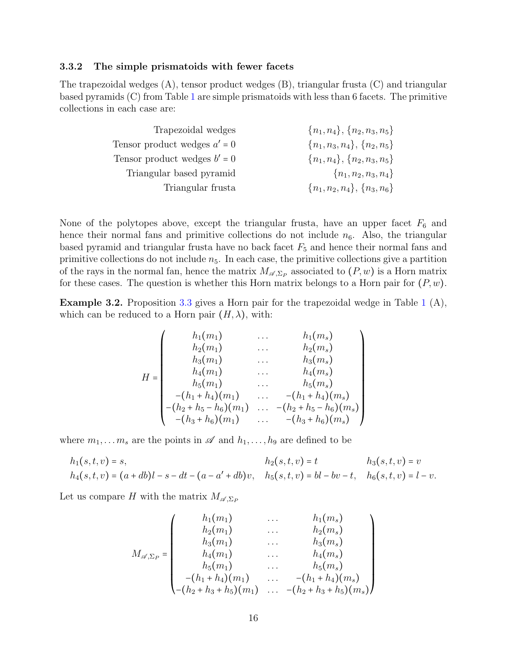#### <span id="page-15-0"></span>3.3.2 The simple prismatoids with fewer facets

The trapezoidal wedges (A), tensor product wedges (B), triangular frusta (C) and triangular based pyramids (C) from Table [1](#page-11-0) are simple prismatoids with less than 6 facets. The primitive collections in each case are:

| Trapezoidal wedges             | $\{n_1, n_4\}, \{n_2, n_3, n_5\}$ |
|--------------------------------|-----------------------------------|
| Tensor product wedges $a' = 0$ | $\{n_1, n_3, n_4\}, \{n_2, n_5\}$ |
| Tensor product wedges $b' = 0$ | $\{n_1, n_4\}, \{n_2, n_3, n_5\}$ |
| Triangular based pyramid       | $\{n_1, n_2, n_3, n_4\}$          |
| Triangular frusta              | $\{n_1, n_2, n_4\}, \{n_3, n_6\}$ |
|                                |                                   |

None of the polytopes above, except the triangular frusta, have an upper facet  $F_6$  and hence their normal fans and primitive collections do not include  $n_6$ . Also, the triangular based pyramid and triangular frusta have no back facet  $F_5$  and hence their normal fans and primitive collections do not include  $n<sub>5</sub>$ . In each case, the primitive collections give a partition of the rays in the normal fan, hence the matrix  $M_{\mathscr{A},\Sigma_P}$  associated to  $(P, w)$  is a Horn matrix for  $(P, w)$ . for these cases. The question is whether this Horn matrix belongs to a Horn pair for  $(P, w)$ .

Example 3.2. Proposition [3.3](#page-10-1) gives a Horn pair for the trapezoidal wedge in Table [1](#page-11-0) (A), which can be reduced to a Horn pair  $(H, \lambda)$ , with:

$$
H = \begin{pmatrix} h_1(m_1) & \dots & h_1(m_s) \\ h_2(m_1) & \dots & h_2(m_s) \\ h_3(m_1) & \dots & h_3(m_s) \\ h_4(m_1) & \dots & h_4(m_s) \\ h_5(m_1) & \dots & h_5(m_s) \\ -(h_1 + h_4)(m_1) & \dots & -(h_1 + h_4)(m_s) \\ -(h_2 + h_5 - h_6)(m_1) & \dots & -(h_2 + h_5 - h_6)(m_s) \\ -(h_3 + h_6)(m_1) & \dots & -(h_3 + h_6)(m_s) \end{pmatrix}
$$

where  $m_1, \ldots, m_s$  are the points in  $\mathscr A$  and  $h_1, \ldots, h_9$  are defined to be

$$
h_1(s,t,v) = s, \t\t h_2(s,t,v) = t \t\t h_3(s,t,v) = v
$$
  

$$
h_4(s,t,v) = (a+db)l - s - dt - (a-a'+db)v, \t\t h_5(s,t,v) = bl - bv - t, \t\t h_6(s,t,v) = l - v.
$$

Let us compare H with the matrix  $M_{\mathscr{A},\Sigma_P}$ 

$$
M_{\mathscr{A},\Sigma_P} = \begin{pmatrix} h_1(m_1) & \dots & h_1(m_s) \\ h_2(m_1) & \dots & h_2(m_s) \\ h_3(m_1) & \dots & h_3(m_s) \\ h_4(m_1) & \dots & h_4(m_s) \\ h_5(m_1) & \dots & h_5(m_s) \\ -(h_1 + h_4)(m_1) & \dots & -(h_1 + h_4)(m_s) \\ -(h_2 + h_3 + h_5)(m_1) & \dots & -(h_2 + h_3 + h_5)(m_s) \end{pmatrix}
$$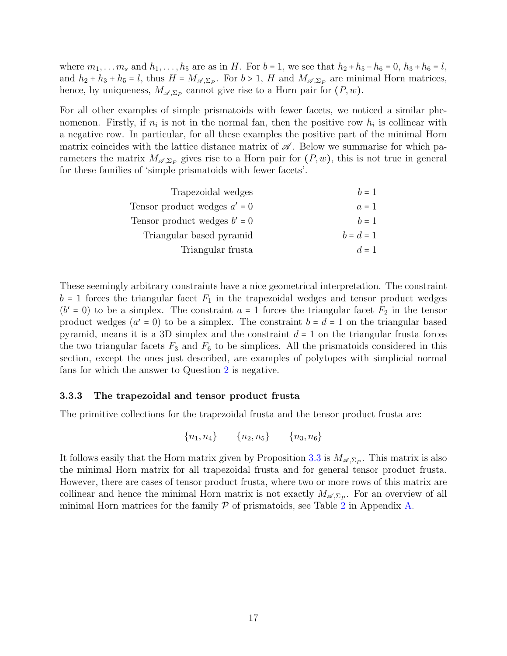where  $m_1, \ldots, m_s$  and  $h_1, \ldots, h_5$  are as in H. For  $b = 1$ , we see that  $h_2 + h_5 - h_6 = 0$ ,  $h_3 + h_6 = l$ , and  $h_2 + h_3 + h_5 = l$ , thus  $H = M_{\mathscr{A}, \Sigma_P}$ . For  $b > 1$ , H and  $M_{\mathscr{A}, \Sigma_P}$  are minimal Horn matrices, hence, by uniqueness,  $M_{\mathscr{A},\Sigma_P}$  cannot give rise to a Horn pair for  $(P, w)$ .

For all other examples of simple prismatoids with fewer facets, we noticed a similar phenomenon. Firstly, if  $n_i$  is not in the normal fan, then the positive row  $h_i$  is collinear with a negative row. In particular, for all these examples the positive part of the minimal Horn matrix coincides with the lattice distance matrix of  $\mathscr A$ . Below we summarise for which parameters the matrix  $M_{\mathscr{A},\Sigma_P}$  gives rise to a Horn pair for  $(P, w)$ , this is not true in general for these families of 'simple prismatoids with fewer facets'.

| Trapezoidal wedges             | $h = 1$     |
|--------------------------------|-------------|
| Tensor product wedges $a' = 0$ | $a=1$       |
| Tensor product wedges $b' = 0$ | $h=1$       |
| Triangular based pyramid       | $b = d = 1$ |
| Triangular frusta              | $d=1$       |
|                                |             |

These seemingly arbitrary constraints have a nice geometrical interpretation. The constraint  $b = 1$  forces the triangular facet  $F_1$  in the trapezoidal wedges and tensor product wedges  $(b' = 0)$  to be a simplex. The constraint  $a = 1$  forces the triangular facet  $F_2$  in the tensor product wedges  $(a' = 0)$  to be a simplex. The constraint  $b = d = 1$  on the triangular based pyramid, means it is a 3D simplex and the constraint  $d = 1$  on the triangular frusta forces the two triangular facets  $F_3$  and  $F_6$  to be simplices. All the prismatoids considered in this section, except the ones just described, are examples of polytopes with simplicial normal fans for which the answer to Question [2](#page-7-1) is negative.

### 3.3.3 The trapezoidal and tensor product frusta

The primitive collections for the trapezoidal frusta and the tensor product frusta are:

$$
\{n_1, n_4\} \qquad \{n_2, n_5\} \qquad \{n_3, n_6\}
$$

It follows easily that the Horn matrix given by Proposition [3.3](#page-10-1) is  $M_{\mathscr{A},\Sigma_P}$ . This matrix is also the minimal Horn matrix for all trapezoidal frusta and for general tensor product frusta. However, there are cases of tensor product frusta, where two or more rows of this matrix are collinear and hence the minimal Horn matrix is not exactly  $M_{\mathscr{A},\Sigma_P}$ . For an overview of all minimal Horn matrices for the family  $P$  of prismatoids, see Table [2](#page-42-1) in Appendix [A.](#page-42-0)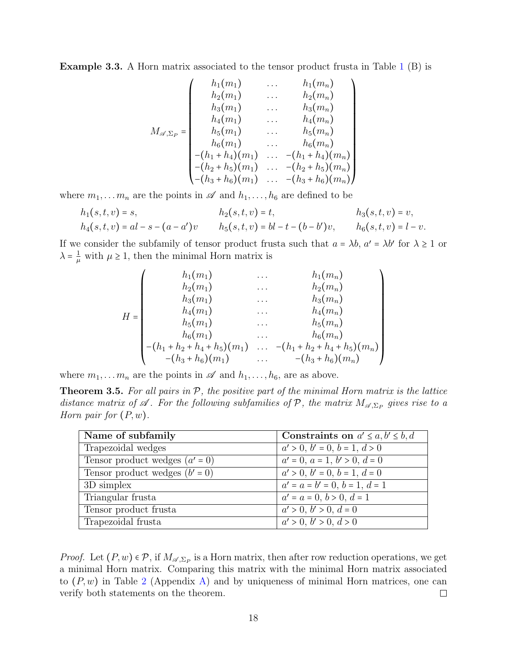Example 3.3. A Horn matrix associated to the tensor product frusta in Table [1](#page-11-0) (B) is

$$
M_{\mathscr{A},\Sigma_P} = \begin{pmatrix} h_1(m_1) & \dots & h_1(m_n) \\ h_2(m_1) & \dots & h_2(m_n) \\ h_3(m_1) & \dots & h_3(m_n) \\ h_4(m_1) & \dots & h_4(m_n) \\ h_5(m_1) & \dots & h_5(m_n) \\ h_6(m_1) & \dots & h_6(m_n) \\ -(h_1+h_4)(m_1) & \dots & -(h_1+h_4)(m_n) \\ -(h_2+h_5)(m_1) & \dots & -(h_2+h_5)(m_n) \\ -(h_3+h_6)(m_1) & \dots & -(h_3+h_6)(m_n) \end{pmatrix}
$$

where  $m_1, \ldots, m_n$  are the points in  $\mathscr A$  and  $h_1, \ldots, h_6$  are defined to be

$$
h_1(s,t,v) = s, \t\t h_2(s,t,v) = t, \t\t h_3(s,t,v) = v, h_4(s,t,v) = al - s - (a - a')v \t\t h_5(s,t,v) = bl - t - (b - b')v, \t\t h_6(s,t,v) = l - v.
$$

If we consider the subfamily of tensor product frust asuch that  $a = \lambda b$ ,  $a' = \lambda b'$  for  $\lambda \ge 1$  or  $\lambda = \frac{1}{\mu}$  $\frac{1}{\mu}$  with  $\mu \geq 1$ , then the minimal Horn matrix is

$$
H = \begin{pmatrix} h_1(m_1) & \dots & h_1(m_n) \\ h_2(m_1) & \dots & h_2(m_n) \\ h_3(m_1) & \dots & h_3(m_n) \\ h_4(m_1) & \dots & h_4(m_n) \\ h_5(m_1) & \dots & h_5(m_n) \\ h_6(m_1) & \dots & h_6(m_n) \\ - (h_1 + h_2 + h_4 + h_5)(m_1) & \dots & -(h_1 + h_2 + h_4 + h_5)(m_n) \\ - (h_3 + h_6)(m_1) & \dots & -(h_3 + h_6)(m_n) \end{pmatrix}
$$

where  $m_1, \ldots, m_n$  are the points in  $\mathscr A$  and  $h_1, \ldots, h_6$ , are as above.

<span id="page-17-0"></span>**Theorem 3.5.** For all pairs in  $P$ , the positive part of the minimal Horn matrix is the lattice distance matrix of  $\mathscr A$ . For the following subfamilies of  $\mathcal P$ , the matrix  $M_{\mathscr A,\Sigma_P}$  gives rise to a Horn pair for  $(P, w)$ .

| Name of subfamily                | Constraints on $a' \leq a, b' \leq b, d$ |
|----------------------------------|------------------------------------------|
| Trapezoidal wedges               | $a' > 0, b' = 0, b = 1, d > 0$           |
| Tensor product wedges $(a' = 0)$ | $a' = 0, a = 1, b' > 0, d = 0$           |
| Tensor product wedges $(b' = 0)$ | $a' > 0, b' = 0, b = 1, d = 0$           |
| 3D simplex                       | $a' = a = b' = 0, b = 1, d = 1$          |
| Triangular frusta                | $a' = a = 0, b > 0, d = 1$               |
| Tensor product frusta            | $a' > 0, b' > 0, d = 0$                  |
| Trapezoidal frusta               | a' > 0, b' > 0, d > 0                    |

*Proof.* Let  $(P, w) \in \mathcal{P}$ , if  $M_{\mathscr{A}, \Sigma_P}$  is a Horn matrix, then after row reduction operations, we get a minimal Horn matrix. Comparing this matrix with the minimal Horn matrix associated to  $(P, w)$  in Table [2](#page-42-1) (Appendix [A\)](#page-42-0) and by uniqueness of minimal Horn matrices, one can verify both statements on the theorem. verify both statements on the theorem.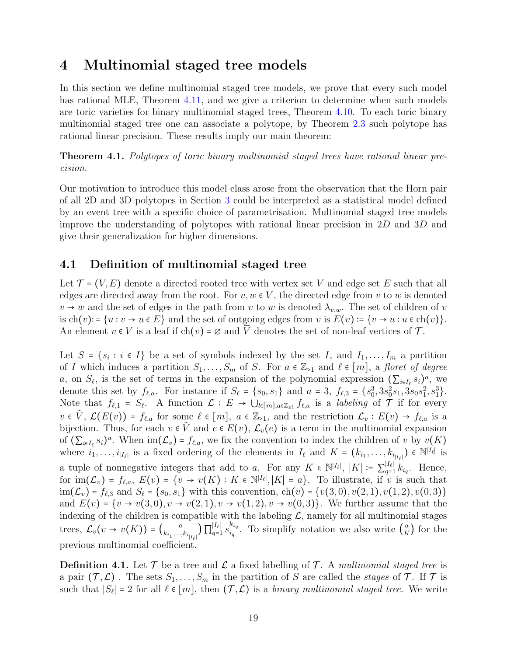# <span id="page-18-1"></span>4 Multinomial staged tree models

In this section we define multinomial staged tree models, we prove that every such model has rational MLE, Theorem [4.11,](#page-31-1) and we give a criterion to determine when such models are toric varieties for binary multinomial staged trees, Theorem [4.10.](#page-29-0) To each toric binary multinomial staged tree one can associate a polytope, by Theorem [2.3](#page-6-2) such polytope has rational linear precision. These results imply our main theorem:

<span id="page-18-0"></span>Theorem 4.1. Polytopes of toric binary multinomial staged trees have rational linear precision.

Our motivation to introduce this model class arose from the observation that the Horn pair of all 2D and 3D polytopes in Section [3](#page-7-2) could be interpreted as a statistical model defined by an event tree with a specific choice of parametrisation. Multinomial staged tree models improve the understanding of polytopes with rational linear precision in  $2D$  and  $3D$  and give their generalization for higher dimensions.

### <span id="page-18-2"></span>4.1 Definition of multinomial staged tree

Let  $\mathcal{T} = (V, E)$  denote a directed rooted tree with vertex set V and edge set E such that all edges are directed away from the root. For  $v, w \in V$ , the directed edge from v to w is denoted  $v \to w$  and the set of edges in the path from v to w is denoted  $\lambda_{v,w}$ . The set of children of v is  $\text{ch}(v)$ : =  $\{u : v \to u \in E\}$  and the set of outgoing edges from v is  $E(v) \coloneqq \{v \to u : u \in \text{ch}(v)\}.$ An element  $v \in V$  is a leaf if  $ch(v) = \emptyset$  and  $\widetilde{V}$  denotes the set of non-leaf vertices of  $\mathcal{T}$ .

Let  $S = \{s_i : i \in I\}$  be a set of symbols indexed by the set I, and  $I_1, \ldots, I_m$  a partition of I which induces a partition  $S_1, \ldots, S_m$  of S. For  $a \in \mathbb{Z}_{\geq 1}$  and  $\ell \in [m]$ , a floret of degree a, on  $S_{\ell}$ , is the set of terms in the expansion of the polynomial expression  $(\sum_{i\in I_{\ell}} s_i)^a$ , we denote this set by  $f_{\ell,a}$ . For instance if  $S_{\ell} = \{s_0, s_1\}$  and  $a = 3$ ,  $f_{\ell,3} = \{s_0^3, 3s_0^2s_1, 3s_0s_1^2, s_1^3\}$ . Note that  $f_{\ell,1} = S_{\ell}$ . A function  $\mathcal{L} : E \to \bigcup_{l \in [m], a \in \mathbb{Z}_{\geq 1}} f_{\ell,a}$  is a *labeling* of  $\mathcal{T}$  if for every  $v \in V$ ,  $\mathcal{L}(E(v)) = f_{\ell,a}$  for some  $\ell \in [m], a \in \mathbb{Z}_{\geq 1}$ , and the restriction  $\mathcal{L}_v : E(v) \to f_{\ell,a}$  is a bijection. Thus, for each  $v \in V$  and  $e \in E(v)$ ,  $\mathcal{L}_v(e)$  is a term in the multinomial expansion of  $(\sum_{i\in I_{\ell}} s_i)^a$ . When  $\text{im}(\mathcal{L}_v) = f_{\ell,a}$ , we fix the convention to index the children of v by  $v(K)$ where  $i_1, \ldots, i_{|I_{\ell}|}$  is a fixed ordering of the elements in  $I_{\ell}$  and  $K = (k_{i_1}, \ldots, k_{i_{|I_{\ell}|}}) \in \mathbb{N}^{|I_{\ell}|}$  is a tuple of nonnegative integers that add to a. For any  $K \in \mathbb{N}^{|I_{\ell}|}, |K| := \sum_{q=1}^{|I_{\ell}|}$  $\lim_{q=1}^{|\mu_{\ell}|} k_{i_q}$ . Hence, for  $\text{im}(\mathcal{L}_v) = f_{\ell,a}, E(v) = \{v \to v(K) : K \in \mathbb{N}^{|I_{\ell}|}, |K| = a\}.$  To illustrate, if v is such that  $\text{im}(\mathcal{L}_v) = f_{\ell,3} \text{ and } S_{\ell} = \{s_0, s_1\}$  with this convention,  $\text{ch}(v) = \{v(3, 0), v(2, 1), v(1, 2), v(0, 3)\}\$ and  $E(v) = \{v \to v(3,0), v \to v(2,1), v \to v(1,2), v \to v(0,3)\}.$  We further assume that the indexing of the children is compatible with the labeling  $\mathcal{L}$ , namely for all multinomial stages trees,  $\mathcal{L}_v(v \to v(K)) = \binom{a}{k_{i_1},...,k_{i_r}}$  $\binom{k_{i_1},...,k_{i_{|I_{\ell}|}}}{1}$  | 11  $|I_{\ell}|$  $\begin{array}{l} |I_\ell| \ q=1 \end{array}$   $s_{i_q}^{k_{i_q}}$  $\int_{i_q}^{k_{i_q}}$ . To simplify notation we also write  $\binom{a}{K}$  $_K^a$  for the previous multinomial coefficient.

<span id="page-18-3"></span>**Definition 4.1.** Let  $\mathcal{T}$  be a tree and  $\mathcal{L}$  a fixed labelling of  $\mathcal{T}$ . A multinomial staged tree is a pair  $(\mathcal{T}, \mathcal{L})$ . The sets  $S_1, \ldots, S_m$  in the partition of S are called the *stages* of T. If T is such that  $|S_\ell| = 2$  for all  $\ell \in [m]$ , then  $(\mathcal{T}, \mathcal{L})$  is a *binary multinomial staged tree.* We write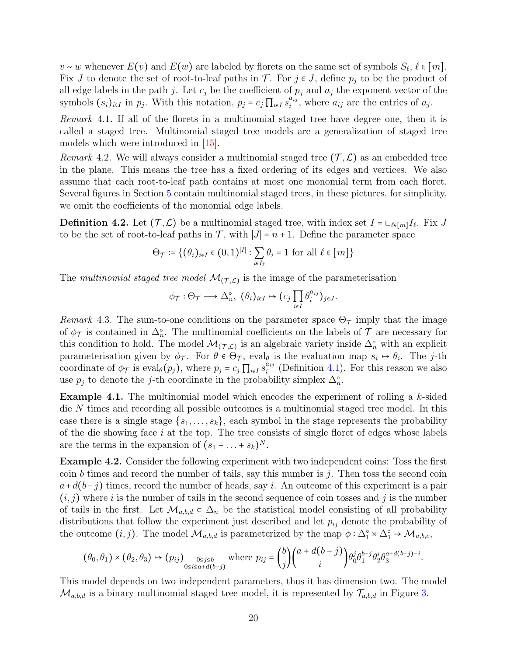$v \sim w$  whenever  $E(v)$  and  $E(w)$  are labeled by florets on the same set of symbols  $S_{\ell}, \ell \in [m]$ .<br>Fix Let denote the set of next to leaf naths in  $\mathcal{T}$ . For i.e. Let fixe n, to be the negligit of Fix J to denote the set of root-to-leaf paths in  $\mathcal{T}$ . For  $j \in J$ , define  $p_j$  to be the product of all edge labels in the path j. Let  $c_j$  be the coefficient of  $p_j$  and  $a_j$  the exponent vector of the symbols  $(s_i)_{i \in I}$  in  $p_j$ . With this notation,  $p_j = c_j \prod_{i \in I} s_i^{a_{ij}}$  $a_{ij}^{a_{ij}}$ , where  $a_{ij}$  are the entries of  $a_j$ .

Remark 4.1. If all of the florets in a multinomial staged tree have degree one, then it is called a staged tree. Multinomial staged tree models are a generalization of staged tree models which were introduced in [\[15\]](#page-41-7).

<span id="page-19-1"></span>Remark 4.2. We will always consider a multinomial staged tree  $(\mathcal{T}, \mathcal{L})$  as an embedded tree in the plane. This means the tree has a fixed ordering of its edges and vertices. We also assume that each root-to-leaf path contains at most one monomial term from each floret. Several figures in Section [5](#page-32-0) contain multinomial staged trees, in these pictures, for simplicity, we omit the coefficients of the monomial edge labels.

**Definition 4.2.** Let  $(\mathcal{T}, \mathcal{L})$  be a multinomial staged tree, with index set  $I = \bigcup_{\ell \in [m]} I_{\ell}$ . Fix J to be the set of root-to-leaf paths in  $\mathcal{T}$ , with  $|J| = n + 1$ . Define the parameter space

$$
\Theta_{\mathcal{T}} \coloneqq \{ (\theta_i)_{i \in I} \in (0,1)^{|I|} : \sum_{i \in I_\ell} \theta_i = 1 \text{ for all } \ell \in [m] \}
$$

The multinomial staged tree model  $\mathcal{M}_{(\mathcal{T}, \mathcal{L})}$  is the image of the parameterisation

$$
\phi_{\mathcal{T}}: \Theta_{\mathcal{T}} \longrightarrow \Delta_n^{\circ}, \ (\theta_i)_{i \in I} \mapsto (c_j \prod_{i \in I} \theta_i^{a_{ij}})_{j \in J}.
$$

Remark 4.3. The sum-to-one conditions on the parameter space  $\Theta_{\mathcal{T}}$  imply that the image of  $\phi_{\mathcal{T}}$  is contained in  $\Delta_n^{\circ}$ . The multinomial coefficients on the labels of  $\mathcal{T}$  are necessary for this condition to hold. The model  $\mathcal{M}_{(\mathcal{T}, \mathcal{L})}$  is an algebraic variety inside  $\Delta_n^{\circ}$  with an explicit parameterisation given by  $\phi_{\mathcal{T}}$ . For  $\theta \in \Theta_{\mathcal{T}}$ , eval<sub> $\theta$ </sub> is the evaluation map  $s_i \mapsto \theta_i$ . The *j*-th coordinate of  $\phi_{\mathcal{T}}$  is eval<sub> $\theta(p_j)$ </sub>, where  $p_j = c_j \prod_{i \in I} s_i^{a_{ij}}$  $i_j^{a_{ij}}$  (Definition [4.1\)](#page-18-3). For this reason we also use  $p_j$  to denote the j-th coordinate in the probability simplex  $\Delta_n^{\circ}$ .

Example 4.1. The multinomial model which encodes the experiment of rolling a k-sided die N times and recording all possible outcomes is a multinomial staged tree model. In this case there is a single stage  $\{s_1, \ldots, s_k\}$ , each symbol in the stage represents the probability of the die showing face  $i$  at the top. The tree consists of single floret of edges whose labels are the terms in the expansion of  $(s_1 + \ldots + s_k)^N$ .

<span id="page-19-2"></span>Example 4.2. Consider the following experiment with two independent coins: Toss the first coin b times and record the number of tails, say this number is j. Then toss the second coin  $a+d(b-j)$  times, record the number of heads, say i. An outcome of this experiment is a pair  $(i, j)$  where i is the number of tails in the second sequence of coin tosses and j is the number of tails in the first. Let  $\mathcal{M}_{a,b,d} \subset \Delta_n$  be the statistical model consisting of all probability distributions that follow the experiment just described and let  $p_{ij}$  denote the probability of the outcome  $(i, j)$ . The model  $\mathcal{M}_{a,b,d}$  is parameterized by the map  $\phi : \Delta_1^{\circ} \times \Delta_1^{\circ} \to \mathcal{M}_{a,b,c}$ ,

$$
\left(\theta_0,\theta_1\right)\times \left(\theta_2,\theta_3\right)\mapsto \left(p_{ij}\right)_{\substack{0\leq j\leq b\\0\leq i\leq a+d(b-j)}} \text{ where } p_{ij}=\binom{b}{j}\binom{a+d(b-j)}{i}\theta_0^j\theta_1^{b-j}\theta_2^i\theta_3^{a+d(b-j)-i}.
$$

<span id="page-19-0"></span>This model depends on two independent parameters, thus it has dimension two. The model  $\mathcal{M}_{a,b,d}$  is a binary multinomial staged tree model, it is represented by  $\mathcal{T}_{a,b,d}$  in Figure [3.](#page-34-0)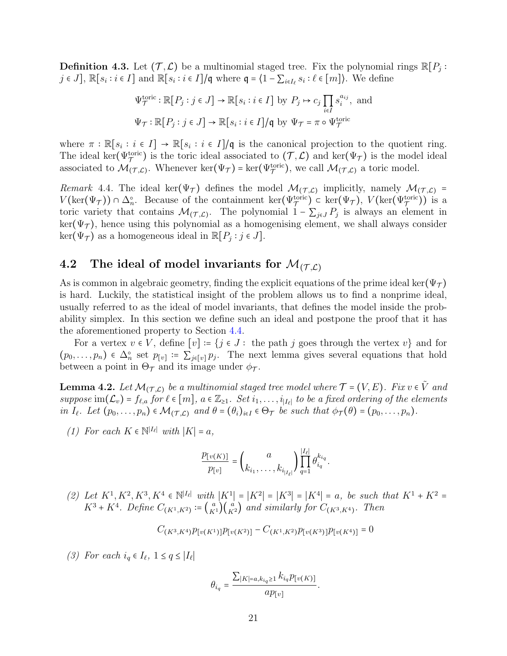**Definition 4.3.** Let  $(\mathcal{T}, \mathcal{L})$  be a multinomial staged tree. Fix the polynomial rings  $\mathbb{R}[P_j :$ <br>*is*  $I^1$   $\mathbb{R}$  or is  $I^1$  and  $\mathbb{R}$  or is  $I^1$   $\mathbb{R}$  where  $\mathcal{L}$  is  $I^1$   $\mathbb{R}$  or  $\mathbb{R}$  or  $\mathbb$  $j \in J$ ,  $\mathbb{R}[s_i : i \in I]$  and  $\mathbb{R}[s_i : i \in I]/\mathfrak{q}$  where  $\mathfrak{q} = \{1 - \sum_{i \in I_\ell} s_i : \ell \in [m]\}\)$ . We define

$$
\Psi_{\mathcal{T}}^{\text{toric}} : \mathbb{R}[P_j : j \in J] \to \mathbb{R}[s_i : i \in I] \text{ by } P_j \mapsto c_j \prod_{i \in I} s_i^{a_{ij}}, \text{ and}
$$
  

$$
\Psi_{\mathcal{T}} : \mathbb{R}[P_j : j \in J] \to \mathbb{R}[s_i : i \in I] / \mathfrak{q} \text{ by } \Psi_{\mathcal{T}} = \pi \circ \Psi_{\mathcal{T}}^{\text{toric}}
$$

where  $\pi : \mathbb{R}[s_i : i \in I] \to \mathbb{R}[s_i : i \in I]/\mathfrak{q}$  is the canonical projection to the quotient ring.<br>The ideal leg(Moric) is the tonic ideal esseciated to  $(\mathcal{T}, \mathcal{L})$  and leg(M) is the model ideal The ideal ker( $\Psi_{\mathcal{T}}^{\text{toric}}$ ) is the toric ideal associated to  $(\mathcal{T}, \mathcal{L})$  and ker( $\Psi_{\mathcal{T}}$ ) is the model ideal associated to  $M(\tau,\mathcal{L})$ . Whenever ker( $\Psi_{\tau}$ ) = ker( $\Psi_{\tau}^{\text{toric}}$ ), we call  $M(\tau,\mathcal{L})$  a toric model.

<span id="page-20-1"></span>Remark 4.4. The ideal ker( $\Psi_{\mathcal{T}}$ ) defines the model  $\mathcal{M}_{(\mathcal{T}, \mathcal{L})}$  implicitly, namely  $\mathcal{M}_{(\mathcal{T}, \mathcal{L})}$  =  $V(\text{len}(\mathcal{M}^{(t)})) \circ \Lambda^s$ . Because of the containment leg( $V(\text{tric}) \circ \text{len}(\mathcal{M}^{(t)})$ .  $V(\text{len}(\mathcal{M}^{(t$  $V(\ker(\Psi_{\mathcal{T}})) \cap \Delta_n^{\circ}$ . Because of the containment ker( $\Psi_{\mathcal{T}}^{\text{toric}}$ )  $\subset \ker(\Psi_{\mathcal{T}})$ ,  $V(\ker(\Psi_{\mathcal{T}}^{\text{toric}}))$  is a toric variety that contains  $\mathcal{M}_{(\mathcal{T}, \mathcal{L})}$ . The polynomial  $1 - \sum_{j \in J} P_j$  is always an element in  $\ker(\Psi_{\mathcal{T}})$ , hence using this polynomial as a homogenising element, we shall always consider  $\ker(\Psi_{\mathcal{T}})$  as a homogeneous ideal in  $\mathbb{R}[P_j : j \in J]$ .

### 4.2 The ideal of model invariants for  $\mathcal{M}_{(\mathcal{T}, \mathcal{L})}$

As is common in algebraic geometry, finding the explicit equations of the prime ideal ker( $\Psi_{\tau}$ ) is hard. Luckily, the statistical insight of the problem allows us to find a nonprime ideal, usually referred to as the ideal of model invariants, that defines the model inside the probability simplex. In this section we define such an ideal and postpone the proof that it has the aforementioned property to Section [4.4.](#page-26-0)

For a vertex  $v \in V$ , define  $[v] \coloneqq \{j \in J :$  the path j goes through the vertex  $v\}$  and for  $(p_0, \ldots, p_n) \in \Delta_n^{\circ}$  set  $p_{[v]} := \sum_{j \in [v]} p_j$ . The next lemma gives several equations that hold between a point in  $\Theta_{\mathcal{T}}$  and its image under  $\phi_{\mathcal{T}}$ .

<span id="page-20-0"></span>**Lemma 4.2.** Let  $\mathcal{M}_{(\mathcal{T}, \mathcal{L})}$  be a multinomial staged tree model where  $\mathcal{T} = (V, E)$ . Fix  $v \in \tilde{V}$  and suppose im $(\mathcal{L}_v)$  =  $f_{\ell,a}$  for  $\ell \in [m]$ ,  $a \in \mathbb{Z}_{\geq 1}$ . Set  $i_1, \ldots, i_{|I_{\ell}|}$  to be a fixed ordering of the elements in  $I_{\ell}$ . Let  $(p_0, \ldots, p_n) \in \mathcal{M}_{(\mathcal{T}, \mathcal{L})}$  and  $\theta = (\theta_i)_{i \in I} \in \Theta_{\mathcal{T}}$  be such that  $\phi_{\mathcal{T}}(\theta) = (p_0, \ldots, p_n)$ .

(1) For each  $K \in \mathbb{N}^{|I_{\ell}|}$  with  $|K| = a$ ,

$$
\frac{p_{[v(K)]}}{p_{[v]}} = \binom{a}{k_{i_1}, \dots, k_{i_{|I_{\ell}|}}}\prod_{q=1}^{|I_{\ell}|}\theta_{i_q}^{k_{i_q}}.
$$

(2) Let  $K^1, K^2, K^3, K^4 \in \mathbb{N}^{|I_{\ell}|}$  with  $|K^1| = |K^2| = |K^3| = |K^4| = a$ , be such that  $K^1 + K^2 = K^3 + K^4$ . Define  $G = \{ (a, b) \}$  and similarly fea  $G = \{ (a, b) \}$ .  $K^3 + K^4$ . Define  $C_{(K^1, K^2)} \coloneqq {a \choose K^1} {a \choose K^2}$  and similarly for  $C_{(K^3, K^4)}$ . Then

$$
C_{(K^3,K^4)}p_{[v(K^1)]}p_{[v(K^2)]}-C_{(K^1,K^2)}p_{[v(K^3)]}p_{[v(K^4)]}=0
$$

(3) For each  $i_q \in I_\ell$ ,  $1 \le q \le |I_\ell|$ 

$$
\theta_{i_q} = \frac{\sum_{|K| = a, k_{i_q} \ge 1} k_{i_q} p_{[v(K)]}}{ap_{[v]}}.
$$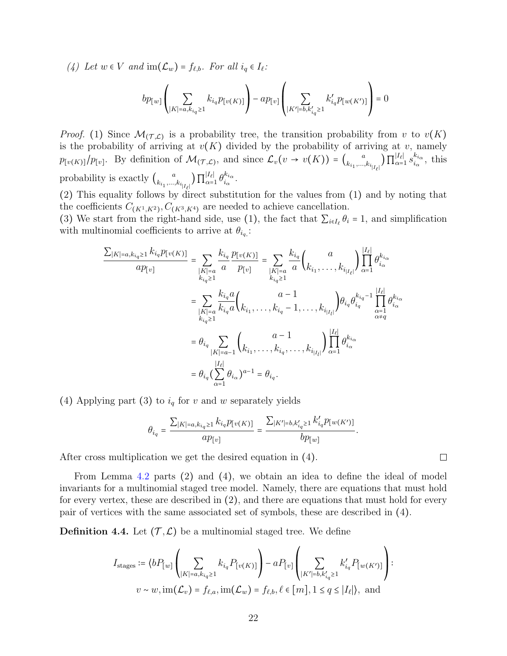(4) Let  $w \in V$  and  $\text{im}(\mathcal{L}_w) = f_{\ell,b}$ . For all  $i_q \in I_{\ell}$ :

$$
bp_{[w]}\left(\sum_{|K|=a,k_{i_q}\geq 1}k_{i_q}p_{[v(K)]}\right)-ap_{[v]}\left(\sum_{|K'|=b,k'_{i_q}\geq 1}k'_{i_q}p_{[w(K')]}\right)=0
$$

*Proof.* (1) Since  $\mathcal{M}_{(\mathcal{T}, \mathcal{L})}$  is a probability tree, the transition probability from v to  $v(K)$ is the probability of arriving at  $v(K)$  divided by the probability of arriving at v, namely  $p_{[v(K)]}/p_{[v]}$ . By definition of  $\mathcal{M}_{(\mathcal{T},\mathcal{L})}$ , and since  $\mathcal{L}_v(v \to v(K)) = {a \choose k_{i_1},...,k_{i_m}}$  $\left. \kappa_{i_1, ..., k_{i_{|I_{\ell}|}}} \right)$  11  $|I_{\ell}|$  $\frac{|I_{\ell}|}{\alpha=1}$   $s_{i_{\alpha}}^{k_{i_{\alpha}}}$  $\frac{\kappa_{i\alpha}}{i_{\alpha}},$  this probability is exactly  $\binom{a}{k_{i_1},...,k_{i_r}}$  $\left. \kappa_{i_1, ..., k_{i_{|I_{\ell}|}}} \right)$  11  $|I_{\ell}|$  $\frac{|I_{\ell}|}{\alpha=1} \theta_{i_{\alpha}}^{k_{i_{\alpha}}}$  $\frac{\kappa_{i\alpha}}{i\alpha}$  .

(2) This equality follows by direct substitution for the values from (1) and by noting that the coefficients  $C_{(K^1, K^2)}$ ,  $C_{(K^3, K^4)}$  are needed to achieve cancellation.

(3) We start from the right-hand side, use (1), the fact that  $\sum_{i \in I_\ell} \theta_i = 1$ , and simplification with multinomial coefficients to arrive at  $\theta_{i_q}$ .

$$
\frac{\sum_{|K|=a,k_{iq}\geq 1} k_{iq} p_{[v(K)]}}{ap_{[v]}} = \sum_{\substack{|K|=a \ k_{iq}\geq 1}} \frac{k_{i_q}}{a} \frac{p_{[v(K)]}}{p_{[v]}} = \sum_{\substack{|K|=a \ k_{iq}\geq 1}} \frac{k_{i_q}}{a} {a \choose k_{i_1}, \dots, k_{i_{|I_{\ell}|}}} \prod_{\alpha=1}^{|I_{\ell}|} \theta_{i_{\alpha}}^{k_{i_{\alpha}}}
$$
\n
$$
= \sum_{\substack{|K|=a \ k_{iq}\geq 1}} \frac{k_{i_q} a}{k_{i_q} a} {a \choose k_{i_1}, \dots, k_{i_q} - 1, \dots, k_{i_{|I_{\ell}|}}} \theta_{i_q} \theta_{i_q}^{k_{i_q} - 1} \prod_{\substack{\alpha=1 \ \alpha \neq q}}^{I_{\ell}|} \theta_{i_{\alpha}}^{k_{i_{\alpha}}}
$$
\n
$$
= \theta_{i_q} \sum_{|K|=a-1} {a-1 \choose k_{i_1}, \dots, k_{i_q}, \dots, k_{i_{|I_{\ell}|}}} \prod_{\alpha=1}^{|I_{\ell}|} \theta_{i_{\alpha}}^{k_{i_{\alpha}}}
$$
\n
$$
= \theta_{i_q} (\sum_{\alpha=1}^{|I_{\ell}|} \theta_{i_{\alpha}})^{a-1} = \theta_{i_q}.
$$

(4) Applying part (3) to  $i_q$  for v and w separately yields

$$
\theta_{i_q} = \frac{\sum_{|K| = a, k_{i_q} \geq 1} k_{i_q} p_{[v(K)]}}{ap_{[v]}} = \frac{\sum_{|K'| = b, k'_{i_q} \geq 1} k'_{i_q} p_{[w(K')]}}{bp_{[w]}}.
$$

 $\Box$ 

After cross multiplication we get the desired equation in (4).

From Lemma [4.2](#page-20-0) parts (2) and (4), we obtain an idea to define the ideal of model invariants for a multinomial staged tree model. Namely, there are equations that must hold for every vertex, these are described in (2), and there are equations that must hold for every pair of vertices with the same associated set of symbols, these are described in (4).

<span id="page-21-0"></span>**Definition 4.4.** Let  $(\mathcal{T}, \mathcal{L})$  be a multinomial staged tree. We define

$$
I_{\text{stages}} \coloneqq \langle bP_{[w]} \left( \sum_{|K|=a, k_{i_q} \ge 1} k_{i_q} P_{[v(K)]} \right) - a P_{[v]} \left( \sum_{|K'|=b, k'_{i_q} \ge 1} k'_{i_q} P_{[w(K')]} \right) :
$$

$$
v \sim w, \text{im}(\mathcal{L}_v) = f_{\ell,a}, \text{im}(\mathcal{L}_w) = f_{\ell,b}, \ell \in [m], 1 \le q \le |I_{\ell}|, \text{ and}
$$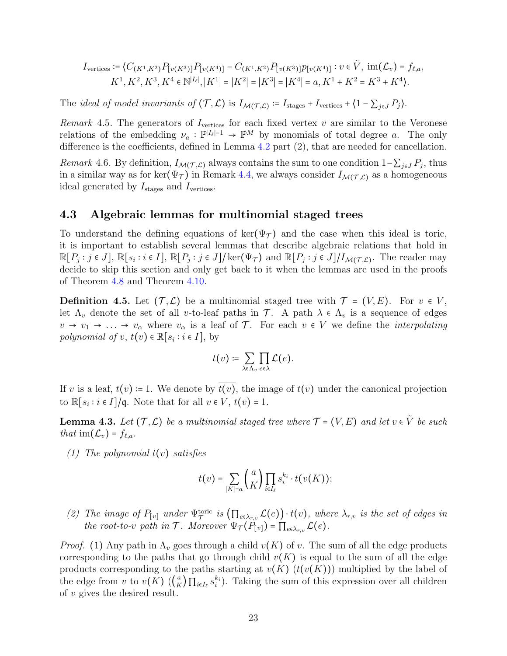$$
I_{\text{vertices}} \coloneqq \langle C_{(K^1, K^2)} P_{[v(K^3)]} P_{[v(K^4)]} - C_{(K^1, K^2)} P_{[v(K^3)]} p_{[v(K^4)]} : v \in \tilde{V}, \text{ im}(\mathcal{L}_v) = f_{\ell, a},
$$
  

$$
K^1, K^2, K^3, K^4 \in \mathbb{N}^{|I_{\ell}|}, |K^1| = |K^2| = |K^3| = |K^4| = a, K^1 + K^2 = K^3 + K^4.
$$

The *ideal of model invariants of*  $(\mathcal{T}, \mathcal{L})$  is  $I_{\mathcal{M}(\mathcal{T}, \mathcal{L})} := I_{\text{stages}} + I_{\text{vertices}} + \langle 1 - \sum_{j \in J} P_j \rangle$ .

Remark 4.5. The generators of  $I_{\text{vertices}}$  for each fixed vertex v are similar to the Veronese relations of the embedding  $\nu_a : \mathbb{P}^{|I_e|-1} \to \mathbb{P}^M$  by monomials of total degree a. The only difference is the coefficients, defined in Lemma [4.2](#page-20-0) part (2), that are needed for cancellation.

Remark 4.6. By definition,  $I_{\mathcal{M}(\mathcal{T}, \mathcal{L})}$  always contains the sum to one condition  $1-\sum_{j\in J}P_j$ , thus in a similar way as for ker $(\Psi_{\mathcal{T}})$  in Remark [4.4,](#page-20-1) we always consider  $I_{\mathcal{M}(\mathcal{T},\mathcal{L})}$  as a homogeneous ideal generated by  $I_{\text{stages}}$  and  $I_{\text{vertices}}$ .

### 4.3 Algebraic lemmas for multinomial staged trees

To understand the defining equations of ker( $\Psi_{\tau}$ ) and the case when this ideal is toric, it is important to establish several lemmas that describe algebraic relations that hold in  $\mathbb{R}[P_j : j \in J], \mathbb{R}[s_i : i \in I], \mathbb{R}[P_j : j \in J] / \text{ker}(\Psi_{\mathcal{T}})$  and  $\mathbb{R}[P_j : j \in J] / I_{\mathcal{M}(\mathcal{T}, \mathcal{L})}$ . The reader may decide to skip this section and only get back to it when the lemmas are used in the proofs of Theorem [4.8](#page-26-1) and Theorem [4.10.](#page-29-0)

<span id="page-22-1"></span>**Definition 4.5.** Let  $(\mathcal{T}, \mathcal{L})$  be a multinomial staged tree with  $\mathcal{T} = (V, E)$ . For  $v \in V$ , let  $\Lambda_v$  denote the set of all v-to-leaf paths in  $\mathcal{T}$ . A path  $\lambda \in \Lambda_v$  is a sequence of edges  $v \to v_1 \to \ldots \to v_\alpha$  where  $v_\alpha$  is a leaf of  $\mathcal T$ . For each  $v \in V$  we define the *interpolating* polynomial of  $v, t(v) \in \mathbb{R}[s_i : i \in I]$ , by

$$
t(v) \coloneqq \sum_{\lambda \in \Lambda_v} \prod_{e \in \lambda} \mathcal{L}(e).
$$

If v is a leaf,  $t(v) = 1$ . We denote by  $t(v)$ , the image of  $t(v)$  under the canonical projection to  $\mathbb{R}[s_i : i \in I]/\mathfrak{q}$ . Note that for all  $v \in V$ ,  $\overline{t(v)} = 1$ .

<span id="page-22-0"></span>**Lemma 4.3.** Let  $(\mathcal{T}, \mathcal{L})$  be a multinomial staged tree where  $\mathcal{T} = (V, E)$  and let  $v \in \tilde{V}$  be such that  $\text{im}(\mathcal{L}_v) = f_{\ell,a}$ .

(1) The polynomial  $t(v)$  satisfies

$$
t(v) = \sum_{|K|=a} {a \choose K} \prod_{i \in I_{\ell}} s_i^{k_i} \cdot t(v(K));
$$

(2) The image of  $P_{[v]}$  under  $\Psi^{\text{toric}}_{\mathcal{T}}$  is  $(\prod_{e \in \lambda_{r,v}} \mathcal{L}(e)) \cdot t(v)$ , where  $\lambda_{r,v}$  is the set of edges in the root-to-v path in T. Moreover  $\Psi_{\mathcal{T}}(P_{[v]}) = \prod_{e \in \lambda_{r,v}} \mathcal{L}(e)$ .

*Proof.* (1) Any path in  $\Lambda_v$  goes through a child  $v(K)$  of v. The sum of all the edge products corresponding to the paths that go through child  $v(K)$  is equal to the sum of all the edge products corresponding to the paths starting at  $v(K)$   $(t(v(K)))$  multiplied by the label of the edge from v to  $v(K)$  ( $\binom{a}{K}$  $K\left( \sum_{i\in I_{\ell}} s_i^{k_i} \right)$ . Taking the sum of this expression over all children of v gives the desired result.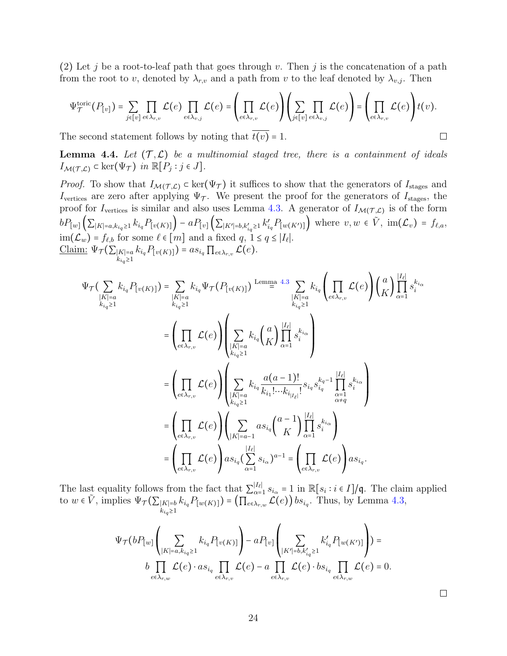(2) Let j be a root-to-leaf path that goes through v. Then j is the concatenation of a path from the root to v, denoted by  $\lambda_{r,v}$  and a path from v to the leaf denoted by  $\lambda_{v,j}$ . Then

$$
\Psi_{\mathcal{T}}^{\text{toric}}(P_{[v]}) = \sum_{j \in [v]} \prod_{e \in \lambda_{r,v}} \mathcal{L}(e) \prod_{e \in \lambda_{v,j}} \mathcal{L}(e) = \left(\prod_{e \in \lambda_{r,v}} \mathcal{L}(e)\right) \left(\sum_{j \in [v]} \prod_{e \in \lambda_{v,j}} \mathcal{L}(e)\right) = \left(\prod_{e \in \lambda_{r,v}} \mathcal{L}(e)\right) t(v).
$$

The second statement follows by noting that  $\overline{t(v)} = 1$ .

**Lemma 4.4.** Let  $(\mathcal{T}, \mathcal{L})$  be a multinomial staged tree, there is a containment of ideals  $I_{\mathcal{M}(\mathcal{T},\mathcal{L})} \subset \ker(\Psi_{\mathcal{T}})$  in  $\mathbb{R}[P_j : j \in J]$ .

*Proof.* To show that  $I_{\mathcal{M}(\mathcal{T}, \mathcal{L})} \subset \ker(\Psi_{\mathcal{T}})$  it suffices to show that the generators of  $I_{\text{stages}}$  and Ivertices are zero after applying  $\Psi_{\mathcal{T}}$ . We present the proof for the generators of I<sub>stages</sub>, the proof for  $I_{\text{vertices}}$  is similar and also uses Lemma [4.3.](#page-22-0) A generator of  $I_{\mathcal{M}(\mathcal{T},\mathcal{L})}$  is of the form  $bP_{[w]}(\sum_{|K|=a,k_{iq}\geq 1} k_{i_q} P_{[v(K)]}) - aP_{[v]}(\sum_{|K'|=b,k'_{iq}\geq 1} k'_{i_q} P_{[w(K')]} )$  where  $v, w \in \tilde{V}$ ,  $\text{im}(\mathcal{L}_v) = f_{\ell,a}$ ,  $\text{im}(\mathcal{L}_w) = f_{\ell,b}$  for some  $\ell \in [m]$  and a fixed  $q, 1 \le q \le |I_{\ell}|.$ Claim:  $\Psi_{\mathcal{T}}(\sum_{\substack{|K|=a\\k_{i_q}\geq 1}} k_{i_q} P_{[v(K)]}) = a s_{i_q} \prod_{e \in \lambda_{r,v}} \mathcal{L}(e).$ 

$$
\Psi_{\tau}(\sum_{\substack{|K|=a \ k_{i_{q}} \geq 1}} k_{i_{q}} P_{[v(K)]}) = \sum_{\substack{|K|=a \ k_{i_{q}} \geq 1}} k_{i_{q}} \Psi_{\tau}(P_{[v(K)]}) \xrightarrow{\text{Lemma 4.3}} \sum_{\substack{|K|=a \ k_{i_{q}} \geq 1}} k_{i_{q}} \left(\prod_{e \in \lambda_{r,v}} \mathcal{L}(e)\right) {a \choose K} \prod_{\alpha=1}^{|I_{e}|} s_{i}^{k_{i_{\alpha}}}
$$
\n
$$
= \left(\prod_{e \in \lambda_{r,v}} \mathcal{L}(e)\right) \left(\sum_{\substack{|K|=a \ k_{i_{q}} \geq 1}} k_{i_{q}} {a \choose K} \prod_{\alpha=1}^{|I_{e}|} s_{i}^{k_{i_{\alpha}}}\right)
$$
\n
$$
= \left(\prod_{e \in \lambda_{r,v}} \mathcal{L}(e)\right) \left(\sum_{\substack{|K|=a \ k_{i_{q}} \geq 1}} k_{i_{q}} \frac{a(a-1)!}{k_{i_{1}!}! \cdots k_{i_{|I_{e}|}!}} s_{i_{q}} s_{i_{q}}^{k_{q}-1} \prod_{\alpha=1}^{|I_{e}|} s_{i}^{k_{i_{\alpha}}}\right)
$$
\n
$$
= \left(\prod_{e \in \lambda_{r,v}} \mathcal{L}(e)\right) \left(\sum_{|K|=a-1} as_{i_{q}} {a-1 \choose K} \prod_{\alpha=1}^{|I_{e}|} s_{i_{\alpha}}^{k_{i_{\alpha}}}\right)
$$
\n
$$
= \left(\prod_{e \in \lambda_{r,v}} \mathcal{L}(e)\right) as_{i_{q}} \left(\sum_{\alpha=1}^{|I_{e}|} s_{i_{\alpha}}\right)^{a-1} = \left(\prod_{e \in \lambda_{r,v}} \mathcal{L}(e)\right) as_{i_{q}}.
$$

The last equality follows from the fact that  $\sum_{\alpha=1}^{|I_{\ell}|} s_{i_{\alpha}} = 1$  in  $\mathbb{R}[s_i : i \in I]/q$ . The claim applied The last equality follows from the fact that  $\sum_{\alpha=1} s_{i_{\alpha}} = 1$  in  $\mathbb{R}[s_i : i \in I]$ /q. The claim<br>to  $w \in \tilde{V}$ , implies  $\Psi_{\mathcal{T}}(\sum_{|K|=b} k_{i_q} P_{[w(K)]}) = (\prod_{e \in \lambda_{r,w}} \mathcal{L}(e)) b s_{i_q}$ . Thus, by Lemma [4.3,](#page-22-0)

$$
\Psi_{\mathcal{T}}(bP_{[w]}\left(\sum_{|K|=a,k_{i_q}\geq 1}k_{i_q}P_{[v(K)]}\right)-aP_{[v]}\left(\sum_{|K'|=b,k'_{i_q}\geq 1}k'_{i_q}P_{[w(K')]}\right))=\\b\prod_{e\in\lambda_{r,w}}\mathcal{L}(e)\cdot as_{i_q}\prod_{e\in\lambda_{r,v}}\mathcal{L}(e)-a\prod_{e\in\lambda_{r,v}}\mathcal{L}(e)\cdot bs_{i_q}\prod_{e\in\lambda_{r,w}}\mathcal{L}(e)=0.
$$

 $\Box$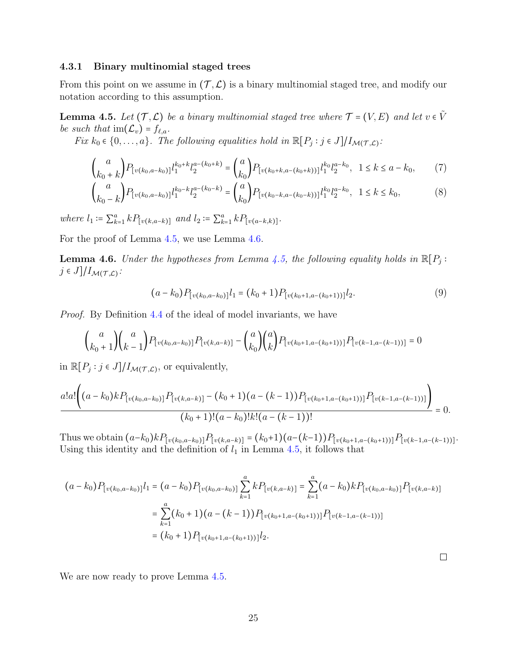#### 4.3.1 Binary multinomial staged trees

From this point on we assume in  $(\mathcal{T}, \mathcal{L})$  is a binary multinomial staged tree, and modify our notation according to this assumption.

<span id="page-24-0"></span>**Lemma 4.5.** Let  $(\mathcal{T}, \mathcal{L})$  be a binary multinomial staged tree where  $\mathcal{T} = (V, E)$  and let  $v \in \tilde{V}$ be such that  $\text{im}(\mathcal{L}_v) = f_{\ell,a}$ .

Fix  $k_0 \in \{0, \ldots, a\}$ . The following equalities hold in  $\mathbb{R}[P_j : j \in J]/I_{\mathcal{M}(\mathcal{T}, \mathcal{L})}$ :

$$
\binom{a}{k_0+k} P_{[v(k_0, a-k_0)]} l_1^{k_0+k} l_2^{a-(k_0+k)} = \binom{a}{k_0} P_{[v(k_0+k, a-(k_0+k))] } l_1^{k_0} l_2^{a-k_0}, \quad 1 \le k \le a-k_0,\tag{7}
$$

$$
\binom{a}{k_0 - k} P_{[v(k_0, a-k_0)]} l_1^{k_0 - k} l_2^{a - (k_0 - k)} = \binom{a}{k_0} P_{[v(k_0 - k, a - (k_0 - k))] } l_1^{k_0} l_2^{a - k_0}, \quad 1 \le k \le k_0,
$$
\n<sup>(8)</sup>

where  $l_1 := \sum_{k=1}^a k P_{[v(k, a-k)]}$  and  $l_2 := \sum_{k=1}^a k P_{[v(a-k,k)]}$ .

<span id="page-24-1"></span>For the proof of Lemma [4.5,](#page-24-0) we use Lemma [4.6.](#page-24-1)

**Lemma 4.6.** Under the hypotheses from Lemma [4.5,](#page-24-0) the following equality holds in  $\mathbb{R}[P_j : j \in I \setminus I]$  $j \in J]/I_{\mathcal{M}(\mathcal{T},\mathcal{L})}$ :

<span id="page-24-4"></span><span id="page-24-2"></span>
$$
(a-k_0)P_{[v(k_0,a-k_0)]}l_1 = (k_0+1)P_{[v(k_0+1,a-(k_0+1))]l_2.
$$
\n(9)

Proof. By Definition [4.4](#page-21-0) of the ideal of model invariants, we have

$$
\binom{a}{k_0+1}\binom{a}{k-1}P_{[v(k_0,a-k_0)]}P_{[v(k,a-k)]} - \binom{a}{k_0}\binom{a}{k}P_{[v(k_0+1,a-(k_0+1))]}\cdot P_{[v(k-1,a-(k-1))]}\cdot 0
$$

in  $\mathbb{R}[P_j : j \in J]/I_{\mathcal{M}(\mathcal{T}, \mathcal{L})}$ , or equivalently,

$$
\frac{a!a!\left((a-k_0)kP_{[v(k_0,a-k_0)]}P_{[v(k,a-k)]}-(k_0+1)(a-(k-1))P_{[v(k_0+1,a-(k_0+1))]}\right)P_{[v(k-1,a-(k-1))]}}{(k_0+1)!(a-k_0)!k!(a-(k-1))!}=0.
$$

Thus we obtain  $(a-k_0)kP_{[v(k_0,a-k_0)]}P_{[v(k,a-k)]} = (k_0+1)(a-(k-1))P_{[v(k_0+1,a-(k_0+1))]}P_{[v(k-1,a-(k-1))]}.$ Using this identity and the definition of  $l_1$  in Lemma [4.5,](#page-24-0) it follows that

$$
(a-k_0)P_{[v(k_0,a-k_0)]}l_1 = (a-k_0)P_{[v(k_0,a-k_0)]} \sum_{k=1}^a k P_{[v(k,a-k)]} = \sum_{k=1}^a (a-k_0)k P_{[v(k_0,a-k_0)]} P_{[v(k,a-k)]}
$$
  

$$
= \sum_{k=1}^a (k_0+1)(a-(k-1))P_{[v(k_0+1,a-(k_0+1))]} P_{[v(k-1,a-(k-1))]}
$$
  

$$
= (k_0+1)P_{[v(k_0+1,a-(k_0+1))]}\,l_2.
$$

<span id="page-24-3"></span> $\Box$ 

We are now ready to prove Lemma  $4.5$ .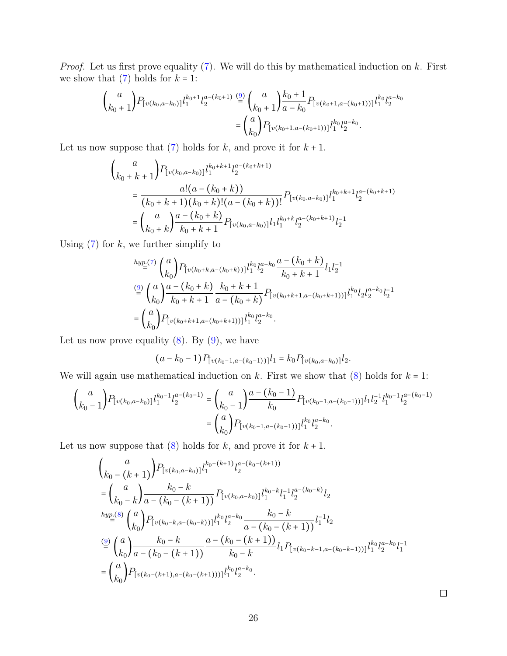*Proof.* Let us first prove equality  $(7)$ . We will do this by mathematical induction on k. First we show that  $(7)$  holds for  $k = 1$ :

$$
\binom{a}{k_0+1} P_{[v(k_0, a-k_0)]} l_1^{k_0+1} l_2^{a-(k_0+1)} \stackrel{\text{(9)}}{=} \binom{a}{k_0+1} \frac{k_0+1}{a-k_0} P_{[v(k_0+1, a-(k_0+1))] } l_1^{k_0} l_2^{a-k_0}
$$

$$
= \binom{a}{k_0} P_{[v(k_0+1, a-(k_0+1))] } l_1^{k_0} l_2^{a-k_0}.
$$

Let us now suppose that  $(7)$  holds for k, and prove it for  $k + 1$ .

$$
\binom{a}{k_0 + k + 1} P_{[v(k_0, a-k_0)]} l_1^{k_0 + k + 1} l_2^{a - (k_0 + k + 1)}
$$
\n
$$
= \frac{a! (a - (k_0 + k))}{(k_0 + k + 1)(k_0 + k)!(a - (k_0 + k))!} P_{[v(k_0, a-k_0)]} l_1^{k_0 + k + 1} l_2^{a - (k_0 + k + 1)}
$$
\n
$$
= \binom{a}{k_0 + k} \frac{a - (k_0 + k)}{k_0 + k + 1} P_{[v(k_0, a-k_0)]} l_1 l_1^{k_0 + k} l_2^{a - (k_0 + k + 1)} l_2^{-1}
$$

Using  $(7)$  for  $k$ , we further simplify to

$$
\begin{split} &\stackrel{hyp. (7)}{=} \binom{a}{k_0} P_{[v(k_0+k,a-(k_0+k))]l_1^{k_0}l_2^{a-k_0}} \frac{a-(k_0+k)}{k_0+k+1} l_1 l_2^{-1} \\ &\stackrel{(9)}{=} \binom{a}{k_0} \frac{a-(k_0+k)}{k_0+k+1} \frac{k_0+k+1}{a-(k_0+k)} P_{[v(k_0+k+1,a-(k_0+k+1))]l_1^{k_0}l_2 l_2^{a-k_0} l_2^{-1} \\ &\quad= \binom{a}{k_0} P_{[v(k_0+k+1,a-(k_0+k+1))]l_1^{k_0}l_2^{a-k_0}. \end{split}
$$

Let us now prove equality  $(8)$ . By  $(9)$ , we have

$$
(a-k_0-1)P_{[v(k_0-1,a-(k_0-1))]}\mathbf{1} = k_0P_{[v(k_0,a-k_0)]}\mathbf{1}_2.
$$

We will again use mathematical induction on  $k$ . First we show that  $(8)$  holds for  $k = 1$ :

$$
\binom{a}{k_0-1} P_{[v(k_0, a-k_0)]} l_1^{k_0-1} l_2^{a-(k_0-1)} = \binom{a}{k_0-1} \frac{a-(k_0-1)}{k_0} P_{[v(k_0-1, a-(k_0-1))]l_1 l_2^{-1} l_1^{k_0-1} l_2^{a-(k_0-1)}
$$

$$
= \binom{a}{k_0} P_{[v(k_0-1, a-(k_0-1))]l_1^{k_0} l_2^{a-k_0}.
$$

Let us now suppose that  $(8)$  holds for k, and prove it for  $k + 1$ .

<span id="page-25-0"></span>
$$
\begin{aligned}\n&\binom{a}{k_0-(k+1)}P_{[v(k_0,a-k_0)]}l_1^{k_0-(k+1)}l_2^{a-(k_0-(k+1))}\\&=\binom{a}{k_0-k}\frac{k_0-k}{a-(k_0-(k+1))}P_{[v(k_0,a-k_0)]}l_1^{k_0-k}l_1^{-1}l_2^{a-(k_0-k)}l_2\\&\stackrel{hyp. (8)}{=} \binom{a}{k_0}P_{[v(k_0-k,a-(k_0-k))]}\n\binom{ka}{2}\frac{k_0-k}{a-(k_0-(k+1))}l_1^{-1}l_2\\&\stackrel{(9)}{=} \binom{a}{k_0}\frac{k_0-k}{a-(k_0-(k+1))}\frac{a-(k_0-(k+1))}{k_0-k}l_1P_{[v(k_0-k-1,a-(k_0-k-1))]}\n\binom{ka}{2}\n\end{aligned}
$$
\n
$$
=\binom{a}{k_0}P_{[v(k_0-(k+1),a-(k_0-(k+1)))]}l_1^{k_0}l_2^{a-k_0}.
$$

 $\Box$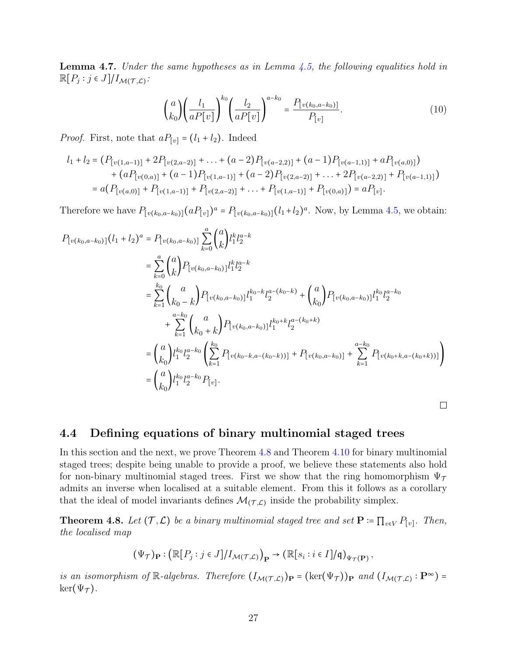**Lemma 4.7.** Under the same hypotheses as in Lemma  $\ddagger$ , the following equalities hold in  $\mathbb{R}[P_j : j \in J]/I_{\mathcal{M}(\mathcal{T}, \mathcal{L})}$ :

$$
\binom{a}{k_0} \left(\frac{l_1}{aP[v]}\right)^{k_0} \left(\frac{l_2}{aP[v]}\right)^{a-k_0} = \frac{P_{[v(k_0, a-k_0)]}}{P_{[v]}}.\tag{10}
$$

*Proof.* First, note that  $aP_{[v]} = (l_1 + l_2)$ . Indeed

$$
l_1 + l_2 = (P_{[v(1,a-1)]} + 2P_{[v(2,a-2)]} + \dots + (a-2)P_{[v(a-2,2)]} + (a-1)P_{[v(a-1,1)]} + aP_{[v(a,0)]})
$$
  
+ 
$$
(aP_{[v(0,a)]} + (a-1)P_{[v(1,a-1)]} + (a-2)P_{[v(2,a-2)]} + \dots + 2P_{[v(a-2,2)]} + P_{[v(a-1,1)]})
$$
  
= 
$$
a(P_{[v(a,0)]} + P_{[v(1,a-1)]} + P_{[v(2,a-2)]} + \dots + P_{[v(1,a-1)]} + P_{[v(0,a)]}) = aP_{[v]}.
$$

Therefore we have  $P_{[v(k_0, a-k_0)]}(aP_{[v]})^a = P_{[v(k_0, a-k_0)]}(l_1+l_2)^a$ . Now, by Lemma [4.5,](#page-24-0) we obtain:

$$
P_{[v(k_0, a-k_0)]}(l_1 + l_2)^a = P_{[v(k_0, a-k_0)]} \sum_{k=0}^a {a \choose k} l_1^k l_2^{a-k}
$$
  
\n
$$
= \sum_{k=0}^a {a \choose k} P_{[v(k_0, a-k_0)]} l_1^k l_2^{a-k}
$$
  
\n
$$
= \sum_{k=1}^{k_0} {a \choose k_0 - k} P_{[v(k_0, a-k_0)]} l_1^{k_0 - k} l_2^{a - (k_0 - k)} + {a \choose k_0} P_{[v(k_0, a-k_0)]} l_1^{k_0} l_2^{a-k_0}
$$
  
\n
$$
+ \sum_{k=1}^{a-k_0} {a \choose k_0 + k} P_{[v(k_0, a-k_0)]} l_1^{k_0 + k} l_2^{a - (k_0 + k)}
$$
  
\n
$$
= {a \choose k_0} l_1^{k_0} l_2^{a-k_0} \left( \sum_{k=1}^{k_0} P_{[v(k_0 - k, a - (k_0 - k))]} + P_{[v(k_0, a-k_0)]} + \sum_{k=1}^{a-k_0} P_{[v(k_0 + k, a - (k_0 + k))]} \right)
$$
  
\n
$$
= {a \choose k_0} l_1^{k_0} l_2^{a-k_0} P_{[v]}.
$$

### <span id="page-26-0"></span>4.4 Defining equations of binary multinomial staged trees

In this section and the next, we prove Theorem [4.8](#page-26-1) and Theorem [4.10](#page-29-0) for binary multinomial staged trees; despite being unable to provide a proof, we believe these statements also hold for non-binary multinomial staged trees. First we show that the ring homomorphism  $\Psi_{\mathcal{T}}$ admits an inverse when localised at a suitable element. From this it follows as a corollary that the ideal of model invariants defines  $\mathcal{M}_{(\mathcal{T}, \mathcal{L})}$  inside the probability simplex.

<span id="page-26-1"></span>**Theorem 4.8.** Let  $(\mathcal{T}, \mathcal{L})$  be a binary multinomial staged tree and set  $\mathbf{P} = \prod_{v \in V} P_{[v]}$ . Then, the localised map

$$
(\Psi_{\mathcal{T}})_{\mathbf{P}} : (\mathbb{R}[P_j : j \in J]/I_{\mathcal{M}(\mathcal{T}, \mathcal{L})})_{\mathbf{P}} \to (\mathbb{R}[s_i : i \in I]/\mathfrak{q})_{\Psi_{\mathcal{T}}(\mathbf{P})},
$$

is an isomorphism of R-algebras. Therefore  $(I_{\mathcal{M}(\mathcal{T}, \mathcal{L})})_{\mathbf{P}} = (\ker(\Psi_{\mathcal{T}}))_{\mathbf{P}}$  and  $(I_{\mathcal{M}(\mathcal{T}, \mathcal{L})} : \mathbf{P}^{\infty}) =$  $\ker(\Psi_{\mathcal{T}}).$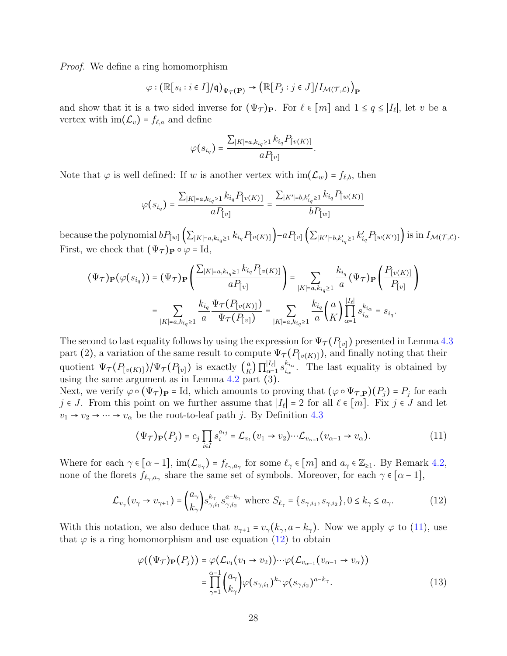*Proof.* We define a ring homomorphism

$$
\varphi : (\mathbb{R}[s_i : i \in I]/\mathfrak{q})_{\Psi_{\mathcal{T}}(\mathbf{P})} \to (\mathbb{R}[P_j : j \in J]/I_{\mathcal{M}(\mathcal{T}, \mathcal{L})})_{\mathbf{P}}
$$

and show that it is a two sided inverse for  $(\Psi_{\mathcal{T}})_{\mathbf{P}}$ . For  $\ell \in [m]$  and  $1 \le q \le |I_{\ell}|$ , let v be a vertex with  $\text{im}(\mathcal{L}_v) = f_{\ell,a}$  and define

$$
\varphi(s_{i_q}) = \frac{\sum_{|K|=a, k_{i_q}\geq 1} k_{i_q} P_{[v(K)]}}{a P_{[v]}}.
$$

Note that  $\varphi$  is well defined: If w is another vertex with  $\text{im}(\mathcal{L}_w) = f_{\ell,b}$ , then

$$
\varphi(s_{i_q}) = \frac{\sum_{|K| = a, k_{i_q} \ge 1} k_{i_q} P_{[v(K)]}}{a P_{[v]}} = \frac{\sum_{|K'| = b, k'_{i_q} \ge 1} k_{i_q} P_{[w(K)]}}{b P_{[w]}}
$$

because the polynomial  $bP_{[w]}(\sum_{|K|=a,k_{i_q}\geq 1}k_{i_q}P_{[v(K)]})-aP_{[v]}(\sum_{|K'|=b,k'_{i_q}\geq 1}k'_{i_q}P_{[w(K')]})$  is in  $I_{\mathcal{M}(\mathcal{T},\mathcal{L})}$ . First, we check that  $(\Psi_{\mathcal{T}})_{\mathbf{P}} \circ \varphi = \mathrm{Id},$ 

$$
(\Psi_{\mathcal{T}})_{\mathbf{P}}(\varphi(s_{i_q})) = (\Psi_{\mathcal{T}})_{\mathbf{P}} \left( \frac{\sum_{|K| = a, k_{i_q} \ge 1} k_{i_q} P_{[v(K)]}}{a P_{[v]}} \right) = \sum_{|K| = a, k_{i_q} \ge 1} \frac{k_{i_q}}{a} (\Psi_{\mathcal{T}})_{\mathbf{P}} \left( \frac{P_{[v(K)]}}{P_{[v]}} \right)
$$

$$
= \sum_{|K| = a, k_{i_q} \ge 1} \frac{k_{i_q}}{a} \frac{\Psi_{\mathcal{T}}(P_{[v(K)]})}{\Psi_{\mathcal{T}}(P_{[v]})} = \sum_{|K| = a, k_{i_q} \ge 1} \frac{k_{i_q}}{a} \binom{a}{K} \prod_{\alpha=1}^{|I_{\ell}|} s_{i_{\alpha}}^{k_{i_{\alpha}}} = s_{i_q}.
$$

The second to last equality follows by using the expression for  $\Psi_{\mathcal{T}}(P_{[v]})$  presented in Lemma [4.3](#page-22-0) part (2), a variation of the same result to compute  $\Psi_{\mathcal{T}}(P_{[v(K)]})$ , and finally noting that their quotient  $\Psi_{\mathcal{T}}(P_{[v(K)]})/\Psi_{\mathcal{T}}(P_{[v]})$  is exactly  $\binom{a}{K}$  $\frac{K}{10}$  $|I_{\ell}|$  $\frac{|I_{\ell}|}{\alpha=1}$   $s_{i_{\alpha}}^{k_{i_{\alpha}}}$  $\frac{k_{i_{\alpha}}}{k_{\alpha}}$ . The last equality is obtained by using the same argument as in Lemma [4.2](#page-20-0) part (3).

Next, we verify  $\varphi \circ (\Psi_{\mathcal{T}})_{\mathbf{P}} = \text{Id}$ , which amounts to proving that  $(\varphi \circ \Psi_{\mathcal{T},\mathbf{P}})(P_j) = P_j$  for each is Lemma that  $\Pi$ ,  $\Pi$  is the set of and let j ∈ J. From this point on we further assume that  $|I_\ell| = 2$  for all  $\ell \in [m]$ . Fix j ∈ J and let  $v_1 \rightarrow v_2 \rightarrow \cdots \rightarrow v_\alpha$  be the root-to-leaf path j. By Definition [4.3](#page-19-0)

<span id="page-27-0"></span>
$$
(\Psi_{\mathcal{T}})_{\mathbf{P}}(P_j) = c_j \prod_{i \in I} s_i^{a_{ij}} = \mathcal{L}_{v_1}(v_1 \to v_2) \cdots \mathcal{L}_{v_{\alpha-1}}(v_{\alpha-1} \to v_\alpha).
$$
(11)

Where for each  $\gamma \in [\alpha - 1]$ ,  $\text{im}(\mathcal{L}_{v_{\gamma}}) = f_{\ell_{\gamma},a_{\gamma}}$  for some  $\ell_{\gamma} \in [m]$  and  $a_{\gamma} \in \mathbb{Z}_{\geq 1}$ . By Remark [4.2,](#page-19-1) none of the florets  $f_{\ell_{\gamma},a_{\gamma}}$  share the same set of symbols. Moreover, for each  $\gamma \in [\alpha - 1]$ ,

<span id="page-27-1"></span>
$$
\mathcal{L}_{v_{\gamma}}(v_{\gamma} \to v_{\gamma+1}) = \binom{a_{\gamma}}{k_{\gamma}} s_{\gamma, i_1}^{k_{\gamma}} s_{\gamma, i_2}^{a - k_{\gamma}} \text{ where } S_{\ell_{\gamma}} = \{s_{\gamma, i_1}, s_{\gamma, i_2}\}, 0 \le k_{\gamma} \le a_{\gamma}.\tag{12}
$$

With this notation, we also deduce that  $v_{\gamma+1} = v_{\gamma}(k_{\gamma}, a - k_{\gamma})$ . Now we apply  $\varphi$  to [\(11\)](#page-27-0), use that  $\varphi$  is a ring homomorphism and use equation [\(12\)](#page-27-1) to obtain

<span id="page-27-2"></span>
$$
\varphi((\Psi_{\mathcal{T}})_{\mathbf{P}}(P_j)) = \varphi(\mathcal{L}_{v_1}(v_1 \to v_2)) \cdots \varphi(\mathcal{L}_{v_{\alpha-1}}(v_{\alpha-1} \to v_\alpha))
$$
  
= 
$$
\prod_{\gamma=1}^{\alpha-1} {a_{\gamma} \choose k_{\gamma}} \varphi(s_{\gamma,i_1})^{k_{\gamma}} \varphi(s_{\gamma,i_2})^{a-k_{\gamma}}.
$$
 (13)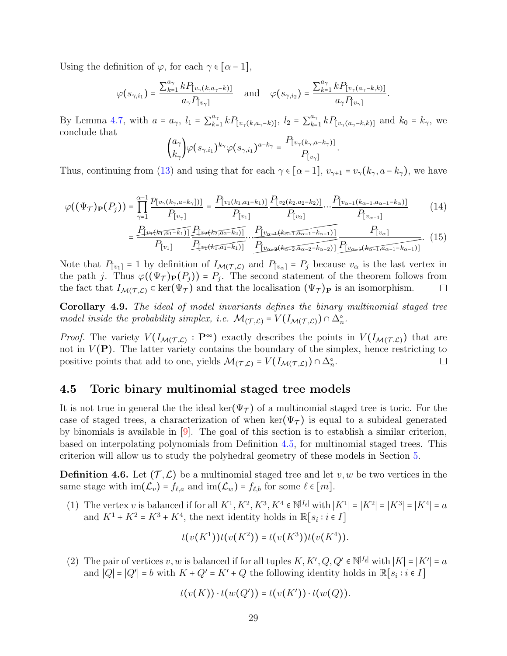Using the definition of  $\varphi$ , for each  $\gamma \in [\alpha - 1]$ ,

$$
\varphi(s_{\gamma,i_1})=\frac{\sum_{k=1}^{a_{\gamma}}kP_{\lfloor v_{\gamma}(k,a_{\gamma}-k)\rfloor}}{a_{\gamma}P_{\lfloor v_{\gamma}\rfloor}}\quad\text{and}\quad\varphi(s_{\gamma,i_2})=\frac{\sum_{k=1}^{a_{\gamma}}kP_{\lfloor v_{\gamma}(a_{\gamma}-k,k)\rfloor}}{a_{\gamma}P_{\lfloor v_{\gamma}\rfloor}}.
$$

By Lemma [4.7,](#page-25-0) with  $a = a_{\gamma}$ ,  $l_1 = \sum_{k=1}^{a_{\gamma}}$  $_{k=1}^{a_{\gamma}} k P_{[v_{\gamma}(k, a_{\gamma}-k)]}$ ,  $l_2 = \sum_{k=1}^{a_{\gamma}}$  $_{k=1}^{a_{\gamma}} k P_{\lbrack v_{\gamma}(a_{\gamma}-k,k)]}$  and  $k_0 = k_{\gamma}$ , we conclude that

$$
\binom{a_{\gamma}}{k_{\gamma}}\varphi(s_{\gamma,i_1})^{k_{\gamma}}\varphi(s_{\gamma,i_1})^{a-k_{\gamma}} = \frac{P_{\left[v_{\gamma}\left(k_{\gamma},a-k_{\gamma}\right)\right]}}{P_{\left[v_{\gamma}\right]}}
$$

Thus, continuing from [\(13\)](#page-27-2) and using that for each  $\gamma \in [\alpha - 1]$ ,  $v_{\gamma+1} = v_{\gamma}(k_{\gamma}, a - k_{\gamma})$ , we have

$$
\varphi((\Psi_{\mathcal{T}})_{\mathbf{P}}(P_j)) = \prod_{\gamma=1}^{\alpha-1} \frac{p_{[v_{\gamma}(k_{\gamma},a-k_{\gamma})]}]}{P_{[v_{\gamma}]}} = \frac{P_{[v_1(k_1,a_1-k_1)]}}{P_{[v_1]}} \frac{P_{[v_2(k_2,a_2-k_2)]}}{P_{[v_2]}} \cdots \frac{P_{[v_{\alpha-1}(k_{\alpha-1},a_{\alpha-1}-k_{\alpha})]}}{P_{[v_{\alpha-1}]}}
$$
(14)

$$
= \frac{P_{\left[v_{1}(k_{1}, a_{1}-k_{1})\right]} P_{\left[v_{2}(k_{2}, a_{2}-k_{2})\right]}}{P_{\left[v_{1}\right]} P_{\left[v_{2}(k_{1}, a_{1}-k_{1})\right]}} \frac{P_{\left[v_{\alpha+1}(k_{\alpha-1}, a_{\alpha-1}-k_{\alpha-1})\right]}}{P_{\left[v_{\alpha+1}(k_{\alpha-1}, a_{\alpha-2}+k_{\alpha-2})\right]}} \frac{P_{\left[v_{\alpha}\right]}}{P_{\left[v_{\alpha+1}(k_{\alpha-1}, a_{\alpha-1}-k_{\alpha-1})\right]}}. \tag{15}
$$

.

Note that  $P_{[v_1]} = 1$  by definition of  $I_{\mathcal{M}(\mathcal{T}, \mathcal{L})}$  and  $P_{[v_\alpha]} = P_j$  because  $v_\alpha$  is the last vertex in the path j. Thus  $\varphi((\Psi_{\mathcal{T}})_{\mathbf{P}}(P_j)) = P_j$ . The second statement of the theorem follows from the fact that  $I_{\mathcal{M}(\mathcal{T},\mathcal{L})} \subset \ker(\Psi_{\mathcal{T}})$  and that the localisation  $(\Psi_{\mathcal{T}})_{\mathbf{P}}$  is an isomorphism.  $\Box$ 

Corollary 4.9. The ideal of model invariants defines the binary multinomial staged tree model inside the probability simplex, i.e.  $\mathcal{M}_{(\mathcal{T}, \mathcal{L})} = V(I_{\mathcal{M}(\mathcal{T}, \mathcal{L})}) \cap \Delta_n^{\circ}$ .

*Proof.* The variety  $V(I_{\mathcal{M}(\mathcal{T}, \mathcal{L})} : \mathbf{P}^{\infty})$  exactly describes the points in  $V(I_{\mathcal{M}(\mathcal{T}, \mathcal{L})})$  that are not in  $V(\mathbf{P})$ . The latter variety contains the boundary of the simplex, hence restricting to positive points that add to one, yields  $\mathcal{M}(\tau c) = V(I_{\mathcal{M}(\tau c)}) \cap \Delta_c^{\circ}$ . positive points that add to one, yields  $\mathcal{M}_{(\mathcal{T},\mathcal{L})} = V(I_{\mathcal{M}(\mathcal{T},\mathcal{L})}) \cap \Delta_n^{\circ}$ .

### <span id="page-28-0"></span>4.5 Toric binary multinomial staged tree models

It is not true in general the the ideal ker( $\Psi_{\mathcal{T}}$ ) of a multinomial staged tree is toric. For the case of staged trees, a characterization of when ker( $\Psi_{\tau}$ ) is equal to a subideal generated by binomials is available in [\[9\]](#page-41-3). The goal of this section is to establish a similar criterion, based on interpolating polynomials from Definition [4.5,](#page-22-1) for multinomial staged trees. This criterion will allow us to study the polyhedral geometry of these models in Section [5.](#page-32-0)

<span id="page-28-1"></span>**Definition 4.6.** Let  $(\mathcal{T}, \mathcal{L})$  be a multinomial staged tree and let v, w be two vertices in the same stage with  $\text{im}(\mathcal{L}_v) = f_{\ell,a}$  and  $\text{im}(\mathcal{L}_w) = f_{\ell,b}$  for some  $\ell \in [m]$ .

(1) The vertex v is balanced if for all  $K^1, K^2, K^3, K^4 \in \mathbb{N}^{|I_{\ell}|}$  with  $|K^1| = |K^2| = |K^3| = |K^4| = a$ and  $K^1 + K^2 = K^3 + K^4$ , the next identity holds in  $\mathbb{R}[s_i : i \in I]$ 

$$
t(v(K^{1}))t(v(K^{2})) = t(v(K^{3}))t(v(K^{4})).
$$

(2) The pair of vertices v, w is balanced if for all tuples  $K, K', Q, Q' \in \mathbb{N}^{|I_{\ell}|}$  with  $|K| = |K'| = a$ and  $|Q| = |Q'| = b$  with  $K + Q' = K' + Q$  the following identity holds in  $\mathbb{R}[s_i : i \in I]$ 

$$
t(v(K)) \cdot t(w(Q')) = t(v(K')) \cdot t(w(Q)).
$$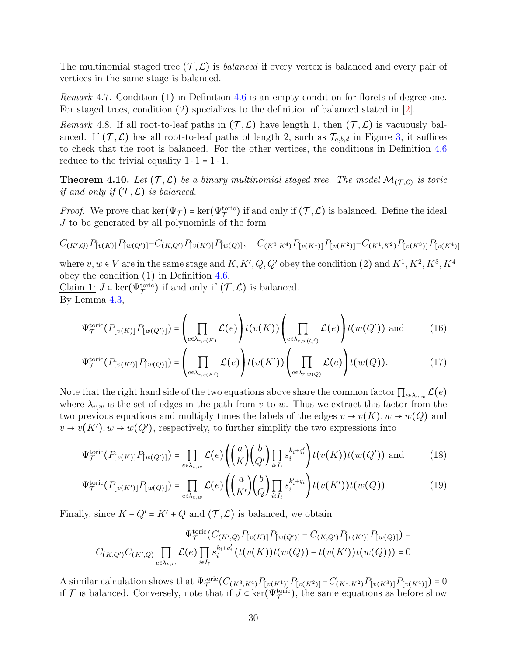The multinomial staged tree  $(\mathcal{T}, \mathcal{L})$  is *balanced* if every vertex is balanced and every pair of vertices in the same stage is balanced.

Remark 4.7. Condition (1) in Definition [4.6](#page-28-1) is an empty condition for florets of degree one. For staged trees, condition (2) specializes to the definition of balanced stated in [\[2\]](#page-40-6).

<span id="page-29-1"></span>Remark 4.8. If all root-to-leaf paths in  $(\mathcal{T}, \mathcal{L})$  have length 1, then  $(\mathcal{T}, \mathcal{L})$  is vacuously balanced. If  $(\mathcal{T}, \mathcal{L})$  has all root-to-leaf paths of length 2, such as  $\mathcal{T}_{a,b,d}$  in Figure [3,](#page-34-0) it suffices to check that the root is balanced. For the other vertices, the conditions in Definition [4.6](#page-28-1) reduce to the trivial equality  $1 \cdot 1 = 1 \cdot 1$ .

<span id="page-29-0"></span>**Theorem 4.10.** Let  $(\mathcal{T}, \mathcal{L})$  be a binary multinomial staged tree. The model  $\mathcal{M}_{(\mathcal{T}, \mathcal{L})}$  is toric<br>if and enly if  $(\mathcal{T}, \mathcal{L})$  is belonged if and only if  $(\mathcal{T}, \mathcal{L})$  is balanced.

*Proof.* We prove that  $\ker(\Psi_{\mathcal{T}}) = \ker(\Psi_{\mathcal{T}}^{\text{toric}})$  if and only if  $(\mathcal{T}, \mathcal{L})$  is balanced. Define the ideal  $J$  to be generated by all polynomials of the form

$$
C_{(K',Q)}P_{[v(K)]}P_{[w(Q')]}-C_{(K,Q')}P_{[v(K')]}\cdot P_{[w(Q)]}, \quad C_{(K^3,K^4)}P_{[v(K^1)]}P_{[v(K^2)]}-C_{(K^1,K^2)}P_{[v(K^3)]}P_{[v(K^4)]}
$$

where  $v, w \in V$  are in the same stage and  $K, K', Q, Q'$  obey the condition (2) and  $K^1, K^2, K^3, K^4$ obey the condition (1) in Definition [4.6.](#page-28-1)

Claim 1:  $J \subset \text{ker}(\Psi_{\mathcal{T}}^{\text{toric}})$  if and only if  $(\mathcal{T}, \mathcal{L})$  is balanced. By Lemma [4.3,](#page-22-0)

$$
\Psi_{\mathcal{T}}^{\text{toric}}(P_{[v(K)]}P_{[w(Q')]}) = \left(\prod_{e \in \lambda_{r,v(K)}} \mathcal{L}(e)\right) t(v(K)) \left(\prod_{e \in \lambda_{r,w(Q')}} \mathcal{L}(e)\right) t(w(Q')) \text{ and } (16)
$$

$$
\Psi_{\mathcal{T}}^{\text{toric}}(P_{[v(K')] } P_{[w(Q)]}) = \left(\prod_{e \in \lambda_{r,v(K')}} \mathcal{L}(e)\right) t(v(K')) \left(\prod_{e \in \lambda_{r,w(Q)}} \mathcal{L}(e)\right) t(w(Q)).
$$
\n(17)

Note that the right hand side of the two equations above share the common factor  $\prod_{e \in \lambda_{v,w}} \mathcal{L}(e)$ where  $\lambda_{v,w}$  is the set of edges in the path from v to w. Thus we extract this factor from the two previous equations and multiply times the labels of the edges  $v \to v(K)$ ,  $w \to w(Q)$  and  $v \to v(K')$ ,  $w \to w(Q')$ , respectively, to further simplify the two expressions into

$$
\Psi_{\mathcal{T}}^{\text{toric}}(P_{[v(K)]}P_{[w(Q')]}) = \prod_{e \in \lambda_{v,w}} \mathcal{L}(e) \left( \binom{a}{K} \binom{b}{Q'} \prod_{i \in I_{\ell}} s_i^{k_i + q_i'} \right) t(v(K)) t(w(Q')) \text{ and } (18)
$$

$$
\Psi_{\mathcal{T}}^{\text{toric}}(P_{[v(K')] }P_{[w(Q)]}) = \prod_{e \in \lambda_{v,w}} \mathcal{L}(e) \left( \binom{a}{K'} \binom{b}{Q} \prod_{i \in I_{\ell}} s_i^{k'_i + q_i} \right) t(v(K')) t(w(Q)) \tag{19}
$$

Finally, since  $K + Q' = K' + Q$  and  $(\mathcal{T}, \mathcal{L})$  is balanced, we obtain

$$
\Psi^{\text{toric}}_{\mathcal{T}}(C_{(K',Q)}P_{[v(K)]}P_{[w(Q')]}-C_{(K,Q')}P_{[v(K')]}P_{[w(Q)]})=
$$
  

$$
C_{(K,Q')}C_{(K',Q)}\prod_{e\in\lambda_{v,w}}\mathcal{L}(e)\prod_{i\in I_{\ell}}s_{i}^{k_{i}+q'_{i}}(t(v(K))t(w(Q))-t(v(K'))t(w(Q)))=0
$$

A similar calculation shows that  $\Psi_{\mathcal{T}}^{\text{toric}}(C_{(K^3,K^4)}P_{[v(K^1)]}P_{[v(K^2)]}-C_{(K^1,K^2)}P_{[v(K^3)]}P_{[v(K^4)]})=0$ if  $\mathcal T$  is balanced. Conversely, note that if  $J \subset \text{ker}(\Psi_{\mathcal T}^{\text{toric}})$ , the same equations as before show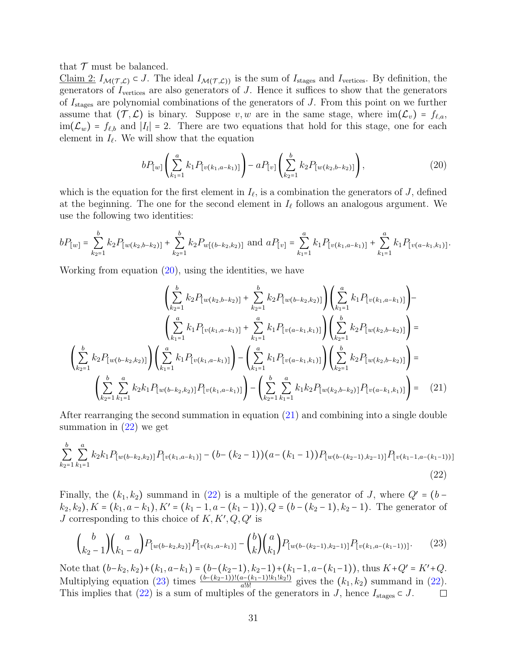that  $\mathcal T$  must be balanced.

Claim 2:  $I_{\mathcal{M}(\mathcal{T},\mathcal{L})} \subset J$ . The ideal  $I_{\mathcal{M}(\mathcal{T},\mathcal{L})}$  is the sum of  $I_{\text{stages}}$  and  $I_{\text{vertices}}$ . By definition, the generators of  $I_{\text{vertices}}$  are also generators of  $J$ . Hence it suffices to show that the generators of  $I_{\text{stages}}$  are polynomial combinations of the generators of J. From this point on we further assume that  $(\mathcal{T}, \mathcal{L})$  is binary. Suppose  $v, w$  are in the same stage, where  $\text{im}(\mathcal{L}_v) = f_{\ell,a}$ ,  $\lim_{L \to \infty} (\mathcal{L}_w) = f_{\ell,b}$  and  $|I_l| = 2$ . There are two equations that hold for this stage, one for each also element in  $I_{\ell}$ . We will show that the equation

<span id="page-30-1"></span><span id="page-30-0"></span>
$$
bP_{[w]}\left(\sum_{k_1=1}^a k_1 P_{[v(k_1,a-k_1)]}\right) - aP_{[v]}\left(\sum_{k_2=1}^b k_2 P_{[w(k_2,b-k_2)]}\right),\tag{20}
$$

which is the equation for the first element in  $I_{\ell}$ , is a combination the generators of J, defined at the beginning. The one for the second element in  $I_\ell$  follows an analogous argument. We use the following two identities:

$$
bP_{[w]} = \sum_{k_2=1}^b k_2 P_{[w(k_2,b-k_2)]} + \sum_{k_2=1}^b k_2 P_{w[(b-k_2,k_2)]} \text{ and } aP_{[v]} = \sum_{k_1=1}^a k_1 P_{[v(k_1,a-k_1)]} + \sum_{k_1=1}^a k_1 P_{[v(a-k_1,k_1)]}.
$$

Working from equation [\(20\)](#page-30-0), using the identities, we have

$$
\left(\sum_{k_{2}=1}^{b} k_{2} P_{[w(k_{2},b-k_{2})]} + \sum_{k_{2}=1}^{b} k_{2} P_{[w(b-k_{2},k_{2})]} \right) \left(\sum_{k_{1}=1}^{a} k_{1} P_{[v(k_{1},a-k_{1})]} \right) -
$$
\n
$$
\left(\sum_{k_{1}=1}^{a} k_{1} P_{[v(k_{1},a-k_{1})]} + \sum_{k_{1}=1}^{a} k_{1} P_{[v(a-k_{1},k_{1})]} \right) \left(\sum_{k_{2}=1}^{b} k_{2} P_{[w(k_{2},b-k_{2})]} \right) =
$$
\n
$$
\left(\sum_{k_{2}=1}^{b} k_{2} P_{[w(b-k_{2},k_{2})]} \right) \left(\sum_{k_{1}=1}^{a} k_{1} P_{[v(k_{1},a-k_{1})]} \right) - \left(\sum_{k_{1}=1}^{a} k_{1} P_{[v(a-k_{1},k_{1})]} \right) \left(\sum_{k_{2}=1}^{b} k_{2} P_{[w(k_{2},b-k_{2})]} \right) =
$$
\n
$$
\left(\sum_{k_{2}=1}^{b} \sum_{k_{1}=1}^{a} k_{2} k_{1} P_{[w(b-k_{2},k_{2})]} P_{[v(k_{1},a-k_{1})]} \right) - \left(\sum_{k_{2}=1}^{b} \sum_{k_{1}=1}^{a} k_{1} k_{2} P_{[w(k_{2},b-k_{2})]} P_{[v(a-k_{1},k_{1})]} \right) = (21)
$$

After rearranging the second summation in equation [\(21\)](#page-30-1) and combining into a single double summation in  $(22)$  we get

$$
\sum_{k_2=1}^{b} \sum_{k_1=1}^{a} k_2 k_1 P_{[w(b-k_2,k_2)]} P_{[v(k_1,a-k_1)]} - (b - (k_2 - 1))(a - (k_1 - 1))P_{[w(b-(k_2-1),k_2-1)]} P_{[v(k_1-1,a-(k_1-1))]}
$$
\n(22)

Finally, the  $(k_1, k_2)$  summand in  $(22)$  is a multiple of the generator of J, where  $Q' = (b (k_2, k_2), K = (k_1, a - k_1), K' = (k_1 - 1, a - (k_1 - 1)), Q = (b - (k_2 - 1), k_2 - 1).$  The generator of J corresponding to this choice of  $K, K', Q, Q'$  is

<span id="page-30-3"></span><span id="page-30-2"></span>
$$
\binom{b}{k_2-1}\binom{a}{k_1-a}P_{[w(b-k_2,k_2)]}P_{[v(k_1,a-k_1)]} - \binom{b}{k}\binom{a}{k_1}P_{[w(b-(k_2-1),k_2-1)]}P_{[v(k_1,a-(k_1-1))]}. \tag{23}
$$

Note that  $(b-k_2, k_2)+(k_1, a-k_1) = (b-(k_2-1), k_2-1)+(k_1-1, a-(k_1-1))$ , thus  $K+Q' = K'+Q$ . Multiplying equation [\(23\)](#page-30-3) times  $\frac{(b-(k_2-1))!(a-(k_1-1)!k_1!k_2!)}{a!b!}$  gives the  $(k_1, k_2)$  summand in [\(22\)](#page-30-2). This implies that [\(22\)](#page-30-2) is a sum of multiples of the generators in J, hence  $I_{\text{stages}} \subset J$ .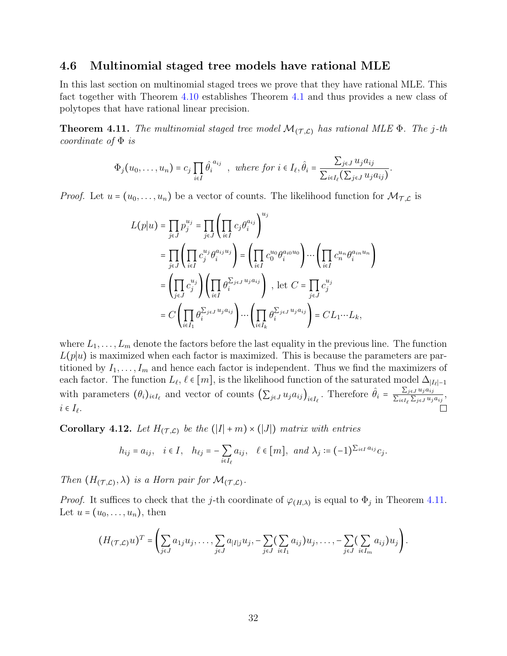### <span id="page-31-0"></span>4.6 Multinomial staged tree models have rational MLE

In this last section on multinomial staged trees we prove that they have rational MLE. This fact together with Theorem [4.10](#page-29-0) establishes Theorem [4.1](#page-18-0) and thus provides a new class of polytopes that have rational linear precision.

<span id="page-31-1"></span>**Theorem 4.11.** The multinomial staged tree model  $\mathcal{M}_{(\mathcal{T}, \mathcal{L})}$  has rational MLE  $\Phi$ . The j-th coordinate of  $\Phi$  is

$$
\Phi_j(u_0,\ldots,u_n)=c_j\prod_{i\in I}\hat{\theta_i}^{a_{ij}}\quad\text{where for }i\in I_\ell,\hat{\theta_i}=\frac{\sum_{j\in J}u_ja_{ij}}{\sum_{i\in I_\ell}(\sum_{j\in J}u_ja_{ij})}.
$$

*Proof.* Let  $u = (u_0, \ldots, u_n)$  be a vector of counts. The likelihood function for  $\mathcal{M}_{\mathcal{T},\mathcal{L}}$  is

$$
L(p|u) = \prod_{j\in J} p_j^{u_j} = \prod_{j\in J} \left(\prod_{i\in I} c_j \theta_i^{a_{ij}}\right)^{u_j}
$$
  
\n
$$
= \prod_{j\in J} \left(\prod_{i\in I} c_j^{u_j} \theta_i^{a_{ij}u_j}\right) = \left(\prod_{i\in I} c_0^{u_0} \theta_i^{a_{i0}u_0}\right) \cdots \left(\prod_{i\in I} c_n^{u_n} \theta_i^{a_{in}u_n}\right)
$$
  
\n
$$
= \left(\prod_{j\in J} c_j^{u_j}\right) \left(\prod_{i\in I} \theta_i^{\sum_{j\in J} u_j a_{ij}}\right), \text{ let } C = \prod_{j\in J} c_j^{u_j}
$$
  
\n
$$
= C \left(\prod_{i\in I_1} \theta_i^{\sum_{j\in J} u_j a_{ij}}\right) \cdots \left(\prod_{i\in I_k} \theta_i^{\sum_{j\in J} u_j a_{ij}}\right) = CL_1 \cdots L_k,
$$

where  $L_1, \ldots, L_m$  denote the factors before the last equality in the previous line. The function  $L(p|u)$  is maximized when each factor is maximized. This is because the parameters are partitioned by  $I_1, \ldots, I_m$  and hence each factor is independent. Thus we find the maximizers of each factor. The function  $L_{\ell}$ ,  $\ell \in [m]$ , is the likelihood function of the saturated model  $\Delta_{|I_{\ell}|-1}$ with parameters  $(\theta_i)_{i \in I_\ell}$  and vector of counts  $\left(\sum_{j \in J} u_j a_{ij}\right)_{i \in I_\ell}$ . Therefore  $\hat{\theta}_i = \frac{\sum_{j \in J} u_j a_{ij}}{\sum_{i \in I_\ell} \sum_{j \in J} u_j}$  $\frac{\sum_{j\in J} u_j u_{ij}}{\sum_{i\in I_{\ell}}\sum_{j\in J} u_j a_{ij}},$  $i \in I_{\ell}.$ 

<span id="page-31-2"></span>Corollary 4.12. Let  $H_{(\mathcal{T}, \mathcal{L})}$  be the  $(|I| + m) \times (|J|)$  matrix with entries

$$
h_{ij}=a_{ij},\quad i\in I,\quad h_{\ell j}=-\sum_{i\in I_{\ell}}a_{ij},\quad \ell\in [m],\;\;and\; \lambda_j:=(-1)^{\sum_{i\in I}a_{ij}}c_j.
$$

Then  $(H_{(\mathcal{T}, \mathcal{L})}, \lambda)$  is a Horn pair for  $\mathcal{M}_{(\mathcal{T}, \mathcal{L})}$ .

*Proof.* It suffices to check that the j-th coordinate of  $\varphi_{(H,\lambda)}$  is equal to  $\Phi_j$  in Theorem [4.11.](#page-31-1) Let  $u = (u_0, \ldots, u_n)$ , then

$$
(H_{(\mathcal{T},\mathcal{L})}u)^T=\left(\sum_{j\in J}a_{1j}u_j,\ldots,\sum_{j\in J}a_{|I|j}u_j,-\sum_{j\in J}(\sum_{i\in I_1}a_{ij})u_j,\ldots,-\sum_{j\in J}(\sum_{i\in I_m}a_{ij})u_j\right).
$$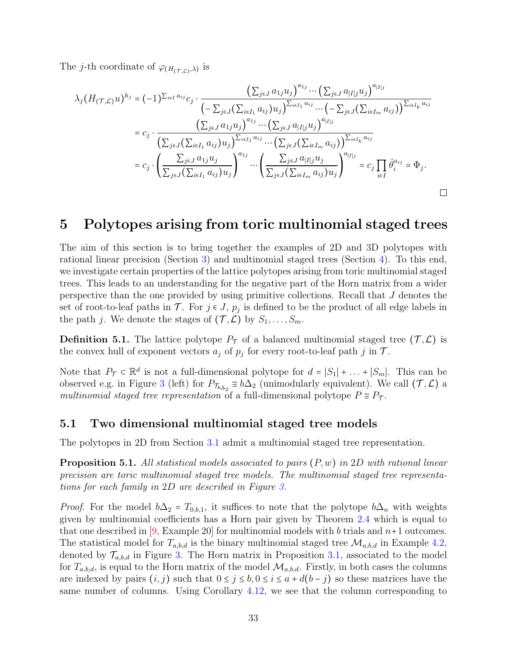The *j*-th coordinate of  $\varphi_{(H_{(\mathcal{T},\mathcal{L})},\lambda)}$  is

$$
\lambda_j(H_{(\mathcal{T},\mathcal{L})}u)^{h_j} = (-1)^{\sum_{i\in I} a_{ij}} c_j \cdot \frac{\left(\sum_{j\in J} a_{1j} u_j\right)^{a_{1j}} \cdots \left(\sum_{j\in J} a_{|I|j} u_j\right)^{a_{|I|j}}}{\left(-\sum_{j\in J} \left(\sum_{i\in I_1} a_{ij}\right) u_j\right)^{\sum_{i\in I_1} a_{ij}} \cdots \left(-\sum_{j\in J} \left(\sum_{i\in I_m} a_{ij}\right)\right)^{\sum_{i\in I_k} a_{ij}}}
$$
\n
$$
= c_j \cdot \frac{\left(\sum_{j\in J} a_{1j} u_j\right)^{a_{1j}} \cdots \left(\sum_{j\in J} a_{|I|j} u_j\right)^{a_{|I|j}}}{\left(\sum_{j\in J} \left(\sum_{i\in I_1} a_{ij}\right) u_j\right)^{\sum_{i\in I_1} a_{ij}} \cdots \left(\sum_{j\in J} \left(\sum_{i\in I_m} a_{ij}\right)\right)^{\sum_{i\in I_k} a_{ij}}}
$$
\n
$$
= c_j \cdot \left(\frac{\sum_{j\in J} a_{1j} u_j}{\sum_{j\in J} \left(\sum_{i\in I_1} a_{ij}\right) u_j}\right)^{a_{1j}} \cdots \left(\frac{\sum_{j\in J} a_{|I|j} u_j}{\sum_{j\in J} \left(\sum_{i\in I_m} a_{ij}\right) u_j}\right)^{a_{|I|j}} = c_j \prod_{i\in I} \hat{\theta}_i^{a_{ij}} = \Phi_j.
$$

### <span id="page-32-0"></span>5 Polytopes arising from toric multinomial staged trees

The aim of this section is to bring together the examples of 2D and 3D polytopes with rational linear precision (Section [3\)](#page-7-2) and multinomial staged trees (Section [4\)](#page-18-1). To this end, we investigate certain properties of the lattice polytopes arising from toric multinomial staged trees. This leads to an understanding for the negative part of the Horn matrix from a wider perspective than the one provided by using primitive collections. Recall that J denotes the set of root-to-leaf paths in  $\mathcal{T}$ . For  $j \in J$ ,  $p_j$  is defined to be the product of all edge labels in the path j. We denote the stages of  $(\mathcal{T}, \mathcal{L})$  by  $S_1, \ldots, S_m$ .

**Definition 5.1.** The lattice polytope  $P<sub>T</sub>$  of a balanced multinomial staged tree  $(\mathcal{T}, \mathcal{L})$  is the convex hull of exponent vectors  $a_j$  of  $p_j$  for every root-to-leaf path j in  $\mathcal{T}$ .

Note that  $P_{\mathcal{T}} \subset \mathbb{R}^d$  is not a full-dimensional polytope for  $d = |S_1| + ... + |S_m|$ . This can be absorpted a g in Figure 2 (left) for  $P_{\mathcal{Y}} \propto k \Lambda$  (unimadularly equivalent). We sell  $(\mathcal{T}, \Lambda)$ observed e.g. in Figure [3](#page-34-0) (left) for  $P_{\tau_{b\Delta_2}} \cong b\Delta_2$  (unimodularly equivalent). We call  $(\mathcal{T}, \mathcal{L})$  a multinomial staged tree representation of a full-dimensional polytope  $P \cong P_T$ .

### <span id="page-32-2"></span>5.1 Two dimensional multinomial staged tree models

<span id="page-32-1"></span>The polytopes in 2D from Section [3.1](#page-8-2) admit a multinomial staged tree representation.

**Proposition 5.1.** All statistical models associated to pairs  $(P, w)$  in 2D with rational linear precision are toric multinomial staged tree models. The multinomial staged tree representations for each family in 2D are described in Figure [3.](#page-34-0)

*Proof.* For the model  $b\Delta_2 = T_{0,b,1}$ , it suffices to note that the polytope  $b\Delta_n$  with weights given by multinomial coefficients has a Horn pair given by Theorem [2.4](#page-6-1) which is equal to that one described in  $(9, \text{Example } 20)$  for multinomial models with b trials and  $n+1$  outcomes. The statistical model for  $T_{a,b,d}$  is the binary multinomial staged tree  $\mathcal{M}_{a,b,d}$  in Example [4.2,](#page-19-2) denoted by  $\mathcal{T}_{a,b,d}$  in Figure [3.](#page-34-0) The Horn matrix in Proposition [3.1,](#page-8-1) associated to the model for  $T_{a,b,d}$ , is equal to the Horn matrix of the model  $\mathcal{M}_{a,b,d}$ . Firstly, in both cases the columns are indexed by pairs  $(i, j)$  such that  $0 \le j \le b, 0 \le i \le a + d(b - j)$  so these matrices have the same number of columns. Using Corollary [4.12,](#page-31-2) we see that the column corresponding to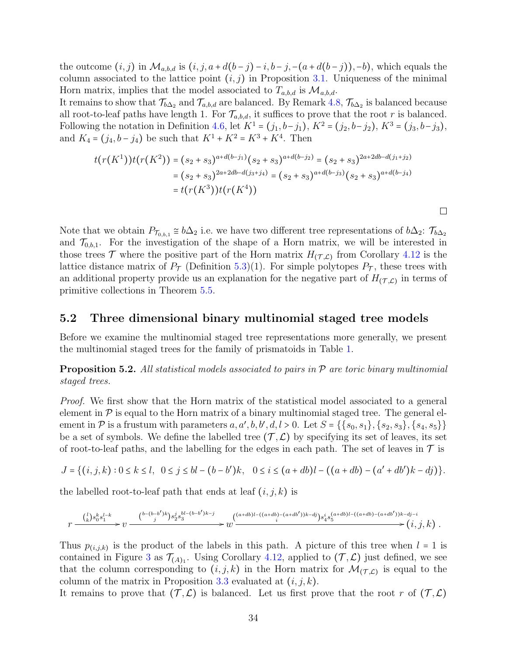the outcome  $(i, j)$  in  $\mathcal{M}_{a,b,d}$  is  $(i, j, a + d(b - j) - i, b - j, -(a + d(b - j)), -b)$ , which equals the column associated to the lattice point  $(i, j)$  in Proposition [3.1.](#page-8-1) Uniqueness of the minimal Horn matrix, implies that the model associated to  $T_{a,b,d}$  is  $\mathcal{M}_{a,b,d}$ .

It remains to show that  $\mathcal{T}_{b\Delta_2}$  and  $\mathcal{T}_{a,b,d}$  are balanced. By Remark [4.8,](#page-29-1)  $\mathcal{T}_{b\Delta_2}$  is balanced because all root-to-leaf paths have length 1. For  $\mathcal{T}_{a,b,d}$ , it suffices to prove that the root r is balanced. Following the notation in Definition [4.6,](#page-28-1) let  $K^1 = (j_1, b-j_1), K^2 = (j_2, b-j_2), K^3 = (j_3, b-j_3),$ and  $K_4 = (j_4, b - j_4)$  be such that  $K^1 + K^2 = K^3 + K^4$ . Then

$$
t(r(K^{1}))t(r(K^{2})) = (s_{2} + s_{3})^{a+d(b-j_{1})}(s_{2} + s_{3})^{a+d(b-j_{2})} = (s_{2} + s_{3})^{2a+2db-d(j_{1}+j_{2})}
$$
  
=  $(s_{2} + s_{3})^{2a+2db-d(j_{3}+j_{4})} = (s_{2} + s_{3})^{a+d(b-j_{3})}(s_{2} + s_{3})^{a+d(b-j_{4})}$   
=  $t(r(K^{3}))t(r(K^{4}))$ 

 $\Box$ 

Note that we obtain  $P_{\mathcal{T}_{0,b,1}} \cong b\Delta_2$  i.e. we have two different tree representations of  $b\Delta_2$ :  $\mathcal{T}_{b\Delta_2}$ and  $\mathcal{T}_{0,b,1}$ . For the investigation of the shape of a Horn matrix, we will be interested in those trees  $\mathcal T$  where the positive part of the Horn matrix  $H_{(\mathcal T,\mathcal L)}$  from Corollary [4.12](#page-31-2) is the lattice distance matrix of  $P_{\mathcal{T}}$  (Definition [5.3\)](#page-36-0)(1). For simple polytopes  $P_{\mathcal{T}}$ , these trees with an additional property provide us an explanation for the negative part of  $H_{(\mathcal{T},\mathcal{L})}$  in terms of primitive collections in Theorem [5.5.](#page-38-0)

### <span id="page-33-1"></span>5.2 Three dimensional binary multinomial staged tree models

Before we examine the multinomial staged tree representations more generally, we present the multinomial staged trees for the family of prismatoids in Table [1.](#page-11-0)

<span id="page-33-0"></span>**Proposition 5.2.** All statistical models associated to pairs in  $P$  are toric binary multinomial staged trees.

Proof. We first show that the Horn matrix of the statistical model associated to a general element in  $\mathcal P$  is equal to the Horn matrix of a binary multinomial staged tree. The general element in P is a frustum with parameters  $a, a', b, b', d, l > 0$ . Let  $S = \{\{s_0, s_1\}, \{s_2, s_3\}, \{s_4, s_5\}\}\$ be a set of symbols. We define the labelled tree  $(\mathcal{T}, \mathcal{L})$  by specifying its set of leaves, its set of root-to-leaf paths, and the labelling for the edges in each path. The set of leaves in  $\mathcal T$  is

$$
J = \{(i, j, k) : 0 \le k \le l, \ 0 \le j \le bl - (b - b')k, \ 0 \le i \le (a + db)l - ((a + db) - (a' + db')k - dj)\}.
$$

the labelled root-to-leaf path that ends at leaf  $(i, j, k)$  is

$$
r \xrightarrow{\binom{l}{k}s_0^ks_1^{l-k}} v \xrightarrow{\binom{b-(b-b')k}{j}s_2^js_3^{bl-(b-b')k-j}} w \xrightarrow{\binom{(a+db)l-((a+db)-(a+db'))k-dj}{i}s_4^is_5^{(a+db)l-((a+db)-(a+db'))k-dj-i}}(i,j,k) \ .
$$

Thus  $p_{(i,j,k)}$  is the product of the labels in this path. A picture of this tree when  $l = 1$  is<br>contained in Figure 2.00  $\mathcal{T}$  . Heing Capellony 4.12, applied to  $(\mathcal{T}, \mathcal{L})$  inst defined we are contained in Figure [3](#page-34-0) as  $\mathcal{T}_{(A)_1}$ . Using Corollary [4.12,](#page-31-2) applied to  $(\mathcal{T}, \mathcal{L})$  just defined, we see that the column corresponding to  $(i, j, k)$  in the Horn matrix for  $\mathcal{M}_{(\mathcal{T}, \mathcal{L})}$  is equal to the column of the matrix in Proposition 2.2 symbotod at  $(i, j, k)$ column of the matrix in Proposition [3.3](#page-10-1) evaluated at  $(i, j, k)$ .

It remains to prove that  $(\mathcal{T}, \mathcal{L})$  is balanced. Let us first prove that the root r of  $(\mathcal{T}, \mathcal{L})$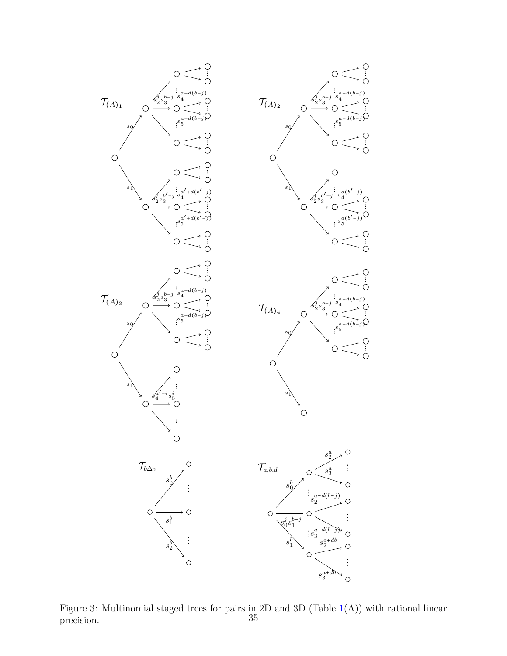<span id="page-34-0"></span>

Figure 3: Multinomial staged trees for pairs in 2D and 3D (Table  $1(A)$  $1(A)$ ) with rational linear precision. 35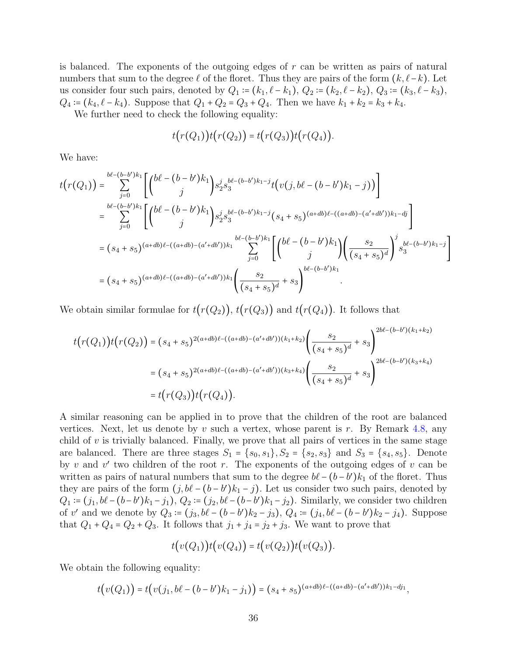is balanced. The exponents of the outgoing edges of  $r$  can be written as pairs of natural numbers that sum to the degree  $\ell$  of the floret. Thus they are pairs of the form  $(k, \ell - k)$ . Let us consider four such pairs, denoted by  $Q_1 := (k_1, \ell - k_1), Q_2 := (k_2, \ell - k_2), Q_3 := (k_3, \ell - k_3),$  $Q_4 = (k_4, \ell - k_4)$ . Suppose that  $Q_1 + Q_2 = Q_3 + Q_4$ . Then we have  $k_1 + k_2 = k_3 + k_4$ .

We further need to check the following equality:

$$
t(r(Q_1))t(r(Q_2)) = t(r(Q_3))t(r(Q_4)).
$$

We have:

$$
t(r(Q_1)) = \sum_{j=0}^{b\ell - (b-b')k_1} \left[ \binom{b\ell - (b-b')k_1}{j} s_2^j s_3^{b\ell - (b-b')k_1 - j} t(v(j, b\ell - (b-b')k_1 - j)) \right]
$$
  
\n
$$
= \sum_{j=0}^{b\ell - (b-b')k_1} \left[ \binom{b\ell - (b-b')k_1}{j} s_2^j s_3^{b\ell - (b-b')k_1 - j} (s_4 + s_5)^{(a+db)\ell - ((a+db)-(a'+db'))k_1 - dj} \right]
$$
  
\n
$$
= (s_4 + s_5)^{(a+db)\ell - ((a+db)-(a'+db'))k_1} \sum_{j=0}^{b\ell - (b-b')k_1} \left[ \binom{b\ell - (b-b')k_1}{j} \left( \frac{s_2}{(s_4 + s_5)^d} \right)^j s_3^{b\ell - (b-b')k_1 - j} \right]
$$
  
\n
$$
= (s_4 + s_5)^{(a+db)\ell - ((a+db)-(a'+db'))k_1} \left( \frac{s_2}{(s_4 + s_5)^d} + s_3 \right)^{b\ell - (b-b')k_1}
$$

We obtain similar formulae for  $t(r(Q_2))$ ,  $t(r(Q_3))$  and  $t(r(Q_4))$ . It follows that

$$
t(r(Q_1))t(r(Q_2)) = (s_4 + s_5)^{2(a+db)\ell - ((a+db)-(a'+db'))(k_1+k_2)} \left(\frac{s_2}{(s_4+s_5)^d} + s_3\right)^{2b\ell - (b-b')(k_1+k_2)}
$$
  

$$
= (s_4+s_5)^{2(a+db)\ell - ((a+db)-(a'+db'))(k_3+k_4)} \left(\frac{s_2}{(s_4+s_5)^d} + s_3\right)^{2b\ell - (b-b')(k_3+k_4)}
$$
  

$$
= t(r(Q_3))t(r(Q_4)).
$$

A similar reasoning can be applied in to prove that the children of the root are balanced vertices. Next, let us denote by v such a vertex, whose parent is r. By Remark [4.8,](#page-29-1) any child of  $v$  is trivially balanced. Finally, we prove that all pairs of vertices in the same stage are balanced. There are three stages  $S_1 = \{s_0, s_1\}, S_2 = \{s_2, s_3\}$  and  $S_3 = \{s_4, s_5\}.$  Denote by v and v' two children of the root r. The exponents of the outgoing edges of v can be written as pairs of natural numbers that sum to the degree  $b\ell - (b - b')k_1$  of the floret. Thus they are pairs of the form  $(j, b\ell - (b - b')k_1 - j)$ . Let us consider two such pairs, denoted by  $Q_1 := (j_1, b\ell - (b - b')k_1 - j_1), Q_2 := (j_2, b\ell - (b - b')k_1 - j_2).$  Similarly, we consider two children of v' and we denote by  $Q_3 := (j_3, b\ell - (b - b')k_2 - j_3), Q_4 := (j_4, b\ell - (b - b')k_2 - j_4)$ . Suppose that  $Q_1 + Q_4 = Q_2 + Q_3$ . It follows that  $j_1 + j_4 = j_2 + j_3$ . We want to prove that

$$
t(v(Q_1))t(v(Q_4)) = t(v(Q_2))t(v(Q_3)).
$$

We obtain the following equality:

$$
t(v(Q_1)) = t(v(j_1, b\ell - (b - b')k_1 - j_1)) = (s_4 + s_5)^{(a+db)\ell - ((a+db)-(a'+db'))k_1 - dj_1},
$$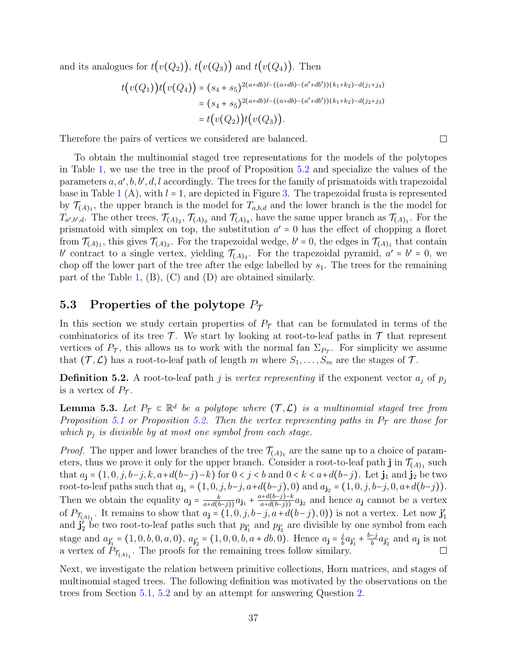and its analogues for  $t(v(Q_2))$ ,  $t(v(Q_3))$  and  $t(v(Q_4))$ . Then

$$
t(v(Q_1))t(v(Q_4)) = (s_4 + s_5)^{2(a+db)\ell - ((a+db)-(a'+db'))(k_1+k_2)-d(j_1+j_4)}
$$
  
=  $(s_4 + s_5)^{2(a+db)\ell - ((a+db)-(a'+db'))(k_1+k_2)-d(j_2+j_3)}$   
=  $t(v(Q_2))t(v(Q_3)).$ 

Therefore the pairs of vertices we considered are balanced.

To obtain the multinomial staged tree representations for the models of the polytopes in Table [1,](#page-11-0) we use the tree in the proof of Proposition [5.2](#page-33-0) and specialize the values of the parameters  $a, a', b, b', d, l$  accordingly. The trees for the family of prismatoids with trapezoidal base in Table [1](#page-11-0)  $(A)$ , with  $l = 1$ , are depicted in Figure [3.](#page-34-0) The trapezoidal frusta is represented by  $\mathcal{T}_{(A)_1}$ , the upper branch is the model for  $T_{a,b,d}$  and the lower branch is the the model for  $T_{a',b',d}$ . The other trees,  $\mathcal{T}_{(A)_2}$ ,  $\mathcal{T}_{(A)_3}$  and  $\mathcal{T}_{(A)_4}$ , have the same upper branch as  $\mathcal{T}_{(A)_1}$ . For the prismatoid with simplex on top, the substitution  $a' = 0$  has the effect of chopping a floret from  $\mathcal{T}_{(A)_1}$ , this gives  $\mathcal{T}_{(A)_2}$ . For the trapezoidal wedge,  $b' = 0$ , the edges in  $\mathcal{T}_{(A)_1}$  that contain b' contract to a single vertex, yielding  $\mathcal{T}_{(A)_3}$ . For the trapezoidal pyramid,  $a' = b' = 0$ , we also aff the large part of the trace of the trace of the large share in the server in the perception chop off the lower part of the tree after the edge labelled by  $s_1$ . The trees for the remaining part of the Table [1,](#page-11-0) (B), (C) and (D) are obtained similarly.

### 5.3 Properties of the polytope  $P_{\tau}$

In this section we study certain properties of  $P<sub>T</sub>$  that can be formulated in terms of the combinatorics of its tree  $\mathcal T$ . We start by looking at root-to-leaf paths in  $\mathcal T$  that represent vertices of  $P_{\mathcal{T}}$ , this allows us to work with the normal fan  $\Sigma_{P_{\mathcal{T}}}$ . For simplicity we assume that  $(\mathcal{T}, \mathcal{L})$  has a root-to-leaf path of length m where  $S_1, \ldots, S_m$  are the stages of  $\mathcal{T}$ .

**Definition 5.2.** A root-to-leaf path j is vertex representing if the exponent vector  $a_j$  of  $p_j$ is a vertex of  $P_T$ .

<span id="page-36-1"></span>**Lemma 5.3.** Let  $P_{\tau} \subset \mathbb{R}^d$  be a polytope where  $(\tau, \mathcal{L})$  is a multinomial staged tree from Proposition [5.1](#page-32-1) or Proposition [5.2.](#page-33-0) Then the vertex representing paths in  $P<sub>T</sub>$  are those for which  $p_j$  is divisible by at most one symbol from each stage.

*Proof.* The upper and lower branches of the tree  $\mathcal{T}_{(A)_1}$  are the same up to a choice of parameters, thus we prove it only for the upper branch. Consider a root-to-leaf path  $\mathbf{j}$  in  $\mathcal{T}_{(A)_1}$  such that  $a_j = (1, 0, j, b-j, k, a+d(b-j)-k)$  for  $0 < j < b$  and  $0 < k < a+d(b-j)$ . Let  $j_1$  and  $j_2$  be two root-to-leaf paths such that  $a_{j_1} = (1, 0, j, b-j, a+d(b-j), 0)$  and  $a_{j_2} = (1, 0, j, b-j, 0, a+d(b-j)).$ Then we obtain the equality  $a_j = \frac{k}{a+d(b-j)}a_{j1} + \frac{a+d(b-j)-k}{a+d(b-j)}a_{j2}$  and hence  $a_j$  cannot be a vertex of  $P_{\mathcal{T}_{(A)_1}}$ . It remains to show that  $a_j = (1, 0, j, b-j, a+d(b-j), 0)$  is not a vertex. Let now  $\mathbf{j}'_1$ and  $\mathbf{j}'_2$  be two root-to-leaf paths such that  $p_{\mathbf{j}'_1}$  and  $p_{\mathbf{j}'_2}$  are divisible by one symbol from each stage and  $a_{j'_1} = (1, 0, b, 0, a, 0), a_{j'_2} = (1, 0, 0, b, a + db, 0)$ . Hence  $a_j = \frac{j}{b}$  $\frac{j}{b}a_{\mathbf{j}_{1}'} + \frac{b-j}{b}a_{\mathbf{j}_{2}'}$  and  $a_{\mathbf{j}}$  is not a vertex of  $P_{\mathcal{T}_{(A)_1}}$ . The proofs for the remaining trees follow similary.

<span id="page-36-0"></span>Next, we investigate the relation between primitive collections, Horn matrices, and stages of multinomial staged trees. The following definition was motivated by the observations on the trees from Section [5.1,](#page-32-2) [5.2](#page-33-1) and by an attempt for answering Question [2.](#page-7-1)

 $\Box$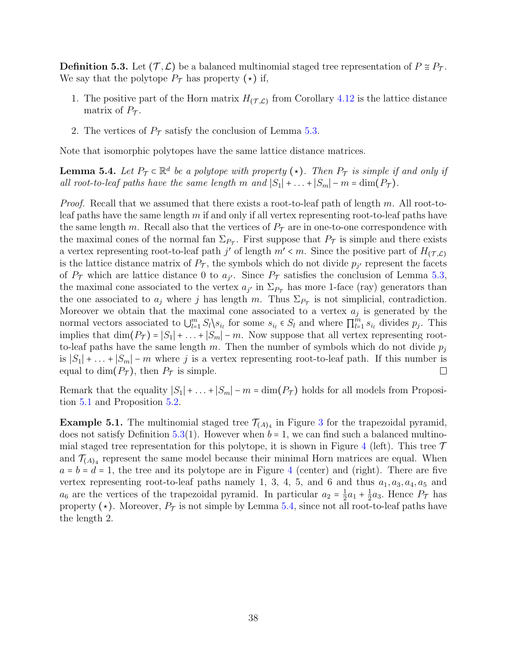**Definition 5.3.** Let  $(\mathcal{T}, \mathcal{L})$  be a balanced multinomial staged tree representation of  $P \cong P_{\mathcal{T}}$ . We say that the polytope  $P_{\mathcal{T}}$  has property  $(\star)$  if,

- 1. The positive part of the Horn matrix  $H_{(\mathcal{T}, \mathcal{L})}$  from Corollary [4.12](#page-31-2) is the lattice distance matrix of  $P_{\tau}$ .
- 2. The vertices of  $P_T$  satisfy the conclusion of Lemma [5.3.](#page-36-1)

<span id="page-37-0"></span>Note that isomorphic polytopes have the same lattice distance matrices.

**Lemma 5.4.** Let  $P_{\mathcal{T}} \subset \mathbb{R}^d$  be a polytope with property ( $\star$ ). Then  $P_{\mathcal{T}}$  is simple if and only if all root-to-leaf paths have the same length m and  $|S_1| + ... + |S_m| - m = \dim(P_{\mathcal{T}})$ .

*Proof.* Recall that we assumed that there exists a root-to-leaf path of length m. All root-toleaf paths have the same length m if and only if all vertex representing root-to-leaf paths have the same length m. Recall also that the vertices of  $P<sub>T</sub>$  are in one-to-one correspondence with the maximal cones of the normal fan  $\Sigma_{P_{\mathcal{T}}}$ . First suppose that  $P_{\mathcal{T}}$  is simple and there exists a vertex representing root-to-leaf path j' of length  $m' < m$ . Since the positive part of  $H_{(\mathcal{T},\mathcal{L})}$ is the lattice distance matrix of  $P_T$ , the symbols which do not divide  $p_{j'}$  represent the facets of  $P_{\mathcal{T}}$  which are lattice distance 0 to  $a_{j'}$ . Since  $P_{\mathcal{T}}$  satisfies the conclusion of Lemma [5.3,](#page-36-1) the maximal cone associated to the vertex  $a_{j'}$  in  $\Sigma_{P_{\tau}}$  has more 1-face (ray) generators than the one associated to  $a_j$  where j has length m. Thus  $\Sigma_{P_{\tau}}$  is not simplicial, contradiction. Moreover we obtain that the maximal cone associated to a vertex  $a_j$  is generated by the normal vectors associated to  $\bigcup_{l=1}^{m} S_l \setminus s_{i_l}$  for some  $s_{i_l} \in S_l$  and where  $\prod_{l=1}^{m} s_{i_l}$  divides  $p_j$ . This implies that  $\dim(P_{\mathcal{T}}) = |S_1| + \ldots + |S_m| - m$ . Now suppose that all vertex representing rootto-leaf paths have the same length m. Then the number of symbols which do not divide  $p_i$ is  $|S_1| + ... + |S_m| - m$  where j is a vertex representing root-to-leaf path. If this number is equal to dim( $P_{\mathcal{T}}$ ), then  $P_{\mathcal{T}}$  is simple. equal to dim( $P_{\mathcal{T}}$ ), then  $P_{\mathcal{T}}$  is simple.

Remark that the equality  $|S_1| + \ldots + |S_m| - m = \dim(P_{\mathcal{T}})$  holds for all models from Proposition [5.1](#page-32-1) and Proposition [5.2.](#page-33-0)

**Example 5.1.** The multinomial staged tree  $\mathcal{T}_{(A)_4}$  in Figure [3](#page-34-0) for the trapezoidal pyramid, does not satisfy Definition [5.3\(](#page-36-0)1). However when  $b = 1$ , we can find such a balanced multino-mial staged tree representation for this polytope, it is shown in Figure [4](#page-38-1) (left). This tree  $\mathcal T$ and  $\mathcal{T}_{(A)_4}$  represent the same model because their minimal Horn matrices are equal. When  $a = b = d = 1$ , the tree and its polytope are in Figure [4](#page-38-1) (center) and (right). There are five vertex representing root-to-leaf paths namely 1, 3, 4, 5, and 6 and thus  $a_1, a_3, a_4, a_5$  and  $a_6$  are the vertices of the trapezoidal pyramid. In particular  $a_2 = \frac{1}{2}$  $\frac{1}{2}a_1 + \frac{1}{2}$  $\frac{1}{2}a_3$ . Hence  $P_{\mathcal{T}}$  has property ( $\star$ ). Moreover,  $P_{\tau}$  is not simple by Lemma [5.4,](#page-37-0) since not all root-to-leaf paths have the length 2.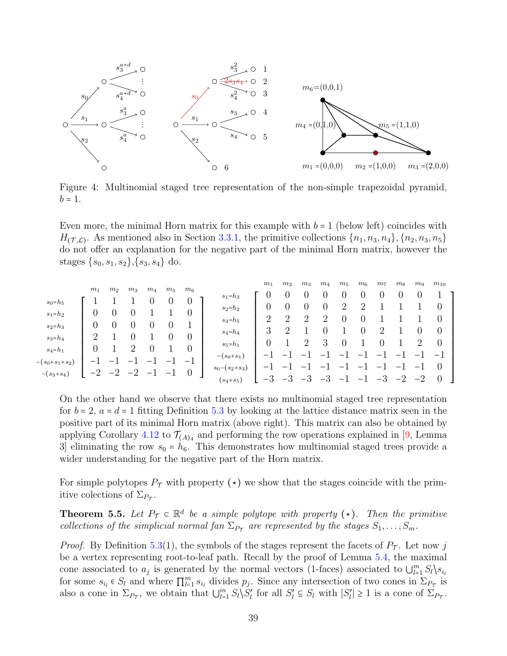<span id="page-38-1"></span>

Figure 4: Multinomial staged tree representation of the non-simple trapezoidal pyramid,  $b = 1$ .

Even more, the minimal Horn matrix for this example with  $b = 1$  (below left) coincides with  $H(\tau,\mathcal{L})$ . As mentioned also in Section [3.3.1,](#page-14-0) the primitive collections  $\{n_1, n_3, n_4\}, \{n_2, n_3, n_5\}$ do not offer an explanation for the negative part of the minimal Horn matrix, however the stages  $\{s_0, s_1, s_2\}, \{s_3, s_4\}$  do.

|                      |                  |                |       |                |                   |                  |                 | m <sub>1</sub>           | m <sub>2</sub> | $m_3$          | $m_4$ | $m_5$             | $m_6$          | m <sub>7</sub>           | m <sub>8</sub>           | $m_{9}$                  | $m_{10}$                 |
|----------------------|------------------|----------------|-------|----------------|-------------------|------------------|-----------------|--------------------------|----------------|----------------|-------|-------------------|----------------|--------------------------|--------------------------|--------------------------|--------------------------|
|                      | m <sub>1</sub>   | m <sub>2</sub> | $m_3$ | m <sub>4</sub> | $m_5$             | $m_6$            | $s_1=h_3$       |                          |                |                |       |                   |                |                          |                          |                          |                          |
| $s_0 = h_5$          |                  |                |       |                |                   |                  | $s_2 = h_2$     | U                        |                | 0              |       |                   | $\overline{2}$ |                          |                          |                          | O                        |
| $s_1 = h_2$          | O                | $\theta$       | O     |                |                   |                  |                 |                          |                |                | റ     |                   |                |                          |                          |                          |                          |
| $s_2 = h_3$          | O                | $\theta$       | U     |                |                   |                  | $s_3 = h_5$     | $\overline{2}$           | $\overline{2}$ | 2              |       |                   |                |                          |                          |                          | $\theta$                 |
|                      | $\overline{2}$   |                |       |                |                   | $\left( \right)$ | $s_4 = h_4$     | 3                        | റ              |                |       |                   |                | റ                        |                          |                          | $\theta$                 |
| $s_3 = h_4$          |                  |                |       |                |                   |                  | $s_5 = h_1$     | 0                        |                | $\overline{2}$ | 3     |                   |                |                          |                          | 2                        | $\overline{0}$           |
| $s_4 = h_1$          | $\left( \right)$ |                | ٠,    |                |                   |                  |                 |                          |                |                |       |                   |                |                          |                          | -                        | $\overline{\phantom{0}}$ |
| $-(s_0 + s_1 + s_2)$ |                  |                |       |                | —                 | $-1$             | $-(s_0+s_1)$    |                          |                |                |       |                   |                |                          |                          |                          |                          |
|                      | $-2$             | $-2$           | $-2$  | $-1$           | $\qquad \qquad -$ | $\theta$         | $s_0-(s_2+s_3)$ | $\overline{\phantom{0}}$ | —              |                |       |                   |                | $\overline{\phantom{m}}$ | $\overline{\phantom{0}}$ | $\overline{\phantom{m}}$ | $\theta$                 |
| $-(s_3 + s_4)$       |                  |                |       |                |                   |                  | $(s_4 + s_5)$   | $-5$                     | $-3$           | $-3$           | $-3$  | $\qquad \qquad -$ | $-1$           | $-3$                     | $-2$                     | $-2$                     | $\theta$                 |
|                      |                  |                |       |                |                   |                  |                 |                          |                |                |       |                   |                |                          |                          |                          |                          |

On the other hand we observe that there exists no multinomial staged tree representation for  $b = 2$ ,  $a = d = 1$  fitting Definition [5.3](#page-36-0) by looking at the lattice distance matrix seen in the positive part of its minimal Horn matrix (above right). This matrix can also be obtained by applying Corollary [4.12](#page-31-2) to  $\mathcal{T}_{(A)_4}$  and performing the row operations explained in [\[9,](#page-41-3) Lemma 3 eliminating the row  $s_0 = h_6$ . This demonstrates how multinomial staged trees provide a wider understanding for the negative part of the Horn matrix.

For simple polytopes  $P_{\tau}$  with property ( $\star$ ) we show that the stages coincide with the primitive colections of  $\Sigma_{P_{\mathcal{T}}}$ .

<span id="page-38-0"></span>**Theorem 5.5.** Let  $P_{\tau} \subset \mathbb{R}^d$  be a simple polytope with property ( $\star$ ). Then the primitive collections of the simplicial normal fan  $\Sigma_{P_{\tau}}$  are represented by the stages  $S_1, \ldots, S_m$ .

*Proof.* By Definition [5.3\(](#page-36-0)1), the symbols of the stages represent the facets of  $P_T$ . Let now j be a vertex representing root-to-leaf path. Recall by the proof of Lemma [5.4,](#page-37-0) the maximal cone associated to  $a_j$  is generated by the normal vectors (1-faces) associated to  $\bigcup_{l=1}^m S_l \setminus s_{i_l}$ <br>for some  $s \in S$  and where  $\overline{\Pi}^m$  so divides  $x$ . Since any intersection of two sense in  $\overline{\Sigma}$ for some  $s_{i_l} \in S_l$  and where  $\prod_{l=1}^m s_{i_l}$  divides  $p_j$ . Since any intersection of two cones in  $\Sigma_{P_{\mathcal{T}}}$  is also a cone in  $\Sigma_{P_{\mathcal{T}}}$ , we obtain that  $\bigcup_{l=1}^m S_l \setminus S_l'$  for all  $S_l' \subseteq S_l$  with  $|S_l'| \geq 1$  is a cone of  $\Sigma_{P_{\mathcal{T}}}$ .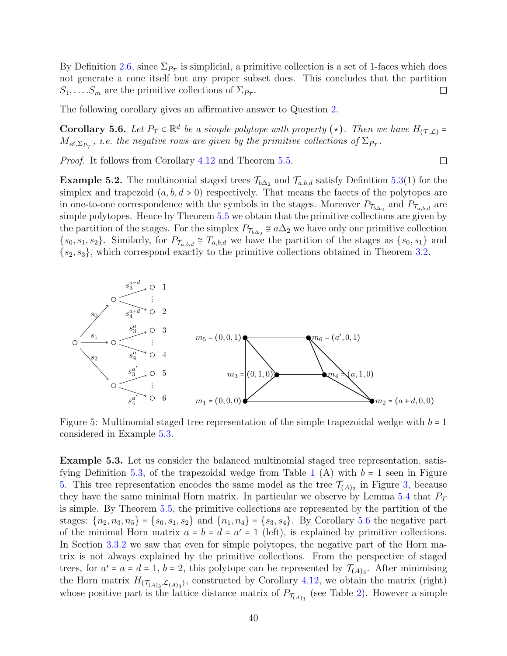By Definition [2.6,](#page-6-4) since  $\Sigma_{P\tau}$  is simplicial, a primitive collection is a set of 1-faces which does not generate a cone itself but any proper subset does. This concludes that the partition  $S_1, \ldots, S_m$  are the primitive collections of  $\Sigma_{P_{\mathcal{T}}}$ .  $\Box$ 

<span id="page-39-2"></span>The following corollary gives an affirmative answer to Question [2.](#page-7-1)

**Corollary 5.6.** Let  $P_{\mathcal{T}} \subset \mathbb{R}^d$  be a simple polytope with property ( $\star$ ). Then we have  $H_{(\mathcal{T}, \mathcal{L})} = M$  $M_{\mathscr{A},\Sigma_{P_{\mathcal{T}}}},$  i.e. the negative rows are given by the primitive collections of  $\Sigma_{P_{\mathcal{T}}}.$ 

 $\Box$ 

Proof. It follows from Corollary [4.12](#page-31-2) and Theorem [5.5.](#page-38-0)

**Example 5.2.** The multinomial staged trees  $\mathcal{T}_{b\Delta_2}$  and  $\mathcal{T}_{a,b,d}$  satisfy Definition [5.3\(](#page-36-0)1) for the simplex and trapezoid  $(a, b, d > 0)$  respectively. That means the facets of the polytopes are in one-to-one correspondence with the symbols in the stages. Moreover  $P_{\mathcal{T}_{b\Delta_2}}$  and  $P_{\mathcal{T}_{a,b,d}}$  are simple polytopes. Hence by Theorem [5.5](#page-38-0) we obtain that the primitive collections are given by the partition of the stages. For the simplex  $P_{\tau_{b\Delta_2}} \cong a\Delta_2$  we have only one primitive collection  $\{s_0, s_1, s_2\}$ . Similarly, for  $P_{\mathcal{T}_{a,b,d}} \cong \mathcal{T}_{a,b,d}$  we have the partition of the stages as  $\{s_0, s_1\}$  and  $\{s_2, s_3\}$ , which correspond exactly to the primitive collections obtained in Theorem [3.2.](#page-9-0)

<span id="page-39-1"></span>

Figure 5: Multinomial staged tree representation of the simple trapezoidal wedge with  $b = 1$ considered in Example [5.3.](#page-39-0)

<span id="page-39-0"></span>Example 5.3. Let us consider the balanced multinomial staged tree representation, satis-fying Definition [5.3,](#page-36-0) of the trapezoidal wedge from Table [1](#page-11-0) (A) with  $b = 1$  seen in Figure [5.](#page-39-1) This tree representation encodes the same model as the tree  $\mathcal{T}_{(A)_3}$  in Figure [3,](#page-34-0) because they have the same minimal Horn matrix. In particular we observe by Lemma [5.4](#page-37-0) that  $P<sub>T</sub>$ is simple. By Theorem [5.5,](#page-38-0) the primitive collections are represented by the partition of the stages:  $\{n_2, n_3, n_5\} = \{s_0, s_1, s_2\}$  and  $\{n_1, n_4\} = \{s_3, s_4\}$ . By Corollary [5.6](#page-39-2) the negative part of the minimal Horn matrix  $a = b = d = a' = 1$  (left), is explained by primitive collections.<br>In Section 2.2.2 we can that are for simple polytopes, the perstine part of the Horn me. In Section [3.3.2](#page-15-0) we saw that even for simple polytopes, the negative part of the Horn matrix is not always explained by the primitive collections. From the perspective of staged trees, for  $a' = a = d = 1$ ,  $b = 2$ , this polytope can be represented by  $\mathcal{T}_{(A)_3}$ . After minimising the Horn matrix  $H_{(\mathcal{T}_{(A)_3}, \mathcal{L}_{(A)_3})}$ , constructed by Corollary [4.12,](#page-31-2) we obtain the matrix (right) whose positive part is the lattice distance matrix of  $P_{\mathcal{T}_{(A)_3}}$  (see Table [2\)](#page-42-1). However a simple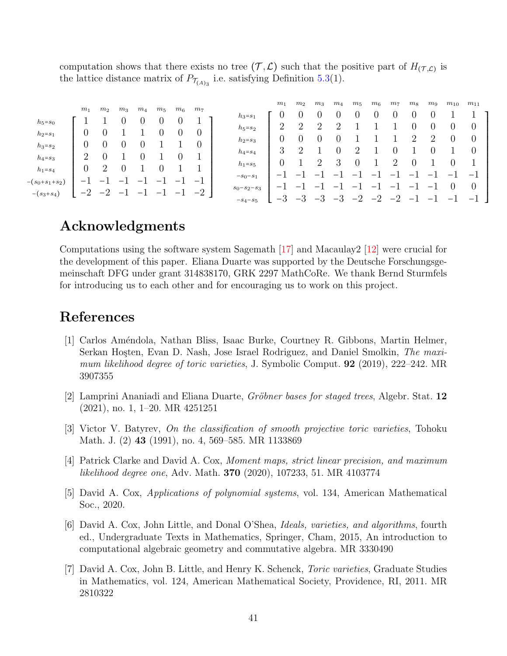computation shows that there exists no tree  $(\mathcal{T}, \mathcal{L})$  such that the positive part of  $H_{(\mathcal{T}, \mathcal{L})}$  is<br>the lattice distance matrix of  $R$  is a setisfying Definition 5.2(1) the lattice distance matrix of  $P_{\mathcal{T}_{(A)_3}}$  i.e. satisfying Definition [5.3\(](#page-36-0)1).

| $h_5 = s_0$<br>$\overline{2}$<br>റ<br>റ<br>$\overline{2}$<br>U<br>$h_5 = s_2$<br>$\theta$<br>0<br>$\theta$<br>$\theta$<br>$h_2 = s_1$<br>റ<br>റ<br>O<br>$h_2 = s_3$<br>$\theta$<br>$\theta$<br>U<br>$h_3 = s_2$<br>3<br>$\overline{2}$<br>$\boldsymbol{0}$<br>റ<br>U<br>U<br>$h_4 = s_4$<br>∠<br>$\theta$<br>$\overline{2}$<br>$h_4 = s_3$<br>3<br>$\overline{2}$<br>റ<br>$\theta$<br>O<br>$h_1 = s_5$<br>$\overline{2}$<br>$\overline{0}$<br>$h_1 = s_4$<br>-<br>$\overline{\phantom{0}}$<br>-<br>—<br>—<br>$-s_0-s_1$<br>-<br>-<br>-<br>— |                  | m <sub>1</sub> | m <sub>2</sub> | $m_3$ | $m_4$ | $m_5$ | $m_{\rm 6}$ | m <sub>7</sub> |             | m <sub>1</sub> | m <sub>2</sub> | $m_3$ | $m_4$ | $m_5$ | $m_6$ | m <sub>7</sub> | m <sub>8</sub> | $m_{9}$ | $m_{10}$ | $m_{11}$                                                                               |
|---------------------------------------------------------------------------------------------------------------------------------------------------------------------------------------------------------------------------------------------------------------------------------------------------------------------------------------------------------------------------------------------------------------------------------------------------------------------------------------------------------------------------------------------|------------------|----------------|----------------|-------|-------|-------|-------------|----------------|-------------|----------------|----------------|-------|-------|-------|-------|----------------|----------------|---------|----------|----------------------------------------------------------------------------------------|
| —<br>$\overline{\phantom{0}}$<br>$\overline{\phantom{0}}$<br>$\overline{\phantom{0}}$<br>-<br>$\overline{\phantom{0}}$<br>—<br>-<br>—<br>$s_0 - s_2 - s_3$<br>$-2$<br>$-2$<br>$-2$<br>$\overline{\phantom{m}}$<br>$-(s_3 + s_4)$<br>$\overline{\phantom{0}}$<br>$\overline{\phantom{0}}$<br>$\overline{\phantom{0}}$<br>$-3$<br>$-2$<br>$-2$<br>$-3$<br>$-2$<br>$-3$<br>$-5$<br>$\overline{\phantom{m}}$<br>$\overline{\phantom{0}}$<br>$\qquad \qquad \blacksquare$<br>$- s_4 - s_5$                                                       | $-(s_0+s_1+s_2)$ | —              | —              | –     | –     | -     | —           | $-$            | $h_3 = s_1$ |                |                |       | U     |       | U     | U              | U              | U       |          | $\theta$<br>$\theta$<br>$\overline{0}$<br>$\overline{\phantom{0}}$<br>$\theta$<br>$-1$ |

### Acknowledgments

Computations using the software system Sagemath [\[17\]](#page-41-8) and Macaulay2 [\[12\]](#page-41-9) were crucial for the development of this paper. Eliana Duarte was supported by the Deutsche Forschungsgemeinschaft DFG under grant 314838170, GRK 2297 MathCoRe. We thank Bernd Sturmfels for introducing us to each other and for encouraging us to work on this project.

# References

- <span id="page-40-4"></span>[1] Carlos Am´endola, Nathan Bliss, Isaac Burke, Courtney R. Gibbons, Martin Helmer, Serkan Hosten, Evan D. Nash, Jose Israel Rodriguez, and Daniel Smolkin, The maximum likelihood degree of toric varieties, J. Symbolic Comput. **92** (2019), 222–242. MR 3907355
- <span id="page-40-6"></span>[2] Lamprini Ananiadi and Eliana Duarte, Gröbner bases for staged trees, Algebr. Stat.  $12$ (2021), no. 1, 1–20. MR 4251251
- <span id="page-40-5"></span>[3] Victor V. Batyrev, On the classification of smooth projective toric varieties, Tohoku Math. J. (2) 43 (1991), no. 4, 569–585. MR 1133869
- <span id="page-40-0"></span>[4] Patrick Clarke and David A. Cox, Moment maps, strict linear precision, and maximum likelihood degree one, Adv. Math. 370 (2020), 107233, 51. MR 4103774
- <span id="page-40-3"></span>[5] David A. Cox, Applications of polynomial systems, vol. 134, American Mathematical Soc., 2020.
- <span id="page-40-1"></span>[6] David A. Cox, John Little, and Donal O'Shea, Ideals, varieties, and algorithms, fourth ed., Undergraduate Texts in Mathematics, Springer, Cham, 2015, An introduction to computational algebraic geometry and commutative algebra. MR 3330490
- <span id="page-40-2"></span>[7] David A. Cox, John B. Little, and Henry K. Schenck, Toric varieties, Graduate Studies in Mathematics, vol. 124, American Mathematical Society, Providence, RI, 2011. MR 2810322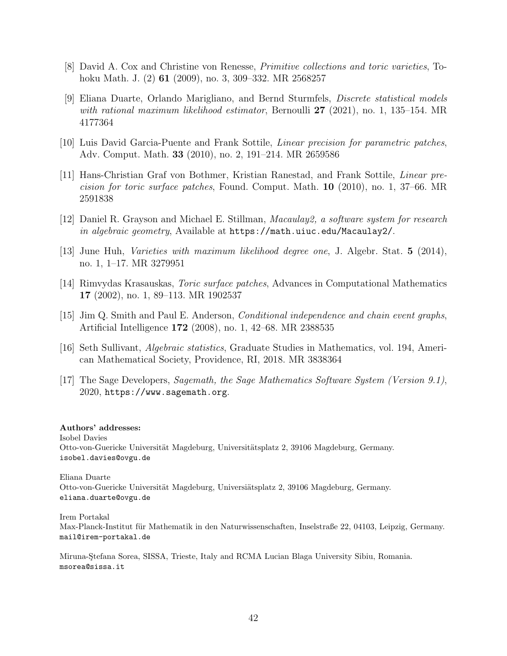- <span id="page-41-6"></span>[8] David A. Cox and Christine von Renesse, Primitive collections and toric varieties, Tohoku Math. J. (2) 61 (2009), no. 3, 309–332. MR 2568257
- <span id="page-41-3"></span>[9] Eliana Duarte, Orlando Marigliano, and Bernd Sturmfels, Discrete statistical models with rational maximum likelihood estimator, Bernoulli 27 (2021), no. 1, 135–154. MR 4177364
- <span id="page-41-1"></span>[10] Luis David Garcia-Puente and Frank Sottile, Linear precision for parametric patches, Adv. Comput. Math. 33 (2010), no. 2, 191–214. MR 2659586
- <span id="page-41-2"></span>[11] Hans-Christian Graf von Bothmer, Kristian Ranestad, and Frank Sottile, Linear precision for toric surface patches, Found. Comput. Math. 10 (2010), no. 1, 37–66. MR 2591838
- <span id="page-41-9"></span>[12] Daniel R. Grayson and Michael E. Stillman, Macaulay2, a software system for research in algebraic geometry, Available at <https://math.uiuc.edu/Macaulay2/>.
- <span id="page-41-4"></span>[13] June Huh, Varieties with maximum likelihood degree one, J. Algebr. Stat. 5 (2014), no. 1, 1–17. MR 3279951
- <span id="page-41-0"></span>[14] Rimvydas Krasauskas, Toric surface patches, Advances in Computational Mathematics 17 (2002), no. 1, 89–113. MR 1902537
- <span id="page-41-7"></span>[15] Jim Q. Smith and Paul E. Anderson, Conditional independence and chain event graphs, Artificial Intelligence 172 (2008), no. 1, 42–68. MR 2388535
- <span id="page-41-5"></span>[16] Seth Sullivant, Algebraic statistics, Graduate Studies in Mathematics, vol. 194, American Mathematical Society, Providence, RI, 2018. MR 3838364
- <span id="page-41-8"></span>[17] The Sage Developers, Sagemath, the Sage Mathematics Software System (Version 9.1), 2020, https://www.sagemath.org.

#### Authors' addresses:

Isobel Davies Otto-von-Guericke Universität Magdeburg, Universitätsplatz 2, 39106 Magdeburg, Germany. isobel.davies@ovgu.de

Eliana Duarte Otto-von-Guericke Universität Magdeburg, Universiätsplatz 2, 39106 Magdeburg, Germany. eliana.duarte@ovgu.de

Irem Portakal Max-Planck-Institut für Mathematik in den Naturwissenschaften, Inselstraße 22, 04103, Leipzig, Germany. mail@irem-portakal.de

Miruna-Stefana Sorea, SISSA, Trieste, Italy and RCMA Lucian Blaga University Sibiu, Romania. msorea@sissa.it